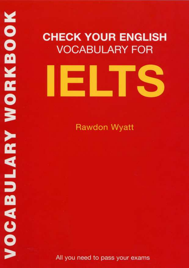# **CHECK YOUR ENGLISH VOCABULARY FOR**

## **Rawdon Wyatt**

All you need to pass your exams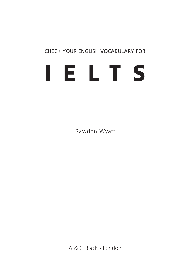### CHECK YOUR ENGLISH VOCABULARY FOR

# IELTS

Rawdon Wyatt

A & C Black . London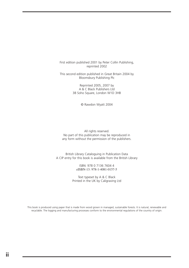First edition published 2001 by Peter Collin Publishing, reprinted 2002

This second edition published in Great Britain 2004 by Bloomsbury Publishing Plc

> Reprinted 2005, 2007 by A & C Black Publishers Ltd 38 Soho Square, London W1D 3HB

> > © Rawdon Wyatt 2004

All rights reserved. No part of this publication may be reproduced in any form without the permission of the publishers.

British Library Cataloguing in Publication Data A CIP entry for this book is available from the British Library

> ISBN: 978 0 7136 7604 4 eISBN-13: 978-1-4081-0157-5

Text typeset by A & C Black Printed in the UK by Caligraving Ltd

This book is produced using paper that is made from wood grown in managed, sustainable forests. It is natural, renewable and recyclable. The logging and manufacturing processes conform to the environmental regulations of the country of origin.

**ii**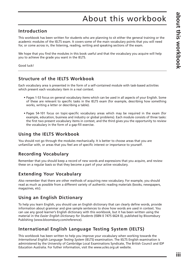## About this workbook

#### **Introduction**

This workbook has been written for students who are planning to sit either the general training or the academic modules of the IELTS exam. It covers some of the main vocabulary points that you will need for, or come across in, the listening, reading, writing and speaking sections of the exam.

We hope that you find the modules in this book useful and that the vocabulary you acquire will help you to achieve the grade you want in the IELTS.

Good luck!

#### **Structure of the IELTS Workbook**

Each vocabulary area is presented in the form of a self-contained module with task-based activities which present each vocabulary item in a real context.

- Pages 1-53 focus on general vocabulary items which can be used in all aspects of your English. Some of these are relevant to specific tasks in the IELTS exam (for example, describing how something works, writing a letter or describing a table).
- Pages 54-101 focus on topic-specific vocabulary areas which may be required in the exam (for example, education, business and industry or global problems). Each module consists of three tasks: the first two present vocabulary items in context, and the third gives you the opportunity to review the vocabulary in the form of a gap-fill exercise.

#### **Using the IELTS Workbook**

You should not go through the modules mechanically. It is better to choose areas that you are unfamiliar with, or areas that you feel are of specific interest or importance to yourself.

#### **Recording Vocabulary**

Remember that you should keep a record of new words and expressions that you acquire, and review these on a regular basis so that they become a part of your active vocabulary.

#### **Extending Your Vocabulary**

Also remember that there are other methods of acquiring new vocabulary. For example, you should read as much as possible from a different variety of authentic reading materials (books, newspapers, magazines, etc).

#### **Using an English Dictionary**

To help you learn English, you should use an English dictionary that can clearly define words, provide information about grammar and give sample sentences to show how words are used in context. You can use any good learner's English dictionary with this workbook, but it has been written using the material in the *Easier English Dictionary for Students* (ISBN 0 7475 6624 0), published by Bloomsbury Publishing ([www.bloomsbury.com/reference\).](http://www.bloomsbury.com/reference)

#### **International English Language Testing System (IELTS)**

This workbook has been written to help you improve your vocabulary when working towards the *International English Language Testing System* (IELTS) examination. The IELTS English examination is administered by the University of Cambridge Local Examinations Syndicate, The British Council and IDP Education Australia. For futher information, visit the *[www.ucles.org.uk](http://www.ucles.org.uk)* website.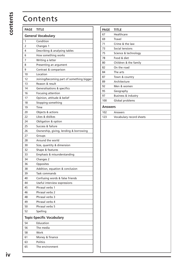## Contents

#### **PAGE TITLE**

#### **[General Vocabulary](#page-6-0)**

|    | General vocabulary                        |
|----|-------------------------------------------|
| 1  | Condition                                 |
| 2  | Changes 1                                 |
| 4  | Describing & analysing tables             |
| 6  | How something works                       |
| 7  | Writing a letter                          |
| 8  | Presenting an argument                    |
| 9  | Contrast & comparison                     |
| 10 | Location                                  |
| 12 | Joining/becoming part of something bigger |
| 13 | Reason & result                           |
| 14 | Generalisations & specifics               |
| 16 | Focusing attention                        |
| 17 | Opinion, attitude & belief                |
| 18 | Stopping something                        |
| 19 | Time                                      |
| 20 | Objects & actions                         |
| 22 | Likes & dislikes                          |
| 24 | Obligation & option                       |
| 25 | Success & failure                         |
| 26 | Ownership, giving, lending & borrowing    |
| 27 | Groups                                    |
| 28 | Around the world                          |
| 30 | Size, quantity & dimension                |
| 32 | Shape & features                          |
| 33 | Emphasis & misunderstanding               |
| 34 | Changes 2                                 |
| 36 | Opposites                                 |
| 38 | Addition, equation & conclusion           |
| 39 | Task commands                             |
| 40 | Confusing words & false friends           |
| 44 | Useful interview expressions              |
| 45 | Phrasal verbs 1                           |
| 46 | Phrasal verbs 2                           |
| 48 | Phrasal verbs 3                           |
| 49 | Phrasal verbs 4                           |
| 50 | Phrasal verbs 5                           |
| 52 | Spelling                                  |
|    | <b>Topic-Specific Vocabulary</b>          |
| 54 | Education                                 |
| 56 | The media                                 |
| 58 | Work                                      |
| 61 | Money & finance                           |
| 63 | Politics                                  |
| 65 | The environment                           |
|    |                                           |

| <b>PAGE</b>    | <b>TITLE</b>          |  |  |  |  |  |  |
|----------------|-----------------------|--|--|--|--|--|--|
| 67             | Healthcare            |  |  |  |  |  |  |
| 69             | Travel                |  |  |  |  |  |  |
| 71             | Crime & the law       |  |  |  |  |  |  |
| 73             | Social tensions       |  |  |  |  |  |  |
| 75             | Science & technology  |  |  |  |  |  |  |
| 78             | Food & diet           |  |  |  |  |  |  |
| 80             | Children & the family |  |  |  |  |  |  |
| 82             | On the road           |  |  |  |  |  |  |
| 84             | The arts              |  |  |  |  |  |  |
| 87             | Town & country        |  |  |  |  |  |  |
| 89             | Architecture          |  |  |  |  |  |  |
| 92             | Men & women           |  |  |  |  |  |  |
| 95             | Geography             |  |  |  |  |  |  |
| 97             | Business & industry   |  |  |  |  |  |  |
| 100            | Global problems       |  |  |  |  |  |  |
| <b>Answers</b> |                       |  |  |  |  |  |  |

| 102 | Answers |
|-----|---------|
| --- |         |

| 123 | Vocabulary record sheets |  |
|-----|--------------------------|--|
|     |                          |  |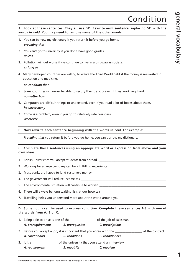**1**

#### <span id="page-6-0"></span>**A. Look at these sentences. They all use 'if'. Rewrite each sentence, replacing 'if' with the words in** *bold***. You may need to remove some of the other words.**

- 1. You can borrow my dictionary if you return it before you go home. *providing that*
- 2. You can't go to university if you don't have good grades. *unless*
- 3. Pollution will get worse if we continue to live in a throwaway society. *as long as*
- 4. Many developed countries are willing to waive the Third World debt if the money is reinvested in education and medicine.

#### *on condition that*

- 5. Some countries will never be able to rectify their deficits even if they work very hard. *no matter how*
- 6. Computers are difficult things to understand, even if you read a lot of books about them. *however many*
- 7. Crime is a problem, even if you go to relatively safe countries. *wherever*

#### **B. Now rewrite each sentence beginning with the words in** *bold***. For example:**

*Providing that* you return it before you go home, you can borrow my dictionary.

#### **C. Complete these sentences using an appropriate word or expression from above and your own ideas.**

|  | 1. British universities will accept students from abroad |  |
|--|----------------------------------------------------------|--|
|  |                                                          |  |

- 2. Working for a large company can be a fulfilling experience \_\_\_\_\_\_\_\_\_\_\_\_\_\_\_\_\_\_
- 3. Most banks are happy to lend customers money \_\_\_\_\_\_\_\_\_\_\_\_\_\_\_\_\_\_\_\_\_\_\_\_\_\_\_\_\_\_\_\_
- 4. The government will reduce income tax
- 5. The environmental situation will continue to worsen \_\_\_\_\_\_\_\_\_\_\_\_\_\_\_\_\_\_\_\_\_\_\_\_\_
- 6. There will always be long waiting lists at our hospitals \_\_\_\_\_\_\_\_\_\_\_\_\_\_\_\_\_\_\_\_
- 7. Travelling helps you understand more about the world around you

#### **D. Some nouns can be used to express condition. Complete these sentences 1-3 with one of the words from A, B or C.**

| 1. | Being able to drive is one of the                                                      |                                                                        | of the job of salesman. |                  |
|----|----------------------------------------------------------------------------------------|------------------------------------------------------------------------|-------------------------|------------------|
|    | A. prerequirements                                                                     | <b>B.</b> prerequisites                                                | C. prescriptions        |                  |
|    | 2. Before you accept a job, it is important that you agree with the<br>A. conditionals | <b>B.</b> conditions                                                   | C. conditioners         | of the contract. |
|    | 3. It is a<br>A. requirement                                                           | of the university that you attend an interview.<br><b>B.</b> requisite | C. requiem              |                  |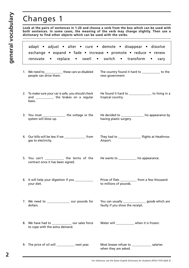## <span id="page-7-0"></span>Changes 1

**Look at the pairs of sentences in 1-20 and choose a verb from the box which can be used with both sentences. In some cases, the meaning of the verb may change slightly. Then use a dictionary to find other objects which can be used with the verbs.**

 $\overline{\phantom{a}}$ 

| adapt • adjust • alter • cure • demote • disappear • dissolve<br>exchange • expand • fade • increase • promote • reduce • renew<br>renovate | • replace • swell • switch • transform •<br>vary                                                                      |
|---------------------------------------------------------------------------------------------------------------------------------------------|-----------------------------------------------------------------------------------------------------------------------|
| people can drive them.                                                                                                                      | 1. We need to _____________ these cars so disabled The country found it hard to ____________ to the<br>new government |
| 2. To make sure your car is safe, you should check<br>and ______________ the brakes on a regular<br>basis.                                  | He found it hard to ______________ to living in a<br>tropical country.                                                |
| 3. You must _________________ the voltage or the<br>system will blow up.                                                                    | He decided to ____________ his appearance by<br>having plastic surgery.                                               |
| gas to electricity.                                                                                                                         | 4. Our bills will be less if we ________________ from They had to _______________ flights at Heathrow<br>Airport.     |
| 5. You can't _____________ the terms of the He wants to ___________ his appearance.<br>contract once it has been signed.                    |                                                                                                                       |
| 6. It will help your digestion if you ________<br>your diet.                                                                                | Prices of flats ____________ from a few thousand<br>to millions of pounds.                                            |
| 7. We need to ________________ our pounds for<br>dollars.                                                                                   | You can usually ___________________ goods which are<br>faulty if you show the receipt.                                |
| 8. We have had to ______________ our sales force<br>to cope with the extra demand.                                                          | Water will ____________ when it is frozen.                                                                            |
| 9. The price of oil will _____________ next year.                                                                                           | when they are asked.                                                                                                  |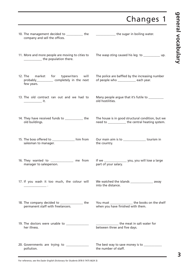## Changes 1

| 10. The management decided to ____________ the ____________________ the sugar in boiling water.<br>company and sell the offices.                                                                                                                                                                                                                                                                                                                          |                                                                                     |
|-----------------------------------------------------------------------------------------------------------------------------------------------------------------------------------------------------------------------------------------------------------------------------------------------------------------------------------------------------------------------------------------------------------------------------------------------------------|-------------------------------------------------------------------------------------|
| 11. More and more people are moving to cities to<br>_________________ the population there.                                                                                                                                                                                                                                                                                                                                                               | The wasp sting caused his leg to ______________ up.                                 |
| probably_____________ completely in the next                                                                                                                                                                                                                                                                                                                                                                                                              | 12. The market for typewriters will The police are baffled by the increasing number |
| few years.                                                                                                                                                                                                                                                                                                                                                                                                                                                | of people who _____________ each year.                                              |
| 13. The old contract ran out and we had to                                                                                                                                                                                                                                                                                                                                                                                                                | Many people argue that it's futile to ___________                                   |
| $\frac{1}{\sqrt{1-\frac{1}{2}}}\cdot \frac{1}{\sqrt{1-\frac{1}{2}}}\cdot \frac{1}{\sqrt{1-\frac{1}{2}}}\cdot \frac{1}{\sqrt{1-\frac{1}{2}}}\cdot \frac{1}{\sqrt{1-\frac{1}{2}}}\cdot \frac{1}{\sqrt{1-\frac{1}{2}}}\cdot \frac{1}{\sqrt{1-\frac{1}{2}}}\cdot \frac{1}{\sqrt{1-\frac{1}{2}}}\cdot \frac{1}{\sqrt{1-\frac{1}{2}}}\cdot \frac{1}{\sqrt{1-\frac{1}{2}}}\cdot \frac{1}{\sqrt{1-\frac{1}{2}}}\cdot \frac{1}{\sqrt{1-\frac{1}{2}}}\cdot \frac{1$ | old hostilities.                                                                    |
| 14. They have received funds to _____________ the                                                                                                                                                                                                                                                                                                                                                                                                         | The house is in good structural condition, but we                                   |
| old buildings.                                                                                                                                                                                                                                                                                                                                                                                                                                            | need to ______________ the central heating system.                                  |
| 15. The boss offered to _______________ him from                                                                                                                                                                                                                                                                                                                                                                                                          | Our main aim is to ________________ tourism in                                      |
| salesman to manager.                                                                                                                                                                                                                                                                                                                                                                                                                                      | the country.                                                                        |
| 16. They wanted to _____________ me from                                                                                                                                                                                                                                                                                                                                                                                                                  | If we _______________________ you, you will lose a large                            |
| manager to salesperson.                                                                                                                                                                                                                                                                                                                                                                                                                                   | part of your salary.                                                                |
| 17. If you wash it too much, the colour will                                                                                                                                                                                                                                                                                                                                                                                                              | We watched the islands __________________ away                                      |
|                                                                                                                                                                                                                                                                                                                                                                                                                                                           | into the distance.                                                                  |
| 18. The company decided to ___________________ the                                                                                                                                                                                                                                                                                                                                                                                                        | You must ____________________ the books on the shelf                                |
| permanent staff with freelancers.                                                                                                                                                                                                                                                                                                                                                                                                                         | when you have finished with them.                                                   |
| 19. The doctors were unable to _______________                                                                                                                                                                                                                                                                                                                                                                                                            | ______________________the meat in salt water for                                    |
| her illness.                                                                                                                                                                                                                                                                                                                                                                                                                                              | between three and five days.                                                        |

#### 20. Governments are trying to pollution.

The best way to save money is to \_\_\_\_\_\_\_\_\_\_\_\_ the number of staff.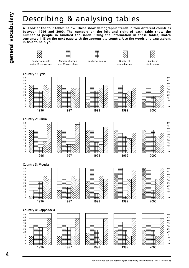## <span id="page-9-0"></span>Describing & analysing tables

**A. Look at the four tables below. These show demographic trends in four different countries** between 1996 and 2000. The numbers on the left and right of each table show the **number of people in hundred thousands. Using the information in these tables, match sentences 1-13 on the next page with the appropriate country. Use the words and expressions in** *bold* **to help you.**





Number of people under 18 years of age

over 65 years of age



Number of deaths



married people



Number of single people

#### **Country 1: Lycia**











**Country 2: Cilicia**

















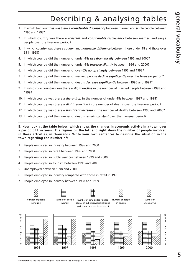## Describing & analysing tables

- 1. In which two countries was there a *considerable discrepancy* between married and single people between 1996 and 1998?
- 2. In which country was there a *constant* and *considerable discrepancy* between married and single people over the five-year period?
- 3. In which country was there a *sudden* and *noticeable difference* between those under 18 and those over 65 in 1998?
- 4. In which country did the number of under-18s *rise dramatically* between 1996 and 2000?
- 5. In which country did the number of under-18s *increase slightly* between 1996 and 2000?
- 6. In which country did the number of over-65s *go up sharply* between 1996 and 1998?
- 7. In which country did the number of married people *decline significantly* over the five-year period?
- 8. In which country did the number of deaths *decrease significantly* between 1996 and 1999?
- 9. In which two countries was there a *slight decline* in the number of married people between 1998 and 1999?
- 10. In which country was there a *sharp drop* in the number of under-18s between 1997 and 1998?
- 11. In which country was there a *slight reduction* in the number of deaths over the five-year period?
- 12. In which country was there a *significant increase* in the number of deaths between 1998 and 2000?
- 13. In which country did the number of deaths *remain constant* over the five-year period?

**B. Now look at the table below, which shows the changes in economic activity in a town over a period of five years. The figures on the left and right show the number of people involved in these activities, in thousands. Write your own sentences to describe the situation in the town regarding the number of:**

- 1. People employed in industry between 1996 and 2000.
- 2. People employed in retail between 1996 and 2000.
- 3. People employed in public services between 1999 and 2000.
- 4. People employed in tourism between 1996 and 2000.
- 5. Unemployed between 1998 and 2000.
- 6. People employed in industry compared with those in retail in 1996.
- 7. People employed in industry between 1998 and 1999.







Number of people





Number of people in industry



in tourism Number of semi-skilled / skilled people in public services (including police, doctors, bus drivers, etc.)







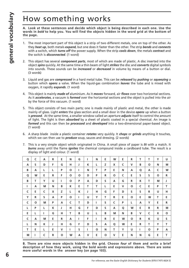## <span id="page-11-0"></span>How something works

**A. Look at these sentences and decide which object is being described in each one. Use the words in** *bold* **to help you. You will find the objects hidden in the word grid at the bottom of the page.**

- 1. The most important part of this object is a strip of two different metals, one on top of the other. As they *heat up*, both metals *expand,* but one does it faster than the other. The strip *bends* and *connects* with a switch, which *turns off* the power supply. When the strip *cools down*, the metals *contract* and the switch is *disconnected*. (1 word)
- 2. This object has several *component parts*, most of which are made of plastic. A disc inserted into the object *spins* quickly. At the same time a thin beam of light *strikes* the disc and *converts* digital symbols into sounds. These sounds can be *increased* or *decreased* in volume by means of a button or dial. (3 words)
- 3. Liquid and gas are *compressed* in a hard metal tube. This can be *released* by *pushing* or *squeezing* a button which *opens* a valve. When the liquid-gas combination *leaves* the tube and is mixed with oxygen, it rapidly *expands*. (1 word)
- 4. This object is mainly *made of* aluminium. As it *moves* forward, air *flows* over two horizontal sections. As it *accelerates*, a vacuum is *formed* over the horizontal sections and the object is pulled into the air by the force of this vacuum. (1 word)
- 5. This object consists of two main parts; one is made mainly of plastic and metal, the other is made mainly of glass. Light *enters* the glass section and a small door in the device *opens* up when a button is *pressed*. At the same time, a smaller window called an aperture *adjusts* itself to control the amount of light. The light is then *absorbed* by a sheet of plastic coated in a special chemical. An image is *formed* and this can then be *processed* and *developed* into a two-dimensional paper-based object. (1 word)
- 6. A sharp blade inside a plastic container *rotates* very quickly. It *chops* or *grinds* anything it touches, which we can then use to *produce* soup, sauces and dressing. (2 words)
- 7. This is a very simple object which originated in China. A small piece of paper is *lit* with a match. It *burns* away until the flame *ignites* the chemical compound inside a cardboard tube. The result is a display of light and colour. (1 word)

| Q | C           | A            | $\mathsf R$  | E            | N | G           | ı            | N            | E            | W            | E            | ${\sf R}$    | T            | T            | Y            | U           |
|---|-------------|--------------|--------------|--------------|---|-------------|--------------|--------------|--------------|--------------|--------------|--------------|--------------|--------------|--------------|-------------|
| A | S           | D            | F            | G            | н | J           | K            | L            | z            | X            | C            | $\mathsf{V}$ | B            | $\mathbf 0$  | N            | M           |
| B | A           | L            | L            | P            | O | ı           | N            | т            | P            | E            | N            | A            | Q            | A            | C            | W           |
| Q | W           | E            | $\mathsf{R}$ | F            | O | $\mathbf 0$ | D            | P            | $\mathbf R$  | $\mathbf{o}$ | C            | E            | S            | S            | O            | $\mathsf R$ |
| B | T           | Y            | U            | L            | O | P           | A            | D            | S            | A            | G            | $\mathsf{R}$ | K            | T            | M            | J           |
| т | A           | М            | N            | B            | K | $\mathsf E$ | T.           | т            | L            | Е            | $\mathsf{V}$ | $\mathbf 0$  | C            | Е            | P            | T           |
| C | E           | C            | X            | Z            | L | К           | J            | н            | G            | F            | D            | S            | S            | $\mathsf{R}$ | U            | н           |
| Y | R           | $\mathsf{S}$ | A            | P            | O | ı           | U            | Y            | T            | R            | E            | $\mathbf 0$  | E            | W            | T.           | E           |
| C | $\mathbf 0$ | M            | P            | A            | C | T           | D            | т            | S            | C            | P            | L            | A            | Y            | E            | $\mathsf R$ |
| L | P           | L            | K            | J            | н | G           | F            | D            | S            | A            | Q            | W            | E            | $\mathsf{R}$ | $\mathsf{R}$ | M           |
| E | Г           | ı            | G            | н            | T | B           | U            | L            | B            | M            | N            | B            | $\mathsf{V}$ | C            | X            | $\mathbf 0$ |
| C | A           | M            | E            | $\mathsf{R}$ | A | т           | F            | L            | $\mathsf{R}$ | E            | W            | $\mathbf O$  | $\mathsf{R}$ | К            | U            | S           |
| L | N           | K            | J            | н            | G | F           | D            | $\mathsf{S}$ | A            | Q            | W            | E.           | $\mathsf{R}$ | Т            | Υ            | T           |
| T | E           | L            | E            | $\mathsf{V}$ | L | S           | L            | O            | N            | T.           | Y            | U            | Т            | O            | P            | A           |
| M | ı           | C            | $\mathsf{R}$ | O            | W | A           | $\mathsf{V}$ | E            | O            | $\mathsf{V}$ | Ε            | N            | N            | G            | Ε            | T           |

**B. There are nine more objects hidden in the grid. Choose** *four* **of them and write a brief description of how they work, using the bold words and expressions above. There are some more useful words in the answer key (on page 103).**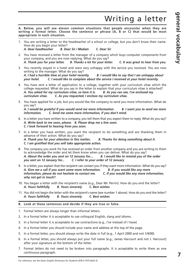## Writing a letter

<span id="page-12-0"></span>**A. Below, you will see eleven common situations that people encounter when they are writing a formal letter. Choose the sentence or phrase (A, B or C) that would be most appropriate in each situation.**

1. You are writing a letter to the headteacher of a school or college, but you don't know their name. How do you begin your letter?

*A. Dear headteacher B. Dear Sir / Madam C. Dear Sir*

- 2. You have received a letter from the manager of a company which buys computer components from your company, and you are now replying. What do you say? *A. Thank you for your letter. B. Thanks a lot for your letter. C. It was great to hear from you.*
- 3. You recently stayed in a hotel and were very unhappy with the service you received. You are now writing to the manager. What do you say? *A. I had a horrible time at your hotel recently. B. I would like to say that I am unhappy about your hotel. C. I would like to complain about the service I received at your hotel recently.*
- 4. You have sent a letter of application to a college, together with your curriculum vitae which the college requested. What do you say in the letter to explain that your curriculum vitae is attached? *A. You asked for my curriculum vitae, so here it is. B. As you can see, I've enclosed my curriculum vitae. C. As you requested, I enclose my curriculum vitae.*
- 5. You have applied for a job, but you would like the company to send you more information. What do you say?

*A. I would be grateful if you would send me more information. B. I want you to send me more information. C. Send me some more information, if you don't mind.*

- 6. In a letter you have written to a company, you tell them that you expect them to reply. What do you say? *A. Write back to me soon, please. B. Please drop me a line soon. C. I look forward to hearing from you soon.*
- 7. In a letter you have written, you want the recipient to do something and are thanking them in advance of their action. What do you say? *A. Thank you for your attention in this matter.. B. Thanks for doing something about it. C. I am gratified that you will take appropriate action.*
- 8. The company you work for has received an order from another company and you are writing to them to acknowledge the order and let them know when you can deliver. What do you say? *A. About the order you sent on 12 January for.... B. I would like to remind you of the order you sent on 12 January for... C. I refer to your order of 12 January*
- 9. In a letter, you explain that the recipient can contact you if they want more information. What do you say? *A. Give me a call if you want some more information. B. If you would like any more information, please do not hesitate to contact me. C. If you would like any more information, why not get in touch?*
- 10. You began a letter with the recipient's name (e.g., Dear Mr. Perrin). How do you end the letter? *A. Yours faithfully B. Yours sincerely C. Best wishes*
- 11. You did not begin the letter with the recipient's name (see number 1 above). How do you end the letter? *A. Yours faithfully B. Yours sincerely C. Best wishes*

#### **B. Look at these sentences and decide if they are true or false.**

- 1. Formal letters are always longer than informal letters.
- 2. In a formal letter it is acceptable to use colloquial English, slang and idioms.
- 3. In a formal letter it is acceptable to use contractions (e.g., *I've* instead of *I have*)
- 4. In a formal letter you should include your name and address at the top of the page.
- 5. In a formal letter, you should always write the date in full (e.g., 1 April 2000 and not 1/4/00).
- 6. In a formal letter, you should always put your full name (e.g., James Harcourt and not J. Harcourt) after your signature at the bottom of the letter.
- 7. Formal letters do not need to be broken into paragraphs. It is acceptable to write them as one continuous paragraph.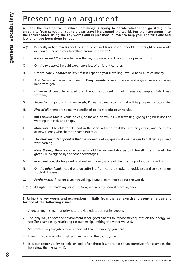## <span id="page-13-0"></span>Presenting an argument

**A. Read the text below, in which somebody is trying to decide whether to go straight to university from school, or spend a year travelling around the world. Put their argument into the correct order, using the key words and expressions in** *italics* **to help you. The first one and last one have been done for you.**

- A (1) I'm really in two minds about what to do when I leave school. Should I go straight to university or should I spend a year travelling around the world?
- B. *It is often said that* knowledge is the key to power, and I cannot disagree with this.
- C. *On the one hand,* I would experience lots of different cultures.
- D. Unfortunately, *another point is that* if I spent a year travelling I would need a lot of money.
- E. And I'm not alone in this opinion. *Many consider* a sound career and a good salary to be an important goal.
- F. *However,* it could be argued that I would also meet lots of interesting people while I was travelling.
- G. *Secondly,* if I go straight to university, I'll learn so many things that will help me in my future life.
- H. *First of all,* there are so many benefits of going straight to university.
- I. But *I believe that* it would be easy to make a bit while I was travelling, giving English lessons or working in hotels and shops.
- J. *Moreover,* I'll be able to take part in the social activities that the university offers, and meet lots of new friends who share the same interests.
- K. *The most important point is that* the sooner I get my qualifications, the quicker I'll get a job and start earning.
- L. *Nevertheless,* these inconveniences would be an inevitable part of travelling and would be greatly outweighed by the other advantages.
- M. *In my opinion,* starting work and making money is one of the most important things in life.
- N. *On the other hand,* I could end up suffering from culture shock, homesickness and some strange tropical diseases.
- O. *Furthermore,* if I spent a year travelling, I would learn more about the world.
- P. (16) All right, I've made my mind up. Now, where's my nearest travel agency?

#### **B. Using the key words and expressions in italic from the last exercise, present an argument for** *one* **of the following issues:**

- 1. A government's main priority is to provide education for its people.
- 2. The only way to save the environment is for governments to impose strict quotas on the energy we use (for example, by restricting car ownership, limiting the water we use).
- 3. Satisfaction in your job is more important than the money you earn.
- 4. Living in a town or city is better than living in the countryside.
- 5. It is our responsibility to help or look after those less fortunate than ourselves (for example, the homeless, the mentally ill).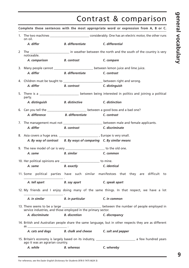## Contrast & comparison

<span id="page-14-0"></span>

|                                                                                                                                                                                                                                                                                                                                      |                                                                   | Complete these sentences with the most appropriate word or expression from A, B or C.                  |
|--------------------------------------------------------------------------------------------------------------------------------------------------------------------------------------------------------------------------------------------------------------------------------------------------------------------------------------|-------------------------------------------------------------------|--------------------------------------------------------------------------------------------------------|
| on oil.                                                                                                                                                                                                                                                                                                                              |                                                                   |                                                                                                        |
| A. differ                                                                                                                                                                                                                                                                                                                            | <b>B.</b> differentiate                                           | C. differential                                                                                        |
| noticeable.                                                                                                                                                                                                                                                                                                                          |                                                                   |                                                                                                        |
| A. comparison B. contrast                                                                                                                                                                                                                                                                                                            |                                                                   | C. compare                                                                                             |
|                                                                                                                                                                                                                                                                                                                                      |                                                                   | 3. Many people cannot ____________________________between lemon juice and lime juice.                  |
| A. differ                                                                                                                                                                                                                                                                                                                            | <b>B.</b> differentiate                                           | <b>C.</b> contrast                                                                                     |
|                                                                                                                                                                                                                                                                                                                                      |                                                                   | 4. Children must be taught to ________________________________between right and wrong.                 |
| A. differ                                                                                                                                                                                                                                                                                                                            | <b>B.</b> contrast                                                | C. distinguish                                                                                         |
| party.                                                                                                                                                                                                                                                                                                                               |                                                                   |                                                                                                        |
| A. distinguish                                                                                                                                                                                                                                                                                                                       | <b>B.</b> distinctive                                             | C. distinction                                                                                         |
| 6. Can you tell the __________________________ between a good boss and a bad one?                                                                                                                                                                                                                                                    |                                                                   |                                                                                                        |
|                                                                                                                                                                                                                                                                                                                                      | A. difference B. differentiate C. contrast                        |                                                                                                        |
|                                                                                                                                                                                                                                                                                                                                      |                                                                   | 7. The management must not ________________________________between male and female applicants.         |
| A. differ                                                                                                                                                                                                                                                                                                                            | <b>B.</b> contrast                                                | C. discriminate                                                                                        |
| 8. Asia covers a huge area. _________________________________, Europe is very small.                                                                                                                                                                                                                                                 |                                                                   |                                                                                                        |
|                                                                                                                                                                                                                                                                                                                                      | A. By way of contrast B. By ways of comparing C. By similar means |                                                                                                        |
| 9. The new model of car is very ____________________________ to the old one.                                                                                                                                                                                                                                                         |                                                                   |                                                                                                        |
| A. same                                                                                                                                                                                                                                                                                                                              | <b>B.</b> similar                                                 | C. common                                                                                              |
| 10. Her political opinions are                                                                                                                                                                                                                                                                                                       | <b>Example 1</b> to mine.                                         |                                                                                                        |
| A. same                                                                                                                                                                                                                                                                                                                              | <b>B.</b> exactly                                                 | C. identical                                                                                           |
|                                                                                                                                                                                                                                                                                                                                      |                                                                   | 11. Some political parties have such similar manifestoes that they are difficult to                    |
|                                                                                                                                                                                                                                                                                                                                      | A. tell apart B. say apart                                        | C. speak apart                                                                                         |
|                                                                                                                                                                                                                                                                                                                                      |                                                                   | 12. My friends and I enjoy doing many of the same things. In that respect, we have a lot               |
| A. in similar                                                                                                                                                                                                                                                                                                                        | <b>B.</b> in particular                                           | C. in common                                                                                           |
|                                                                                                                                                                                                                                                                                                                                      |                                                                   |                                                                                                        |
| A. discriminate                                                                                                                                                                                                                                                                                                                      | <b>B.</b> discretion                                              | C. discrepancy                                                                                         |
| $\overline{a}$ s and $\overline{a}$ and $\overline{a}$ and $\overline{a}$ and $\overline{a}$ and $\overline{a}$ and $\overline{a}$ and $\overline{a}$ and $\overline{a}$ and $\overline{a}$ and $\overline{a}$ and $\overline{a}$ and $\overline{a}$ and $\overline{a}$ and $\overline{a}$ and $\overline{a}$ and $\overline{a}$ and |                                                                   | 14. British and Australian people share the same language, but in other respects they are as different |
|                                                                                                                                                                                                                                                                                                                                      | A. cats and dogs B. chalk and cheese C. salt and pepper           |                                                                                                        |
| ago it was an agrarian country.                                                                                                                                                                                                                                                                                                      |                                                                   |                                                                                                        |
| A. while                                                                                                                                                                                                                                                                                                                             | <b>B.</b> whereas                                                 | C. whereby                                                                                             |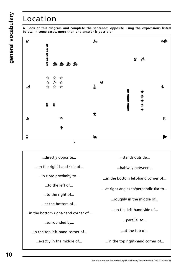## <span id="page-15-0"></span>Location

|  |  |  |  |                                                         |  | A. Look at this diagram and complete the sentences opposite using the expressions listed |  |
|--|--|--|--|---------------------------------------------------------|--|------------------------------------------------------------------------------------------|--|
|  |  |  |  | below. In some cases, more than one answer is possible. |  |                                                                                          |  |

| $\boldsymbol{\mathcal{C}}$ |              |                         |   |             | 大曲                 |   |                       |     |           |           |
|----------------------------|--------------|-------------------------|---|-------------|--------------------|---|-----------------------|-----|-----------|-----------|
|                            | 黄芳芳芳芳        |                         |   | 20 20 20 20 |                    |   |                       | X 熟 |           |           |
| $\overrightarrow{H}$       |              | ☆ ☆ ☆<br>☆ ★ ☆<br>☆ ☆ ☆ |   |             | $\bigcirc$         | 植 |                       |     |           | ↓         |
|                            | $\mathbf{a}$ | $\hat{\mathbf{h}}$      |   |             |                    |   | <u>na an an an an</u> |     | I+++<br>T |           |
| $\Phi$                     |              |                         | 合 |             | $\hat{\mathbf{x}}$ |   |                       |     |           | ${\bf E}$ |
|                            |              |                         | ↑ |             |                    |   |                       |     |           |           |
| $\pmb{\downarrow}$         |              |                         |   |             | I.                 |   |                       |     |           |           |

...directly opposite... ...on the right-hand side of... ...in close proximity to... ...to the left of... ...to the right of... ...at the bottom of... ...in the bottom right-hand corner of... ...surrounded by... ...in the top left-hand corner of... ...exactly in the middle of... ...stands outside... ...halfway between... ...in the bottom left-hand corner of... ...at right angles to/perpendicular to... ...roughly in the middle of... ...on the left-hand side of... ...parallel to... ...at the top of... ...in the top right-hand corner of...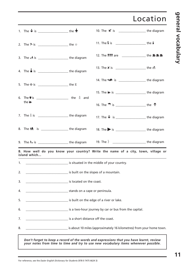# general vocabulary **general vocabulary**

## Location

|    | 2. The $*$ is ________________________the $*$                          | 11. The <b>Q</b> is __________________________the <b>A</b>                                                                                                                                                                           |  |
|----|------------------------------------------------------------------------|--------------------------------------------------------------------------------------------------------------------------------------------------------------------------------------------------------------------------------------|--|
|    |                                                                        | 12. The 精养 are _________________ the <b>gi gi gi</b>                                                                                                                                                                                 |  |
|    |                                                                        | 13. The <b>x</b> is _____________________the <sub>*</sub> 然                                                                                                                                                                          |  |
|    |                                                                        | 14. The $\stackrel{\bullet}{\bullet}$ is ________________________ the diagram                                                                                                                                                        |  |
|    |                                                                        | 15. The <b>*</b> is _______________________the diagram                                                                                                                                                                               |  |
|    | the s-                                                                 |                                                                                                                                                                                                                                      |  |
|    | 7. The $\stackrel{a}{\land}$ is ___________________________the diagram |                                                                                                                                                                                                                                      |  |
|    | 8. The $\Lambda$ is __________________________ the diagram             | 18. The signal is elected in the diagram                                                                                                                                                                                             |  |
|    | 9. The $\dot{k}$ <sub>w</sub> is _________________________the diagram  |                                                                                                                                                                                                                                      |  |
|    | island which                                                           | B. How well do you know your country? Write the name of a city, town, village or                                                                                                                                                     |  |
|    |                                                                        |                                                                                                                                                                                                                                      |  |
| 2. | is built on the slopes of a mountain.                                  |                                                                                                                                                                                                                                      |  |
| 3. | is located on the coast.                                               |                                                                                                                                                                                                                                      |  |
| 4. | stands on a cape or peninsula.                                         |                                                                                                                                                                                                                                      |  |
| 5. | is built on the edge of a river or lake.                               |                                                                                                                                                                                                                                      |  |
| 6. |                                                                        | is a two-hour journey by car or bus from the capital.                                                                                                                                                                                |  |
| 7. | is a short distance off the coast.                                     |                                                                                                                                                                                                                                      |  |
| 8. |                                                                        | is about 10 miles (approximately 16 kilometres) from your home town.                                                                                                                                                                 |  |
|    |                                                                        | $\mathbf{u} \cdot \mathbf{c}$ . The contract of $\mathbf{u} \cdot \mathbf{c}$ and $\mathbf{u} \cdot \mathbf{c}$ is the contract of $\mathbf{u} \cdot \mathbf{c}$ and $\mathbf{u} \cdot \mathbf{c}$ and $\mathbf{u} \cdot \mathbf{c}$ |  |

*Don't forget to keep a record of the words and expressions that you have learnt, review your notes from time to time and try to use new vocabulary items whenever possible.*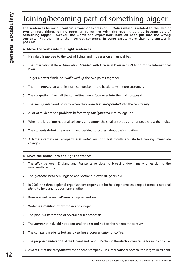## <span id="page-17-0"></span>Joining/becoming part of something bigger

**The sentences below all contain a word or expression in** *italics* **which is related to the idea of two or more things joining together, sometimes with the result that they become part of something bigger. However, the words and expressions have all been put into the wrong sentence. Put them into their correct sentence. In some cases, more than one answer is possible.**

#### **A. Move the verbs into the right sentences.**

- 1. His salary is *merged* to the cost of living, and increases on an annual basis.
- 2. The International Book Association *blended* with Universal Press in 1999 to form the International **Press**
- 3. To get a better finish, he *swallowed up* the two paints together.
- 4. The firm *integrated* with its main competitor in the battle to win more customers.
- 5. The suggestions from all the committees were *took over* into the main proposal.
- 6. The immigrants faced hostility when they were first *incorporated* into the community.
- 7. A lot of students had problems before they *amalgamated* into college life.
- 8. When the large international college *got together* the smaller school, a lot of people lost their jobs.
- 9. The students *linked* one evening and decided to protest about their situation.
- 10. A large international company *assimilated* our firm last month and started making immediate changes.

#### **B. Move the nouns into the right sentences.**

- 1. The *alloy* between England and France came close to breaking down many times during the nineteenth century.
- 2. The *synthesis* between England and Scotland is over 300 years old.
- 3. In 2003, the three regional organizations responsible for helping homeless people formed a national *blend* to help and support one another.
- 4. Brass is a well-known *alliance* of copper and zinc.
- 5. Water is a *coalition* of hydrogen and oxygen.
- 6. The plan is a *unification* of several earlier proposals.
- 7. The *merger* of Italy did not occur until the second half of the nineteenth century.
- 8. The company made its fortune by selling a popular *union* of coffee.
- 9. The proposed *federation* of the Liberal and Labour Parties in the election was cause for much ridicule.
- 10. As a result of the *compound* with the other company, Flax International became the largest in its field.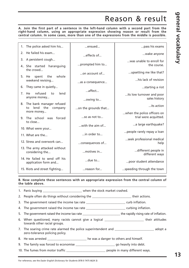## Reason & result

<span id="page-18-0"></span>**A. Join the first part of a sentence in the left-hand column with a second part from the right-hand column, using an appropriate expression showing reason or result from the central column. In some cases, more than one of the expressions from the middle is possible.**

...ensued...

...effects of...

...prompted him to...

...on account of...

...as a consequence...

...affect...

...owing to...

...on the grounds that...

...so as not to...

...with the aim of...

...in order to...

...consequences of...

...motives in...

...due to...

...reason for...

1. The police asked him his...

4.. She started haranguing

5. He spent the whole weekend revising...

7. He refused to lend

8. The bank manager refused to lend the company

9. The school was forced

12. Stress and overwork can...

13. The army attacked without considering the...

14. He failed to send off his application form and...

15. Riots and street fighting...

6. They came in quietly...

anyone money...

more money...

10. What were your...

11. What are the...

to close...

2. He failed his exam...

3. A persistent cough...

the crowd...

| pass his exams |  |  |  |
|----------------|--|--|--|
|----------------|--|--|--|

...wake anyone

...was unable to enroll for the course.

...upsetting me like that?

...his lack of revision

...starting a riot

...its low turnover and poor sales history

...its action

...when the police officers on trial were acquitted.

...a large earthquake?

...people rarely repay a loan

...seek professional medical help

> ...different people in different ways

...poor student attendance

...speeding through the town

#### **B. Now complete these sentences with an appropriate expression from the central column of the table above.**

| 1. Panic buying ________________________________ when the stock market crashed.                     |                                                                                                               |
|-----------------------------------------------------------------------------------------------------|---------------------------------------------------------------------------------------------------------------|
| 2. People often do things without considering the ___________________________their actions.         |                                                                                                               |
| 3. The government raised the income tax rate ________________________________ curb inflation.       |                                                                                                               |
| 4. The government raised the income tax rate ___________________________________ curbing inflation. |                                                                                                               |
|                                                                                                     | 5. The government raised the income tax rate ___________________________the rapidly rising rate of inflation. |
| towards other racial groups.                                                                        | 6. When questioned, many racists cannot give a logical _________________________ their attitudes              |
| zero-tolerance policing policy.                                                                     |                                                                                                               |
| 8. He was arrested ________________________ he was a danger to others and himself.                  |                                                                                                               |
|                                                                                                     |                                                                                                               |
|                                                                                                     |                                                                                                               |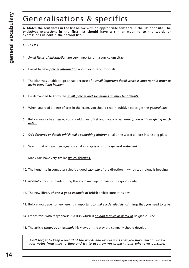## <span id="page-19-0"></span>Generalisations & specifics

**A. Match the sentences in the list below with an appropriate sentence in the list opposite. The** *underlined expressions* **in the first list should have a similar meaning to the words or expressions in** *bold* **in the second list.**

*FIRST LIST*

- 1. *Small items of information* are very important in a curriculum vitae.
- 2. I need to have *precise information* about your new proposals.
- 3. The plan was unable to go ahead because of a *small important detail which is important in order to make something happen.*
- 4. He demanded to know the *small, precise and sometimes unimportant details.*
- 5. When you read a piece of text in the exam, you should read it quickly first to get the *general idea.*
- 6. Before you write an essay, you should plan it first and give a broad *description without giving much detail.*
- 7. Odd features or details which make something different make the world a more interesting place.
- 8. Saying that all seventeen-year-olds take drugs is a bit of a *general statement.*
- 9. Many cars have very similar *typical features.*
- 10. The huge rise in computer sales is a good *example* of the direction in which technology is heading.
- 11. *Normally,* most students sitting the exam manage to pass with a good grade.
- 12. The new library *shows a good example of* British architecture at its best.
- 13. Before you travel somewhere, it is important to *make a detailed list of* things that you need to take.
- 14. French fries with mayonnaise is a dish which is *an odd feature or detail of* Belgian cuisine.
- 15. The article *shows as an example* his views on the way the company should develop.

*Don't forget to keep a record of the words and expressions that you have learnt, review your notes from time to time and try to use new vocabulary items whenever possible.*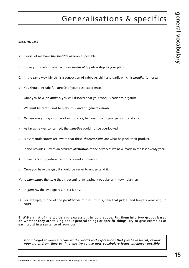## Generalisations & specifics

#### *SECOND LIST*

- A. Please let me have *the specifics* as soon as possible.
- B. It's very frustrating when a minor *technicality* puts a stop to your plans.
- C. In the same way, kimchii is a concoction of cabbage, chilli and garlic which is *peculiar to* Korea.
- D. You should include full *details* of your past experience.
- E. Once you have an *outline,* you will discover that your work is easier to organise.
- F. We must be careful not to make this kind of *generalisation.*
- G. *Itemise* everything in order of importance, beginning with your passport and visa.
- H. As far as he was concerned, the *minutiae* could not be overlooked.
- I. Most manufacturers are aware that these *characteristics* are what help sell their product.
- J. It also provides us with an accurate *illustration* of the advances we have made in the last twenty years.
- K. It *illustrates* his preference for increased automation.
- L. Once you have the *gist,* it should be easier to understand it.
- M. It *exemplifies* the style that is becoming increasingly popular with town planners.
- N. In *general,* the average result is a B or C.
- O. For example, it one of the *peculiarities* of the British system that judges and lawyers wear wigs in court.

**B. Write a list of the words and expressions in bold above. Put them into two groups based on whether they are talking about general things or specific things. Try to give examples of each word in a sentence of your own.**

*Don't forget to keep a record of the words and expressions that you have learnt, review your notes from time to time and try to use new vocabulary items whenever possible.*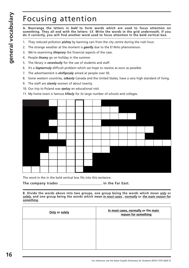## <span id="page-21-0"></span>Focusing attention

**A. Rearrange the letters in** *bold* **to form words which are used to focus attention on something. They all end with the letters -LY. Write the words in the grid underneath. If you do it correctly, you will find another word used to focus attention in the bold vertical box.**

- 1. They reduced pollution *pislmy* by banning cars from the city centre during the rush hour.
- 2. The strange weather at the moment is *gaerlly* due to the El Niño phenomenon.
- 3. We're examining *iilmprary* the financial aspects of the case.
- 4. People *ilnamy* go on holiday in the summer.
- 5. The library is *veceslxuily* for the use of students and staff.
- 6. It's a *ilaptarrculy* difficult problem which we hope to resolve as soon as possible.
- 7. The advertisement is *elcifipcsaly* aimed at people over 50.
- 8. Some western countries, *otbanly* Canada and the United States, have a very high standard of living.
- 9. The staff are *stomly* women of about twenty.
- 10. Our trip to Poland was *rpeluy* an educational visit.

11. My home town is famous *hfiecly* for its large number of schools and colleges.



The word in the in the bold vertical box fits into this sentence:

**The company trades \_\_\_\_\_\_\_\_\_\_\_\_\_\_\_\_\_\_\_\_\_\_\_\_\_\_ in the Far East**.

**B. Divide the words above into two groups, one group being the words which mean** *only* **or** *solely,* **and one group being the words which mean** *in most cases , normally* **or** *the main reason for something.* 

| Only or solely | In most cases, normally or the main<br>reason for something |
|----------------|-------------------------------------------------------------|
|                |                                                             |
|                |                                                             |
|                |                                                             |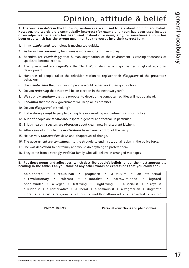## Opinion, attitude & belief

<span id="page-22-0"></span>**A. The words in** *italics* **in the following sentences are all used to talk about opinion and belief. However, the words are grammatically incorrect (for example, a noun has been used instead of an adjective, or a verb has been used instead of a noun, etc.), or sometimes a noun has been used which has the wrong meaning. Put the words into their correct form.**

- 1. In my *opinionated*, technology is moving too quickly.
- 2. As far as I am *concerning,* happiness is more important than money.
- 3. Scientists are *convincingly* that human degradation of the environment is causing thousands of species to become extinct.
- 4. The government are *regardless* the Third World debt as a major barrier to global economic development.
- 5. Hundreds of people called the television station to register their *disapprove* of the presenter's behaviour.
- 6. She *maintenance* that most young people would rather work than go to school.
- 7. Do you *reckoning* that there will be an election in the next two years?
- 8. We strongly *suspicion* that the proposal to develop the computer facilities will not go ahead.
- 9. I *doubtful* that the new government will keep all its promises.
- 10. Do you *disapproval* of smoking?
- 11. I take strong *except* to people coming late or cancelling appointments at short notice.
- 12. A lot of people are *fanatic* about sport in general and football in particular.
- 13. British health inspectors are *obsession* about cleanliness in restaurant kitchens.
- 14. After years of struggle, the *moderations* have gained control of the party.
- 15. He has very *conservatism* views and disapproves of change.
- 16. The government are *commitment* to the struggle to end institutional racism in the police force.
- 17. She was *dedication* to her family and would do anything to protect them.
- 18. They come from a strongly *tradition* family who still believe in arranged marriages.

**B. Put these nouns and adjectives, which describe people's beliefs, under the most appropriate heading in the table. Can you think of any other words or expressions that you could add?**

opinionated • a republican • pragmatic • a Muslim • an intellectual a revolutionary • tolerant • a moralist • narrow-minded • bigoted open-minded • a vegan • left-wing • right-wing • a socialist • a royalist a Buddhist • a conservative • a liberal • a communist • a vegetarian • dogmatic moral • a fascist • religious • a Hindu • middle-of-the-road • an anarchist • a stoic

| <b>Political beliefs</b> | Personal convictions and philosophies |
|--------------------------|---------------------------------------|
|                          |                                       |
|                          |                                       |
|                          |                                       |
|                          |                                       |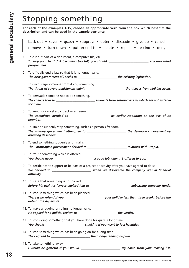## <span id="page-23-0"></span>Stopping something

**For each of the examples 1-15, choose an appropriate verb from the box which best fits the description and can be used in the sample sentence.**

back out • sever • quash • suppress • deter • dissuade • give up • cancel remove • turn down • put an end to • delete • repeal • rescind • deny

- 1. To cut out part of a document, a computer file, etc. *To stop your hard disk becoming too full, you should \_\_\_\_\_\_\_\_\_\_\_\_\_\_\_\_\_\_\_\_\_\_\_\_\_\_ any unwanted programmes.*
- 2. To officially end a law so that it is no longer valid. *The new government Bill seeks to \_\_\_\_\_\_\_\_\_\_\_\_\_\_\_\_\_\_\_\_\_\_\_\_\_\_ the existing legislation.*
- 3. To discourage someone from doing something. *The threat of severe punishment didn't \_\_\_\_\_\_\_\_\_\_\_\_\_\_\_\_\_\_\_\_\_\_\_\_\_\_ the thieves from striking again.*
- 4. To persuade someone not to do something. *The college tries to \_\_\_\_\_\_\_\_\_\_\_\_\_\_\_\_\_\_\_\_\_\_\_\_\_\_ students from entering exams which are not suitable for them.*
- 5. To annul or cancel a contract or agreement. *The committee decided to \_\_\_\_\_\_\_\_\_\_\_\_\_\_\_\_\_\_\_\_\_\_\_\_\_\_ its earlier resolution on the use of its premises.*
- 6. To limit or suddenly stop something, such as a person's freedom. *The military government attempted to \_\_\_\_\_\_\_\_\_\_\_\_\_\_\_\_\_\_\_\_\_\_\_\_\_\_ the democracy movement by arresting its leaders.*
- 7. To end something suddenly and finally. *The Cornucopian government decided to \_\_\_\_\_\_\_\_\_\_\_\_\_\_\_\_\_\_\_\_\_\_\_\_\_\_ relations with Utopia.*
- 8. To refuse something which is offered. *You should never \_\_\_\_\_\_\_\_\_\_\_\_\_\_\_\_\_\_\_\_\_\_\_\_\_\_ a good job when it's offered to you.*
- 9. To decide not to support or be part of a project or activity after you have agreed to do so. *We decided to \_\_\_\_\_\_\_\_\_\_\_\_\_\_\_\_\_\_\_\_\_\_\_\_\_\_ when we discovered the company was in financial difficulty.*
- 10. To state that something is not correct. *Before his trial, his lawyer advised him to \_\_\_\_\_\_\_\_\_\_\_\_\_\_\_\_\_\_\_\_\_\_\_\_\_\_ embezzling company funds.*
- 11. To stop something which has been planned. *There is no refund if you \_\_\_\_\_\_\_\_\_\_\_\_\_\_\_\_\_\_\_\_\_\_\_\_\_\_ your holiday less than three weeks before the date of the departure.*
- 12. To make a judging or ruling no longer valid. *He applied for a judicial review to \_\_\_\_\_\_\_\_\_\_\_\_\_\_\_\_\_\_\_\_\_\_\_\_\_\_ the verdict.*
- 13. To stop doing something that you have done for quite a long time. *You should \_\_\_\_\_\_\_\_\_\_\_\_\_\_\_\_\_\_\_\_\_\_\_\_\_\_ smoking if you want to feel healthier.*
- 14. To stop something which has been going on for a long time. *They agreed to \_\_\_\_\_\_\_\_\_\_\_\_\_\_\_\_\_\_\_\_\_\_\_\_\_\_ their long-standing dispute.*
- 15. To take something away. *I would be grateful if you would \_\_\_\_\_\_\_\_\_\_\_\_\_\_\_\_\_\_\_\_\_\_\_\_\_\_ my name from your mailing list.*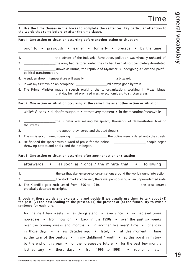### Time

<span id="page-24-0"></span>**A. Use the time clauses in the boxes to complete the sentences. Pay particular attention to the words that come before or after the time clause.**

#### **Part 1: One action or situation occurring before another action or situation**

prior to • previously • earlier • formerly • precede • by the time

- 1. \_\_\_\_\_\_\_\_\_\_\_\_\_\_\_\_\_\_\_\_\_the advent of the Industrial Revolution, pollution was virtually unheard of.
- 2. \_\_\_\_\_\_\_\_\_\_\_\_\_\_\_\_\_\_\_\_\_\_\_the army had restored order, the city had been almost completely devastated.
- 3. \_\_\_\_\_\_\_\_\_\_\_\_\_\_\_\_\_\_\_\_\_known as Burma, the republic of Myanmar is undergoing a slow and painful political transformation.
- 4. A sudden drop in temperature will usually \_\_\_\_\_\_\_\_\_\_\_\_\_\_\_\_\_\_\_\_\_\_\_\_\_\_\_\_\_\_\_\_\_a blizzard.
- 5. It was my first trip on an aeroplane. \_\_\_\_\_\_\_\_\_\_\_\_\_\_\_\_\_\_\_\_\_I'd always gone by train.
- 6. The Prime Minister made a speech praising charity organisations working in Mozambique. that day he had promised massive economic aid to stricken areas.

#### **Part 2: One action or situation occurring at the same time as another action or situation**

while/as/just as • during/throughout • at that very moment • in the meantime/meanwhile

- 1. \_\_\_\_\_\_\_\_\_\_\_\_\_\_\_\_\_\_\_\_\_the minister was making his speech, thousands of demonstrators took to the streets.
- 2. **Example 2.** The speech they jeered and shouted slogans.
- 3. The minister continued speaking. \_\_\_\_\_\_\_\_\_\_\_\_\_\_\_\_\_\_\_\_\_\_\_\_\_\_\_\_\_the police were ordered onto the streets.
- 4. He finished the speech with a word of praise for the police. \_\_\_\_\_\_\_\_\_\_\_\_\_\_\_\_\_\_\_\_\_\_\_\_ people began throwing bottles and bricks, and the riot began.

#### **Part 3: One action or situation occurring after another action or situation**

| afterwards | • as soon as / once / the minute that |  | following |
|------------|---------------------------------------|--|-----------|
|------------|---------------------------------------|--|-----------|

1. \_\_\_\_\_\_\_\_\_\_\_\_\_\_\_\_\_\_\_\_\_ the earthquake, emergency organisations around the world swung into action.

2. \_\_\_\_\_\_\_\_\_\_\_\_\_\_\_\_\_\_\_\_\_ the stock market collapsed, there was panic buying on an unprecedented scale.

3. The Klondike gold rush lasted from 1896 to 1910. The manufacture is the area became practically deserted overnight.

**B. Look at these words and expressions and decide if we usually use them to talk about (1) the past, (2) the past leading to the present, (3) the present or (4) the future. Try to write a sentence for each one.**

for the next few weeks • as things stand • ever since • in medieval times nowadays • from now on • back in the 1990s • over the past six weeks over the coming weeks and months • in another five years' time • one day in those days • a few decades ago • lately • at this moment in time at the turn of the century  $\bullet$  in my childhood / youth  $\bullet$  at this point in history by the end of this year • for the foreseeable future • for the past few months last century • these days • from 1996 to 1998 • sooner or later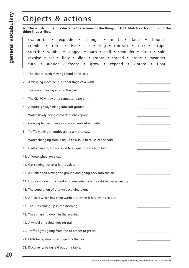## <span id="page-25-0"></span>Objects & actions

**A. The words in the box describe the actions of the things in 1-37. Match each action with the thing it describes.**

| evaporate • explode • change • melt • fade • bounce                 |
|---------------------------------------------------------------------|
| crumble • trickle • rise • sink • ring • contract • crack • escape  |
| stretch • wobble • congeal • burn • spill • smoulder • erupt • spin |
| revolve • set • flow • slide • rotate • spread • erode • meander    |
| turn • subside • freeze • grow • expand • vibrate • float           |

- 1. The planet Earth moving round on its axis. 2. A washing machine in its final stage of a wash.
- 3. The moon moving around the Earth. 4. The CD-ROM tray on a computer base unit. 5. A house slowly sinking into soft ground. 6. Water slowly being converted into vapour. 7. Cooking fat becoming solid on an unwashed plate.
- 8. Traffic moving smoothly along a motorway.
- 9. Water changing from a liquid to a solid because of the cold.
- 10. Glass changing from a solid to a liquid in very high heat.
- 11. A loose wheel on a car.
- 12. Gas coming out of a faulty valve.
- 13. A rubber ball hitting the ground and going back into the air.
- 14. Loose windows in a window frame when a large vehicle passes nearby.
- 15. The population of a town becoming bigger.
- 16. A T-shirt which has been washed so often it has lost its colour.
- 17. The sun coming up in the morning.
- 18. The sun going down in the evening.
- 19. A wheel on a slow-moving train.
- 20. Traffic lights going from red to amber to green.
- 21. Cliffs being slowly destroyed by the sea.
- 22. Documents being laid out on a table.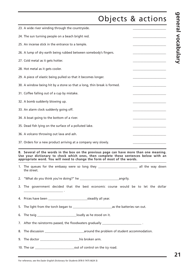## Objects & actions

| 23. A wide river winding through the countryside.                                                                                                                                                                                                           |  |  |  |                  |  |  |
|-------------------------------------------------------------------------------------------------------------------------------------------------------------------------------------------------------------------------------------------------------------|--|--|--|------------------|--|--|
| 24. The sun turning people on a beach bright red.                                                                                                                                                                                                           |  |  |  |                  |  |  |
| 25. An incense stick in the entrance to a temple.                                                                                                                                                                                                           |  |  |  |                  |  |  |
| 26. A lump of dry earth being rubbed between somebody's fingers.                                                                                                                                                                                            |  |  |  |                  |  |  |
| 27. Cold metal as it gets hotter.                                                                                                                                                                                                                           |  |  |  |                  |  |  |
| 28. Hot metal as it gets cooler.                                                                                                                                                                                                                            |  |  |  |                  |  |  |
| 29. A piece of elastic being pulled so that it becomes longer.                                                                                                                                                                                              |  |  |  |                  |  |  |
| 30. A window being hit by a stone so that a long, thin break is formed.                                                                                                                                                                                     |  |  |  |                  |  |  |
| 31. Coffee falling out of a cup by mistake.                                                                                                                                                                                                                 |  |  |  |                  |  |  |
| 32. A bomb suddenly blowing up.                                                                                                                                                                                                                             |  |  |  |                  |  |  |
| 33. An alarm clock suddenly going off.                                                                                                                                                                                                                      |  |  |  |                  |  |  |
| 34. A boat going to the bottom of a river.                                                                                                                                                                                                                  |  |  |  |                  |  |  |
| 35. Dead fish lying on the surface of a polluted lake.                                                                                                                                                                                                      |  |  |  |                  |  |  |
| 36. A volcano throwing out lava and ash.                                                                                                                                                                                                                    |  |  |  |                  |  |  |
|                                                                                                                                                                                                                                                             |  |  |  |                  |  |  |
| 37. Orders for a new product arriving at a company very slowly.                                                                                                                                                                                             |  |  |  |                  |  |  |
| B. Several of the words in the box on the previous page can have more than one meaning.<br>Use your dictionary to check which ones, then complete these sentences below with an<br>appropriate word. You will need to change the form of most of the words. |  |  |  |                  |  |  |
| 1. The queues for the embassy were so long they<br>the street.                                                                                                                                                                                              |  |  |  | all the way down |  |  |
|                                                                                                                                                                                                                                                             |  |  |  |                  |  |  |
| 3. The government decided that the best economic course would be to let the dollar<br>the contract of the contract of the contract of the contract of                                                                                                       |  |  |  |                  |  |  |
|                                                                                                                                                                                                                                                             |  |  |  |                  |  |  |
|                                                                                                                                                                                                                                                             |  |  |  |                  |  |  |
|                                                                                                                                                                                                                                                             |  |  |  |                  |  |  |
| 7. After the rainstorms passed, the floodwaters gradually _______________________.                                                                                                                                                                          |  |  |  |                  |  |  |
|                                                                                                                                                                                                                                                             |  |  |  |                  |  |  |
|                                                                                                                                                                                                                                                             |  |  |  |                  |  |  |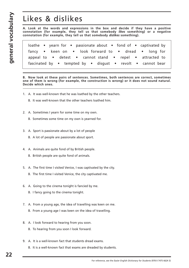## <span id="page-27-0"></span>Likes & dislikes

**A. Look at the words and expressions in the box and decide if they have a positive connotation (for example, they tell us that somebody** *likes* **something) or a negative connotation (for example, they tell us that somebody** *dislikes* **something).**

| loathe • yearn for • passionate about • fond of • captivated by                          |  |
|------------------------------------------------------------------------------------------|--|
| fancy • keen on • look forward to • dread • long for                                     |  |
| appeal to $\bullet$ detest $\bullet$ cannot stand $\bullet$ repel $\bullet$ attracted to |  |
| fascinated by • tempted by • disqust • revolt • cannot bear                              |  |

**B. Now look at these pairs of sentences. Sometimes, both sentences are correct, sometimes one of them is wrong (for example, the construction is wrong) or it does not sound natural. Decide which ones.**

- 1. A. It was well-known that he was loathed by the other teachers.
	- B. It was well-known that the other teachers loathed him.
- 2. A. Sometimes I yearn for some time on my own.
	- B. Sometimes some time on my own is yearned for.
- 3. A. Sport is passionate about by a lot of people
	- B. A lot of people are passionate about sport.
- 4. A. Animals are quite fond of by British people.
	- B. British people are quite fond of animals.
- 5. A. The first time I visited Venice, I was captivated by the city.
	- B. The first time I visited Venice, the city captivated me.
- 6. A. Going to the cinema tonight is fancied by me.
	- B. I fancy going to the cinema tonight.
- 7. A. From a young age, the idea of travelling was keen on me.
	- B. From a young age I was keen on the idea of travelling.
- 8. A. I look forward to hearing from you soon.
	- B. To hearing from you soon I look forward.
- 9. A. It is a well-known fact that students dread exams.
	- B. It is a well-known fact that exams are dreaded by students.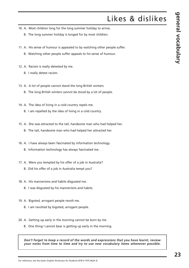## Likes & dislikes

- 10. A. Most children long for the long summer holiday to arrive.
	- B. The long summer holiday is longed for by most children.
- 11. A. His sense of humour is appealed to by watching other people suffer.
	- B. Watching other people suffer appeals to his sense of humour.
- 12. A. Racism is really detested by me.
	- B. I really detest racism.
- 13. A. A lot of people cannot stand the long British winters.
	- B. The long British winters cannot be stood by a lot of people.
- 14. A. The idea of living in a cold country repels me.
	- B. I am repelled by the idea of living in a cold country.
- 15. A. She was attracted to the tall, handsome man who had helped her.
	- B. The tall, handsome man who had helped her attracted her.
- 16. A. I have always been fascinated by information technology.
	- B. Information technology has always fascinated me.
- 17. A. Were you tempted by his offer of a job in Australia?
	- B. Did his offer of a job in Australia tempt you?
- 18. A. His mannerisms and habits disgusted me.
	- B. I was disgusted by his mannerisms and habits.
- 19. A. Bigoted, arrogant people revolt me.
	- B. I am revolted by bigoted, arrogant people.
- 20. A. Getting up early in the morning cannot be born by me.
	- B. One thing I cannot bear is getting up early in the morning.

*Don't forget to keep a record of the words and expressions that you have learnt, review your notes from time to time and try to use new vocabulary items whenever possible.*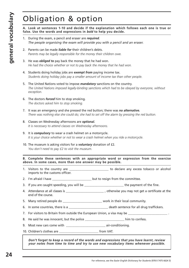## <span id="page-29-0"></span>Obligation & option

**A. Look at sentences 1-10 and decide if the explanation which follows each one is true or false. Use the words and expressions in** *bold* **to help you decide.**

- 1. During the exam, a pencil and eraser are *required*. *The people organising the exam will provide you with a pencil and an eraser.*
- 2. Parents can be made *liable for* their children's debts. *Parents may be legally responsible for the money their children owe.*
- 3. He was *obliged to* pay back the money that he had won. *He had the choice whether or not to pay back the money that he had won.*
- 4. Students doing holiday jobs are *exempt from* paying income tax. *Students doing holiday jobs pay a smaller amount of income tax than other people.*
- 5. The United Nations voted to impose *mandatory* sanctions on the country. *The United Nations imposed legally-binding sanctions which had to be obeyed by everyone, without exception.*
- 6. The doctors *forced* him to stop smoking. *The doctors asked him to stop smoking.*
- 7. It was an emergency and she pressed the red button; there was *no alternative. There was nothing else she could do; she had to set off the alarm by pressing the red button.*
- 8. Classes on Wednesday afternoons are *optional. It is necessary to attend classes on Wednesday afternoons.*
- 9. It is *compulsory* to wear a crash helmet on a motorcycle. *It is your choice whether or not to wear a crash helmet when you ride a motorcycle.*
- 10. The museum is asking visitors for a *voluntary* donation of £2. *You don't need to pay £2 to visit the museum.*

#### **B. Complete these sentences with an appropriate word or expression from the exercise above. In some cases, more than one answer may be possible.**

- 1. Visitors to the country are \_\_\_\_\_\_\_\_\_\_\_\_\_\_\_\_\_\_\_\_\_\_\_\_\_\_ to declare any excess tobacco or alcohol imports to the customs officer.
- 2. I'm afraid I have \_\_\_\_\_\_\_\_\_\_\_\_\_\_\_\_\_\_\_\_\_\_\_\_\_\_\_ but to resign from the committee.
- 3. If you are caught speeding, you will be \_\_\_\_\_\_\_\_\_\_\_\_\_\_\_\_\_\_\_\_\_\_\_\_\_\_\_\_\_\_\_the payment of the fine.
- 4. Attendance at all classes is \_\_\_\_\_\_\_\_\_\_\_\_\_\_\_\_\_\_\_\_\_\_\_\_\_\_\_\_\_\_, otherwise you may not get a certificate at the end of the course.
- 5. Many retired people do \_\_\_\_\_\_\_\_\_\_\_\_\_\_\_\_\_\_\_\_\_\_\_\_\_\_\_\_ work in their local community.
- 6. In some countries, there is a series and sentence for all drug traffickers.
- 7. For visitors to Britain from outside the European Union, a visa may be \_\_\_\_\_\_
- 8. He said he was innocent, but the police entity and the matrix him to confess.
- 9. Most new cars come with \_\_\_\_\_\_\_\_\_\_\_\_\_\_\_\_\_\_\_\_\_\_\_\_\_\_\_\_\_\_\_\_ air-conditioning.
- 10. Children's clothes are \_\_\_\_\_\_\_\_\_\_\_\_\_\_\_\_\_\_\_\_\_\_\_\_\_\_ from VAT.

*Don't forget to keep a record of the words and expressions that you have learnt, review your notes from time to time and try to use new vocabulary items whenever possible.*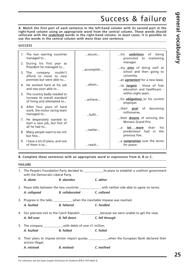## Success & failure

<span id="page-30-0"></span>**A. Match the first part of each sentence in the left-hand column with its second part in the right-hand column using an appropriate word from the central column. These words should collocate with the** *underlined* **words in the right-hand column. In most cases, it is possible to use the words in the central column with more than one sentence.**

#### **SUCCESS**

|    | 1. The two warring countries<br>managed to                                    | $$ secure $$  | his <u>ambitions</u><br>of<br>being<br>promoted to<br>marketing                 |
|----|-------------------------------------------------------------------------------|---------------|---------------------------------------------------------------------------------|
| 2. | During his first year as<br>President he managed to                           |               | manager.<br>my <i>aims</i> of doing well at                                     |
| 3. | company couldn't<br>The<br>afford to move to new<br>premises but were able to | accomplish    | school and then going to<br>university.<br>an <i>agreement</i> for a new lease. |
|    | 4. He worked hard at his job<br>and was soon able to                          | attain        | its <i>targets</i> - those of free<br>education and healthcare -                |
|    | 5. The country badly needed to                                                |               | within eight years.                                                             |
|    | increase its overall standard<br>of living and attempted to                   | achieve       | his <b>obligations</b> to his current<br>employer.                              |
|    | 6. After four years of hard<br>work, the motor racing team<br>managed to      | $$ fulfil $$  | their <b>goal</b> of becoming<br>millionaires.                                  |
|    | 7. He desperately wanted to<br>start a new job, but first of                  |               | their <i>dreams</i> of winning the<br>Monaco Grand Prix.                        |
|    | all he had to                                                                 |               | than<br>his<br>lot more<br>a                                                    |
| 8. | Many people want to be rich<br>but few                                        | $$ realise $$ | predecessor had in<br>the<br>previous five.                                     |
|    | 9. I have a lot of plans, and one<br>of them is to                            | …reach…       | a compromise over the terms<br>for peace.                                       |

#### **B. Complete these sentences with an appropriate word or expression from A, B or C.**

#### **FAILURE**

| with the Democratic Liberal Party. |                                                              | 1. The People's Foundation Party decided to ____________________its plans to establish a coalition government |
|------------------------------------|--------------------------------------------------------------|---------------------------------------------------------------------------------------------------------------|
| A. abate B. abandon                |                                                              | C. abhor                                                                                                      |
|                                    |                                                              | 2. Peace talks between the two countries _____________, with neither side able to agree on terms.             |
|                                    | A. collapsed B. collaborated C. collared                     |                                                                                                               |
|                                    |                                                              | 3. Progress in the talks _______________when the inevitable impasse was reached.                              |
|                                    | A. faulted B. faltered C. fondled                            |                                                                                                               |
|                                    |                                                              | 4. Our planned visit to the Czech Republic _____________because we were unable to get the visas.              |
|                                    | A. fell over B. fell down C. fell through                    |                                                                                                               |
|                                    | 5. The company _______________with debts of over £1 million. |                                                                                                               |
|                                    | A. faulted B. folded C. foiled                               |                                                                                                               |
| actions illegal.                   |                                                              |                                                                                                               |
| A. mistook B. mislead              |                                                              | C. misfired                                                                                                   |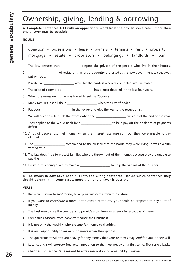## <span id="page-31-0"></span>Ownership, giving, lending & borrowing

**A. Complete sentences 1-13 with an appropriate word from the box. In some cases, more than one answer may be possible.**

#### **NOUNS**

|  | donation • possessions • lease • owners • tenants • rent • property |
|--|---------------------------------------------------------------------|
|  | mortgage • estate • proprietors • belongings • landlords • loan     |

- 1. The law ensures that \_\_\_\_\_\_\_\_\_\_\_\_ respect the privacy of the people who live in their houses.
- 2. \_\_\_\_\_\_\_\_\_\_\_\_\_\_\_\_\_\_\_\_\_\_\_\_\_\_ of restaurants across the country protested at the new government tax that was put on food.
- 3. Private car \_\_\_\_\_\_\_\_\_\_\_\_\_\_\_\_\_\_\_\_ were hit the hardest when tax on petrol was increased.
- 4. The price of commercial and the same of commercial the last four years.
- 5. When the recession hit, he was forced to sell his 250-acre

6. Many families lost all their example the river flooded.

- 7. Put your \_\_\_\_\_\_\_\_\_\_\_\_\_\_\_\_\_\_\_\_\_\_ in the locker and give the key to the receptionist.
- 8. We will need to relinquish the offices when the \_\_\_\_\_\_\_\_\_\_\_\_\_\_\_\_\_\_\_\_\_\_\_ runs out at the end of the year.
- 9. They applied to the World Bank for a \_\_\_\_\_\_\_\_\_\_\_\_\_\_\_\_\_\_\_\_\_\_\_ to help pay off their balance of payments deficit.
- 10. A lot of people lost their homes when the interest rate rose so much they were unable to pay off their **compared to the set of the set of the set of the set of the set of the set of the set of the set of the set of the set of the set of the set of the set of the set of the set of the set of the set of the set of t**
- 11. The \_\_\_\_\_\_\_\_\_\_\_\_\_\_\_\_\_\_\_\_ complained to the council that the house they were living in was overrun with vermin.
- 12. The law does little to protect families who are thrown out of their homes because they are unable to  $\mathsf{pay\ the}\qquad \qquad \blacksquare$
- 13. Everybody is being asked to make a \_\_\_\_\_\_\_\_\_\_\_\_\_\_\_\_\_\_\_\_\_\_ to help the victims of the disaster.

#### **B. The words in** *bold* **have been put into the wrong sentences. Decide which sentences they should belong in. In some cases, more than one answer is possible.**

#### **VERBS**

- 1. Banks will refuse to *rent* money to anyone without sufficient collateral.
- 2. If you want to *contribute* a room in the centre of the city, you should be prepared to pay a lot of money.
- 3. The best way to see the country is to *provide* a car from an agency for a couple of weeks.
- 4. Companies *allocate* from banks to finance their business.
- 5. It is not only the wealthy who *provide for* money to charities.
- 6. It is our responsibility to *leave* our parents when they get old.
- 7. The government will tax you heavily for any money that your relatives may *lend* for you in their will.
- 8. Local councils will *borrow* free accommodation to the most needy on a first-come, first-served basis.
- 9. Charities such as the Red Crescent *hire* free medical aid to areas hit by disasters.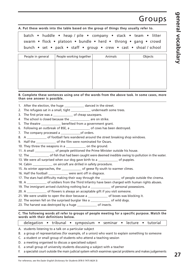## Groups

**general vocabulary**

general vocabular

<span id="page-32-0"></span>

| A. Put these words into the table based on the group of things they usually refer to. |  |  |  |  |  |  |  |
|---------------------------------------------------------------------------------------|--|--|--|--|--|--|--|
|                                                                                       |  |  |  |  |  |  |  |

| batch • huddle • heap / pile • company • stack • team • litter    |  |
|-------------------------------------------------------------------|--|
| swarm • flock • platoon • bundle • herd • throng • gang • crowd   |  |
| bunch • set • pack • staff • group • crew • cast • shoal / school |  |

| People in general | People working together | Animals | Objects |
|-------------------|-------------------------|---------|---------|
|                   |                         |         |         |
|                   |                         |         |         |
|                   |                         |         |         |
|                   |                         |         |         |
|                   |                         |         |         |

**B. Complete these sentences using one of the words from the above task. In some cases, more than one answer is possible.**

- 1. After the election, the huge \_\_\_\_\_\_\_\_\_\_\_\_\_\_\_ danced in the street.
- 2. The refugees sat in a small, tight exactled underneath some trees.
- 3. The first prize was a \_\_\_\_\_\_\_\_\_\_\_\_\_ of cheap saucepans.
- 4 The school is closed because the \_\_\_\_\_\_\_\_\_\_\_\_\_ are on strike.
- 5. The theatre \_\_\_\_\_\_\_\_\_\_\_\_\_\_\_ benefited from a government grant.
- 6. Following an outbreak of BSE, a \_\_\_\_\_\_\_\_\_\_\_\_\_ of cows has been destroyed.
- 7. The company processed a b of orders.
- 8. A \_\_\_\_\_\_\_\_\_\_\_\_ of football fans wandered around the street breaking shop windows.
- 9. Half the  $\qquad \qquad$  of the film were nominated for Oscars.
- 10. They threw the weapons in a \_\_\_\_\_\_\_\_\_\_\_\_\_ on the ground.
- 11. A small of people petitioned the Prime Minister outside his house.
- 12. The \_\_\_\_\_\_\_\_\_\_\_\_\_ of fish that had been caught were deemed inedible owing to pollution in the water.
- 13. We were all surprised when our dog gave birth to a controllering puppies.
- 14. Cabin \_\_\_\_\_\_\_\_\_\_\_\_\_\_\_ on aircraft are drilled in safety procedure.
- 15. As winter approaches, the \_\_\_\_\_\_\_\_\_\_\_\_\_\_\_ of geese fly south to warmer climes.
- 16. Half the football were sent off in disgrace.
- 17. The stars had difficulty making their way through the \_\_\_\_\_\_\_\_\_\_\_\_\_ of people outside the cinema.
- 18. A \_\_\_\_\_\_\_\_\_\_\_\_\_ of soldiers from the Third Infantry have been charged with human rights abuses.
- 19. The immigrant arrived clutching nothing but a case of personal possessions.
- 20. A  $\blacksquare$  of flowers is always an acceptable gift if you visit someone.
- 21. We were unable to open the door because a \_\_\_\_\_\_\_\_\_\_\_\_\_ of boxes was blocking it.
- 22. The women fell on the surprised burglar like a \_\_\_\_\_\_\_\_\_\_\_\_\_ of wild dogs.
- 23. The harvest was destroyed by a huge exact of insects.

#### **C. The following words all refer to groups of people meeting for a specific purpose. Match the words with their definitions below.**

|  |  | delegation • tribunal • symposium • seminar • lecture • tutorial |  |  |  |  |
|--|--|------------------------------------------------------------------|--|--|--|--|
|  |  |                                                                  |  |  |  |  |

- A. students listening to a talk on a particular subject
- B. a group of representatives (for example, of a union) who want to explain something to someone
- C. a student or small group of students who attend a teaching session
- D. a meeting organised to discuss a specialised subject
- E. a small group of university students discussing a subject with a teacher
- F. a specialist court outside the main judicial system which examines special problems and makes judgements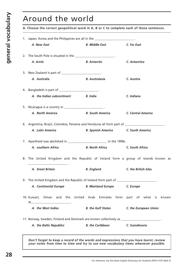## <span id="page-33-0"></span>Around the world

**A. Choose the correct geopolitical word in A, B or C to complete each of these sentences.**

| 1. Japan, Korea and the Philippines are all in the ________________________.                                                       |                                            |                           |  |  |  |  |
|------------------------------------------------------------------------------------------------------------------------------------|--------------------------------------------|---------------------------|--|--|--|--|
| A. Near East                                                                                                                       | <b>B. Middle East</b>                      | C. Far East               |  |  |  |  |
| 2. The South Pole is situated in the _________________________.                                                                    |                                            |                           |  |  |  |  |
| A. Arctic                                                                                                                          | <b>B.</b> Antarctic                        | C. Antarctica             |  |  |  |  |
| 3. New Zealand is part of ________________________________.                                                                        |                                            |                           |  |  |  |  |
| A. Australia                                                                                                                       | <b>B.</b> Australasia                      | C. Austria                |  |  |  |  |
| 4. Bangladesh is part of ________________________________.                                                                         |                                            |                           |  |  |  |  |
| A. the Indian subcontinent                                                                                                         | <b>B.</b> India                            | C. Indiana                |  |  |  |  |
| 5. Nicaragua is a country in _________________________________.                                                                    |                                            |                           |  |  |  |  |
| A. North America                                                                                                                   | <b>B. South America</b>                    | <b>C. Central America</b> |  |  |  |  |
| 6. Argentina, Brazil, Colombia, Panama and Honduras all form part of ________________________.                                     |                                            |                           |  |  |  |  |
| A. Latin America                                                                                                                   | <b>B. Spanish America C. South America</b> |                           |  |  |  |  |
| 7. Apartheid was abolished in ______________________________ in the 1990s.                                                         |                                            |                           |  |  |  |  |
| A. southern Africa                                                                                                                 | <b>B. North Africa C. South Africa</b>     |                           |  |  |  |  |
| 8. The United Kingdom and the Republic of Ireland form a group of islands known as<br>the company of the company of the company of |                                            |                           |  |  |  |  |
| A. Great Britain                                                                                                                   | <b>B.</b> England                          | C. the British Isles.     |  |  |  |  |
|                                                                                                                                    |                                            |                           |  |  |  |  |
| A. Continental Europe                                                                                                              | <b>B. Mainland Europe</b>                  | C. Europe                 |  |  |  |  |
| 10. Kuwait, Oman and the United Arab Emirates form part of what is known                                                           |                                            |                           |  |  |  |  |
| A. the West Indies                                                                                                                 | <b>B. the Gulf States</b>                  | C. the European Union     |  |  |  |  |
| 11. Norway, Sweden, Finland and Denmark are known collectively as ____________________________.                                    |                                            |                           |  |  |  |  |
| A. the Baltic Republics                                                                                                            | <b>B.</b> the Caribbean                    | C. Scandinavia            |  |  |  |  |
|                                                                                                                                    |                                            |                           |  |  |  |  |

*Don't forget to keep a record of the words and expressions that you have learnt, review your notes from time to time and try to use new vocabulary items whenever possible.*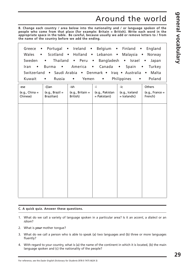## Around the world

**B. Change each country / area below into the nationality and / or language spoken of the** people who come from that place (for example: Britain = British). Write each word in the **appropriate space in the table. Be careful, because usually we add or remove letters to / from the name of the country before we add the ending.**

| Greece • Portugal • Ireland • Belgium • Finland • England       |
|-----------------------------------------------------------------|
| Wales • Scotland • Holland • Lebanon • Malaysia • Norway        |
| Sweden • Thailand • Peru • Bangladesh • Israel • Japan          |
| Iran • Burma • America • Canada • Spain • Turkey                |
| Switzerland • Saudi Arabia • Denmark • Iraq • Australia • Malta |
| Kuwait • Russia • Yemen • Philippines • Poland                  |

| -ese                         | -(i)an                          | -ish                           | -i                              | -ic                            | Others                       |
|------------------------------|---------------------------------|--------------------------------|---------------------------------|--------------------------------|------------------------------|
| (e.g., $China =$<br>Chinese) | $(e.g., Brazil =$<br>Brazilian) | $(e.g., Britain =$<br>British) | (e.g., Pakistan<br>= Pakistani) | (e.g., Iceland<br>= Icelandic) | $(e.g.,$ France =<br>French) |
|                              |                                 |                                |                                 |                                |                              |
|                              |                                 |                                |                                 |                                |                              |
|                              |                                 |                                |                                 |                                |                              |
|                              |                                 |                                |                                 |                                |                              |
|                              |                                 |                                |                                 |                                |                              |
|                              |                                 |                                |                                 |                                |                              |
|                              |                                 |                                |                                 |                                |                              |
|                              |                                 |                                |                                 |                                |                              |
|                              |                                 |                                |                                 |                                |                              |

#### **C. A quick quiz. Answer these questions.**

- 1. What do we call a variety of language spoken in a particular area? Is it an *accent*, a *dialect* or an *idiom*?
- 2. What is *your* mother tongue?
- 3. What do we call a person who is able to speak (a) two languages and (b) three or more languages fluently?
- 4. With regard to your country, what is (a) the name of the continent in which it is located, (b) the main language spoken and (c) the nationality of the people?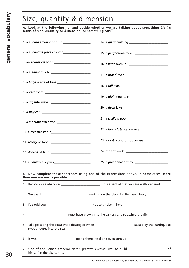## <span id="page-35-0"></span>Size, quantity & dimension

**A. Look at the following list and decide whether we are talking about something** *big* **(in terms of size, quantity or dimension) or something** *small***.**

|    | than one answer is possible.                                                              | B. Now complete these sentences using one of the expressions above. In some cases, more                |
|----|-------------------------------------------------------------------------------------------|--------------------------------------------------------------------------------------------------------|
|    |                                                                                           | 1. Before you embark on ________________________________, it is essential that you are well-prepared.  |
|    | 2. We spent _________________________________ working on the plans for the new library.   |                                                                                                        |
|    | 3. I've told you __________________________________ not to smoke in here.                 |                                                                                                        |
| 4. | _________________________________ must have blown into the camera and scratched the film. |                                                                                                        |
|    | swept houses into the sea.                                                                | 5. Villages along the coast were destroyed when _________________________ caused by the earthquake     |
|    | 6. It was _____________________________going there; he didn't even turn up.               |                                                                                                        |
|    | himself in the city centre.                                                               | 7. One of the Roman emperor Nero's greatest excesses was to build _________________________________ of |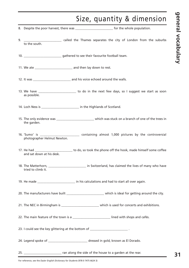# Size, quantity & dimension

8. Despite the poor harvest, there was \_\_\_\_\_\_\_\_\_\_\_\_\_\_\_\_\_\_\_\_\_\_\_\_\_ for the whole population.

- 9. \_\_\_\_\_\_\_\_\_\_\_\_\_\_\_\_\_\_\_\_\_\_\_\_\_\_\_ called the Thames separates the city of London from the suburbs to the south.
- 10. \_\_\_\_\_\_\_\_\_\_\_\_\_\_\_\_\_\_\_\_\_\_\_\_\_ gathered to see their favourite football team.
- 11. We ate \_\_\_\_\_\_\_\_\_\_\_\_\_\_\_\_\_\_\_\_\_\_\_\_\_ and then lay down to rest.
- 12. It was \_\_\_\_\_\_\_\_\_\_\_\_\_\_\_\_\_\_\_\_\_\_\_\_\_\_\_\_\_\_\_\_\_ and his voice echoed around the walls.
- 13. We have \_\_\_\_\_\_\_\_\_\_\_\_\_\_\_\_\_\_\_\_\_\_\_\_\_\_ to do in the next few days, so I suggest we start as soon as possible.
- 14. Loch Ness is **14. Loch Ness is 14.** Loch Ness is
- 15. The only evidence was \_\_\_\_\_\_\_\_\_\_\_\_\_\_\_\_\_\_\_\_\_\_\_\_\_ which was stuck on a branch of one of the trees in the garden.
- 16. 'Sumo' is \_\_\_\_\_\_\_\_\_\_\_\_\_\_\_\_\_\_\_\_\_\_\_\_\_ containing almost 1,000 pictures by the controversial photographer Helmut Newton.
- 17. He had \_\_\_\_\_\_\_\_\_\_\_\_\_\_\_\_\_\_\_\_\_\_\_\_\_\_\_\_ to do, so took the phone off the hook, made himself some coffee and sat down at his desk.
- 18. The Matterhorn, \_\_\_\_\_\_\_\_\_\_\_\_\_\_\_\_\_\_\_\_\_\_\_\_\_\_\_\_\_\_\_\_\_ in Switzerland, has claimed the lives of many who have tried to climb it.
- 19. He made \_\_\_\_\_\_\_\_\_\_\_\_\_\_\_\_\_\_\_\_\_\_\_\_\_ in his calculations and had to start all over again.
- 20. The manufacturers have built exactled the state of the control which is ideal for getting around the city.
- 21. The NEC in Birmingham is **Example 21.** The NEC in Birmingham is  $\frac{1}{2}$  which is used for concerts and exhibitions.
- 22. The main feature of the town is a z and the shops and cafés.

23. I could see the key glittering at the bottom of \_\_\_\_\_\_\_\_\_\_\_\_\_\_\_\_\_\_\_\_\_\_\_\_\_\_\_\_

24. Legend spoke of \_\_\_\_\_\_\_\_\_\_\_\_\_\_\_\_\_\_\_\_\_\_\_\_\_ dressed in gold, known as El Dorado.

25. \_\_\_\_\_\_\_\_\_\_\_\_\_\_\_\_\_\_\_\_\_\_\_\_\_ ran along the side of the house to a garden at the rear.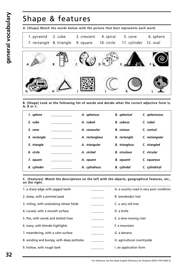# Shape & features

**A. (Shape) Match the words below with the picture that best represents each word.**

| 1. pyramid 2. cube |  | 3. crescent 4. spiral 5. cone                                       | 6. sphere |
|--------------------|--|---------------------------------------------------------------------|-----------|
|                    |  | 7. rectangle 8. triangle 9. square 10. circle 11. cylinder 12. oval |           |



**B. (Shape) Look at the following list of words and decide what the correct adjective form is, A, B or C.**

| 1. sphere    | A. spherous    | <b>B.</b> spherical  | C. spherocous  |
|--------------|----------------|----------------------|----------------|
| 2. cube      | A. cubed       | B. cubous            | C. cubal       |
| 3. cone      | A. conacular   | B. conous            | C. conical     |
| 4. rectangle | A. rectanglous | <b>B.</b> rectanglis | C. rectangular |
| 5. triangle  | A. triangular  | <b>B.</b> trianglous | C. triangled   |
| 6. circle    | A. circled     | <b>B.</b> circulous  | C. circular    |
| 7. square    | A. square      | <b>B.</b> squaret    | C. squarous    |
| 8. cylinder  | A. cylindrous  | <b>B.</b> cylindal   | C. cylindrical |
|              |                |                      |                |

**C. (Features) Match the descriptions on the left with the objects, geographical features, etc., on the right.**

| 1. a sharp edge with jagged teeth        | A. a country road in very poor condition |
|------------------------------------------|------------------------------------------|
| 2. steep, with a pointed peak            | B. somebody's hair                       |
| 3. rolling, with undulating wheat fields | C. a very old tree                       |
| 4. curved, with a smooth surface         | D. a knife                               |
| 5. flat, with words and dotted lines     | E. a slow-moving river                   |
| 6. wavy, with blonde highlights          | F. a mountain                            |
| 7. meandering, with a calm surface       | G. a banana                              |
| 8. winding and bumpy, with deep potholes | H. agricultural countryside              |
| 9. hollow, with rough bark               | I. an application form                   |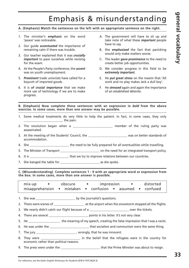# Emphasis & misunderstanding

## **A. (Emphasis) Match the sentences on the left with an appropriate sentence on the right.**

- 1. The minister's *emphasis* on the word 'peace' was noticeable.
- 2. Our guide *accentuated* the importance of remaining calm if there was trouble.
- 3. Our teacher explained that it was *crucially important* to pace ourselves while revising for the exam.
- 4. At the People's Party conference, the *accent* was on youth unemployment.
- 5. *Prominent* trade unionists have called for a boycott of imported goods.
- 6. It is *of crucial importance* that we make more use of technology if we are to make progress.
- A. The government will have to sit up and take note of what these *important* people have to say.
- B. She *emphasised* the fact that panicking would only make matters worse.
- C. The leader *gave prominence* to the need to create better job opportunities.
- D. We consider progress in this field to be *extremely important.*
- E. He *put great stress* on the maxim that 'All work and no play makes Jack a dull boy'.
- F. He *stressed* again and again the importance of an established détente.

**B. (Emphasis) Now complete these sentences with an expression in** *bold* **from the above exercise. In some cases, more than one answer may be possible.**

- 1. Some medical treatments do very little to help the patient. In fact, in some cases, they only  $\blacksquare$  the pain.
- 2. The revolution began when a \_\_\_\_\_\_\_\_\_\_\_\_\_\_\_\_\_\_\_\_\_\_\_\_ member of the ruling party was assassinated.
- 3. At the meeting of the Students' Council, the \_\_\_\_\_\_\_\_\_\_\_\_\_\_\_\_\_\_\_\_\_\_\_\_\_\_\_\_ was on better standards of accommodation.
- 4. She **the need to be fully prepared for all eventualities while travelling.**
- 5. The Minister of Transport \_\_\_\_\_\_\_\_\_\_\_\_\_\_\_\_\_\_\_\_\_\_\_\_\_\_ on the need for an integrated transport policy.
- 6. It is \_\_\_\_\_\_\_\_\_\_\_\_\_\_\_\_\_\_\_\_\_\_\_\_\_\_\_\_\_\_that we try to improve relations between our countries.
- 7. She banged the table for \_\_\_\_\_\_\_\_\_\_\_\_\_\_\_\_\_\_\_\_\_\_\_\_\_\_\_\_\_\_\_\_\_\_ as she spoke.

**C. (Misunderstanding) Complete sentences 1 - 9 with an appropriate word or expression from the box. In some cases, more than one answer is possible.** 

| mix-up                                                      |  | obscure | impression |  | distorted |
|-------------------------------------------------------------|--|---------|------------|--|-----------|
| misapprehension • mistaken • confusion • assumed • confused |  |         |            |  |           |

- 1. She was \_\_\_\_\_\_\_\_\_\_\_\_\_\_\_\_\_\_\_\_\_\_\_\_\_\_ by the journalist's questions.
- 2. There were scenes of \_\_\_\_\_\_\_\_\_\_\_\_\_\_\_\_\_\_\_\_\_\_\_\_\_ at the airport when the snowstorm stopped all the flights.
- 3. We nearly didn't catch our flight because of a **Theorem 2008** over the tickets.
- 4. There are several \_\_\_\_\_\_\_\_\_\_\_\_\_\_\_\_\_\_\_\_\_\_\_\_\_\_\_\_\_\_\_ points in his letter. It's not very clear.
- 5. He \_\_\_\_\_\_\_\_\_\_\_\_\_\_\_\_\_\_\_\_\_ the meaning of my speech, creating the false impression that I was a racist.
- 6. He was under the **Example 20** and that socialism and communism were the same thing.
- 
- 7. The jury \_\_\_\_\_\_\_\_\_\_\_\_\_\_\_\_\_\_\_\_\_\_\_\_\_\_\_\_\_\_\_, wrongly, that he was innocent.<br>8. They were \_\_\_\_\_\_\_\_\_\_\_\_\_\_\_\_\_\_\_\_\_\_\_\_\_\_\_\_\_ in the belief that the reful  $1$  in the belief that the refugees were in the country for economic rather than political reasons.
- 9. The press were under the \_\_\_\_\_\_\_\_\_\_\_\_\_\_\_\_\_\_\_\_\_\_\_\_\_\_\_\_\_\_\_that the Prime Minister was about to resign.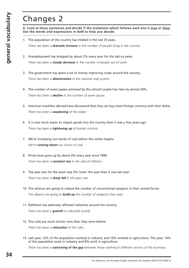# Changes 2

**A. Look at these sentences and decide if the statement which follows each one is true or false. Use the words and expressions in** *bold* **to help you decide.**

- 1. The population of the country has trebled in the last 25 years. *There has been a dramatic increase in the number of people living in the country.*
- 2. Unemployment has dropped by about 2% every year for the last six years. *There has been a steady decrease in the number of people out of work.*
- 3. The government has spent a lot of money improving roads around the country. *There has been a deterioration in the national road system.*
- 4. The number of exam passes achieved by the school's pupils has risen by almost 50%. *There has been a decline in the number of exam passes.*
- 5. American travellers abroad have discovered that they can buy more foreign currency with their dollar. *There has been a weakening of the dollar.*
- 6. It is now much easier to import goods into the country than it was a few years ago. *There has been a tightening up of border controls.*
- 7. We're increasing our stocks of coal before the winter begins. *We're running down our stocks of coal.*
- 8. Prices have gone up by about 4% every year since 1998. *There has been a constant rise in the rate of inflation.*
- 9. The pass rate for the exam was 3% lower this year than it was last year. *There has been a sharp fall in the pass rate.*
- 10. The alliance are going to reduce the number of conventional weapons in their armed forces. *The alliance are going to build up the number of weapons they have.*
- 11. Deflation has adversely affected industries around the country. *There has been a growth in industrial activity.*
- 12. The rules are much stricter now than they were before. *There has been a relaxation of the rules.*
- 13. Last year, 12% of the population worked in industry and 10% worked in agriculture. This year, 14% of the population work in industry and 8% work in agriculture.

*There has been a narrowing of the gap between those working in different sectors of the economy.*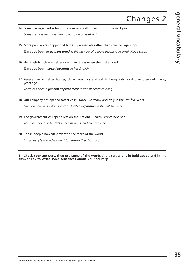# Changes 2

- 14. Some management roles in the company will not exist this time next year. *Some management roles are going to be phased out.*
- 15. More people are shopping at large supermarkets rather than small village shops. *There has been an upward trend in the number of people shopping in small village shops.*
- 16. Her English is clearly better now than it was when she first arrived. *There has been marked progress in her English.*
- 17. People live in better houses, drive nicer cars and eat higher-quality food than they did twenty years ago.

*There has been a general improvement in the standard of living.*

- 18. Our company has opened factories in France, Germany and Italy in the last five years. *Our company has witnessed considerable expansion in the last five years.*
- 19. The government will spend less on the National Health Service next year.

*There are going to be cuts in healthcare spending next year.*

20. British people nowadays want to see more of the world.

*British people nowadays want to narrow their horizons.*

**B. Check your answers, then use some of the words and expressions in bold above and in the answer key to write some sentences about your country.**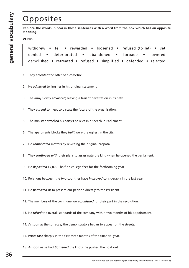# Opposites

**Replace the words in** *bold* **in these sentences with a word from the box which has an opposite meaning.** 

## **VERBS**

```
withdrew • fell • rewarded • loosened • refused (to let) • set
denied • deteriorated • abandoned • forbade • lowered
demolished • retreated • refused • simplified • defended • rejected
```
- 1. They *accepted* the offer of a ceasefire.
- 2. He *admitted* telling lies in his original statement.
- 3. The army slowly *advanced,* leaving a trail of devastation in its path.
- 4. They *agreed* to meet to discuss the future of the organisation.
- 5. The minister *attacked* his party's policies in a speech in Parliament.
- 6. The apartments blocks they *built* were the ugliest in the city.
- 7. He *complicated* matters by rewriting the original proposal.
- 8. They *continued with* their plans to assassinate the king when he opened the parliament.
- 9. He *deposited* £7,000 half his college fees for the forthcoming year.
- 10. Relations between the two countries have *improved* considerably in the last year.
- 11. He *permitted* us to present our petition directly to the President.
- 12. The members of the commune were *punished* for their part in the revolution.
- 13. He *raised* the overall standards of the company within two months of his appointment.
- 14. As soon as the sun *rose,* the demonstrators began to appear on the streets.
- 15. Prices *rose* sharply in the first three months of the financial year.
- 16. As soon as he had *tightened* the knots, he pushed the boat out.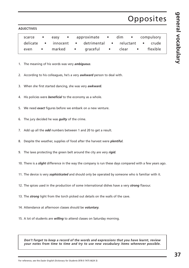# Opposites

| scarce |                     |  | easy • approximate • dim • compulsory                 |  |  |          |
|--------|---------------------|--|-------------------------------------------------------|--|--|----------|
|        |                     |  | delicate • innocent • detrimental • reluctant • crude |  |  |          |
| even   | $\bullet$ $\bullet$ |  | marked • graceful • clear •                           |  |  | flexible |

- 1. The meaning of his words was very *ambiguous*.
- 2. According to his colleagues, he's a very *awkward* person to deal with.
- 3. When she first started dancing, she was very *awkward.*
- 4. His policies were *beneficial* to the economy as a whole.
- 5. We need *exact* figures before we embark on a new venture.
- 6. The jury decided he was *guilty* of the crime.
- 7. Add up all the *odd* numbers between 1 and 20 to get a result.
- 8. Despite the weather, supplies of food after the harvest were *plentiful.*
- 9. The laws protecting the green belt around the city are very *rigid.*
- 10. There is a *slight* difference in the way the company is run these days compared with a few years ago.
- 11. The device is very *sophisticated* and should only be operated by someone who is familiar with it.
- 12. The spices used in the production of some international dishes have a very *strong* flavour.
- 13. The *strong* light from the torch picked out details on the walls of the cave.
- 14. Attendance at afternoon classes should be *voluntary.*
- 15. A lot of students are *willing* to attend classes on Saturday morning.

*Don't forget to keep a record of the words and expressions that you have learnt, review your notes from time to time and try to use new vocabulary items whenever possible.*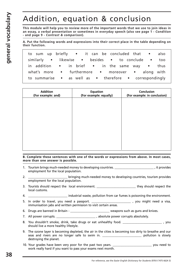# Addition, equation & conclusion

**This module will help you to review more of the important words that we use to join ideas in an essay, a verbal presentation or sometimes in everyday speech (also see [page 1](#page-6-0) -** *Condition* **- and page 9 -** *Contrast & comparison***).** 

**A. Put the following words and expressions into their correct place in the table depending on their function.** 

| to sum up briefly • it can be concluded that • also                     |  |  |
|-------------------------------------------------------------------------|--|--|
| similarly • likewise • besides • to conclude • too                      |  |  |
| in addition $\bullet$ in brief $\bullet$ in the same way $\bullet$ thus |  |  |
| what's more • furthermore • moreover • along with                       |  |  |
| to summarise • as well as • therefore • correspondingly                 |  |  |

| <b>Addition</b><br>(For example: and) | <b>Equation</b><br>(For example: equally) | Conclusion<br>(For example: in conclusion) |
|---------------------------------------|-------------------------------------------|--------------------------------------------|
|                                       |                                           |                                            |
|                                       |                                           |                                            |
|                                       |                                           |                                            |
|                                       |                                           |                                            |
|                                       |                                           |                                            |
|                                       |                                           |                                            |

**B. Complete these sentences with one of the words or expressions from above. In most cases, more than one answer is possible.** 

- 1. Tourism brings much-needed money to developing countries. \_\_\_\_\_\_\_\_\_\_\_\_\_\_\_\_\_\_\_\_\_\_\_\_\_\_\_\_\_\_\_\_\_, it provides employment for the local population.
- 2. **2. Example 2. Example 1 bringing much-needed money to developing countries, tourism provides** employment for the local population.
- 3. Tourists should respect the local environment. The state of the should respect the local customs.
- 4. \_\_\_\_\_\_\_\_\_\_\_\_\_\_\_\_\_\_\_\_\_\_\_\_\_\_ industrial waste, pollution from car fumes is poisoning the environment.
- 5. In order to travel, you need a passport. The manufacture of the set of the set of the set of the set of the set of the set of the set of the set of the set of the set of the set of the set of the set of the set of the s immunisation jabs and written permission to visit certain areas.
- 6. Drugs are banned in Britain the state of the state of the weapons such as guns and knives.
- 7. All power corrupts. \_\_\_\_\_\_\_\_\_\_\_\_\_\_\_\_\_\_\_\_\_\_\_\_\_\_\_\_\_\_\_\_\_, absolute power corrupts absolutely.
- 8. You shouldn't smoke, drink, take drugs or eat unhealthy food. \_\_\_\_\_\_\_\_\_\_\_\_\_\_\_\_\_\_\_\_\_\_\_\_\_\_\_\_\_\_\_, you should live a more healthy lifestyle.
- 9. The ozone layer is becoming depleted, the air in the cities is becoming too dirty to breathe and our seas and rivers are no longer safe to swim in. \_\_\_\_\_\_\_\_\_\_\_\_\_\_\_\_\_\_\_\_\_\_\_\_\_\_\_\_\_\_\_\_\_ pollution is slowly destroying the planet.
- 10. Your grades have been very poor for the past two years. \_\_\_\_\_\_\_\_\_\_\_\_\_\_\_\_\_\_\_\_\_\_\_\_\_\_ you need to work really hard if you want to pass your exams next month.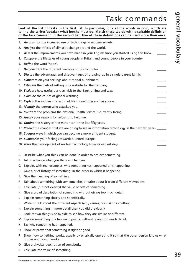# Task commands

**Look at the list of tasks in the first list. In particular, look at the words in** *bold***, which are telling the writer/speaker what he/she must do. Match these words with a suitable definition of the task command in the second list. Two of these definitions can be used more than once.**

|    | 1. Account for the increased use of technology in modern society.                                 |  |
|----|---------------------------------------------------------------------------------------------------|--|
| 2. | Analyse the effects of climactic change around the world.                                         |  |
| 3. | Assess the improvements you have made in your English since you started using this book.          |  |
| 4. | Compare the lifestyles of young people in Britain and young people in your country.               |  |
| 5. | Define the word 'hope'.                                                                           |  |
| 6. | Demonstrate the different features of this computer.                                              |  |
| 7. | Discuss the advantages and disadvantages of growing up in a single-parent family.                 |  |
| 8. | Elaborate on your feelings about capital punishment.                                              |  |
|    | 9. <b>Estimate</b> the costs of setting up a website for the company.                             |  |
|    | 10. Evaluate how useful our class visit to the Bank of England was.                               |  |
|    | 11. <b>Examine</b> the causes of global warming.                                                  |  |
|    | 12. <b>Explain</b> the sudden interest in old-fashioned toys such as yo-yos.                      |  |
|    | 13. Identify the person who attacked you.                                                         |  |
|    | 14. Illustrate the problems the National Health Service is currently facing.                      |  |
|    | 15. Justify your reasons for refusing to help me.                                                 |  |
|    | 16. Outline the history of the motor car in the last fifty years.                                 |  |
|    | 17. Predict the changes that we are going to see in information technology in the next ten years. |  |
|    | 18. Suggest ways in which you can become a more efficient student.                                |  |
|    | 19. Summarise your feelings towards a united Europe.                                              |  |
|    | 20. Trace the development of nuclear technology from its earliest days.                           |  |
|    |                                                                                                   |  |

- A. Describe what you think can be done in order to achieve something.
- B. Tell in advance what you think will happen.
- C. Explain, with real examples, why something has happened or is happening.
- D. Give a brief history of something, in the order in which it happened.
- E. Give the meaning of something.
- F. Talk about something with someone else, or write about it from different viewpoints.
- G. Calculate (but not exactly) the value or cost of something.
- H. Give a broad description of something without giving too much detail.
- I. Explain something closely and scientifically.
- J. Write or talk about the different aspects (e.g., causes, results) of something.
- K. Explain something in more detail than you did previously.
- L. Look at two things side by side to see how they are similar or different.
- M. Explain something in a few main points, without giving too much detail.
- N. Say why something has happened.
- O. Show or prove that something is right or good.
- P. Show how something works, usually by physically operating it so that the other person knows what it does and how it works.
- Q. Give a physical description of somebody.
- R. Calculate the value of something.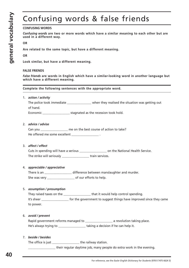## **CONFUSING WORDS**

*Confusing words* **are two or more words which have a similar meaning to each other but are used in a different way.**

**OR**

**Are related to the same topic, but have a different meaning.**

**OR**

**Look similar, but have a different meaning.** 

## **FALSE FRIENDS**

*False friends* **are words in English which have a similar-looking word in another language but which have a different meaning.**

**Complete the following sentences with the appropriate word.**

1. *action / activity*

The police took immediate \_\_\_\_\_\_\_\_\_\_\_\_\_\_\_\_ when they realised the situation was getting out of hand.

Economic **Example 3** stagnated as the recession took hold.

2. *advice / advise*

Can you can best course of action to take? He offered me some excellent \_\_\_\_\_\_\_\_\_\_\_\_\_\_\_\_\_\_ .

3. *affect / effect*

Cuts in spending will have a serious \_\_\_\_\_\_\_\_\_\_\_\_\_\_\_\_\_\_ on the National Health Service. The strike will seriously \_\_\_\_\_\_\_\_\_\_\_\_\_\_\_\_\_\_\_\_\_\_\_\_\_\_\_train services.

## 4. *appreciable / appreciative*

There is an \_\_\_\_\_\_\_\_\_\_\_\_\_\_\_\_\_\_\_\_\_\_ difference between manslaughter and murder. She was very example of our efforts to help.

## 5. *assumption / presumption*

They raised taxes on the \_\_\_\_\_\_\_\_\_\_\_\_\_\_\_\_\_\_\_\_\_\_ that it would help control spending. It's sheer **Example 3** for the government to suggest things have improved since they came to power.

## 6. *avoid / prevent*

Rapid government reforms managed to \_\_\_\_\_\_\_\_\_\_\_\_\_\_\_\_\_\_ a revolution taking place. He's always trying to **Exercise 1** taking a decision if he can help it.

## 7. *beside / besides*

The office is just the railway station.

\_\_\_\_\_\_\_\_\_\_\_\_\_\_\_\_\_\_ their regular daytime job, many people do extra work in the evening.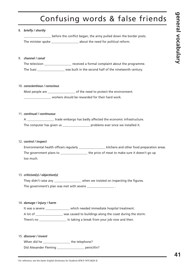## 8. *briefly / shortly*

\_\_\_\_\_\_\_\_\_\_\_\_\_\_\_\_\_\_ before the conflict began, the army pulled down the border posts. The minister spoke about the need for political reform.

## 9. *channel / canal*

The television The television complaint about the programme. The Suez **Example 20** was built in the second half of the nineteenth century.

## 10. *conscientious / conscious*

Most people are \_\_\_\_\_\_\_\_\_\_\_\_\_\_\_\_\_\_ of the need to protect the environment. workers should be rewarded for their hard work.

## 11. *continual / continuous*

A \_\_\_\_\_\_\_\_\_\_\_\_\_\_\_\_\_\_ trade embargo has badly affected the economic infrastructure. The computer has given us \_\_\_\_\_\_\_\_\_\_\_\_\_\_\_\_\_\_\_\_\_ problems ever since we installed it.

## 12. *control / inspect*

Environmental health officers regularly \_\_\_\_\_\_\_\_\_\_\_\_\_\_\_\_\_\_\_\_ kitchens and other food preparation areas. The government plans to \_\_\_\_\_\_\_\_\_\_\_\_\_\_\_\_\_\_\_\_ the price of meat to make sure it doesn't go up too much.

## 13 *criticism(s) / objection(s)*

They didn't raise any \_\_\_\_\_\_\_\_\_\_\_\_\_\_\_\_\_\_ when we insisted on inspecting the figures. The government's plan was met with severe  $\blacksquare$ 

## 14. *damage / injury / harm*

It was a severe \_\_\_\_\_\_\_\_\_\_\_\_\_\_\_\_ which needed immediate hospital treatment.

A lot of \_\_\_\_\_\_\_\_\_\_\_\_\_\_\_\_\_\_ was caused to buildings along the coast during the storm.

There's no \_\_\_\_\_\_\_\_\_\_\_\_\_\_\_\_\_\_\_\_\_\_ in taking a break from your job now and then.

## 15. *discover / invent*

When did he \_\_\_\_\_\_\_\_\_\_\_\_\_\_\_\_\_\_\_\_\_\_\_ the telephone?

Did Alexander Fleming \_\_\_\_\_\_\_\_\_\_\_\_\_\_\_\_\_\_ penicillin?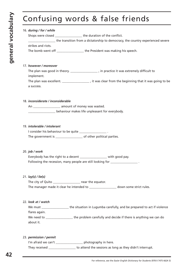## 16. *during / for / while*

Shops were closed \_\_\_\_\_\_\_\_\_\_\_\_\_\_\_\_\_\_\_\_\_\_ the duration of the conflict.

\_\_\_\_\_\_\_\_\_\_\_\_\_\_\_\_\_\_ the transition from a dictatorship to democracy, the country experienced severe strikes and riots.

The bomb went off \_\_\_\_\_\_\_\_\_\_\_\_\_\_\_\_\_\_\_\_\_\_ the President was making his speech.

## 17. *however / moreover*

The plan was good in theory. \_\_\_\_\_\_\_\_\_\_\_\_\_\_\_\_\_\_\_\_\_, in practice it was extremely difficult to implement.

The plan was excellent. \_\_\_\_\_\_\_\_\_\_\_\_\_\_\_\_\_\_\_\_\_\_, it was clear from the beginning that it was going to be a success.

## 18. *inconsiderate / inconsiderable*

An \_\_\_\_\_\_\_\_\_\_\_\_\_\_\_\_\_\_ amount of money was wasted. behaviour makes life unpleasant for everybody.

## 19. *intolerable / intolerant*

I consider his behaviour to be quite \_\_\_\_\_\_\_\_\_\_ The government is \_\_\_\_\_\_\_\_\_\_\_\_\_\_\_\_\_\_\_\_\_\_\_\_\_ of other political parties.

## 20. *job / work*

Everybody has the right to a decent \_\_\_\_\_\_\_\_\_\_\_\_\_\_\_\_\_\_\_\_ with good pay. Following the recession, many people are still looking for \_\_\_\_\_\_\_\_\_\_\_\_\_\_\_

## 21. *lay(s) / lie(s)*

The city of Quito \_\_\_\_\_\_\_\_\_\_\_\_\_\_\_\_\_\_ near the equator. The manager made it clear he intended to \_\_\_\_\_\_\_\_\_\_\_\_\_\_\_\_\_\_ down some strict rules.

## 22. *look at / watch*

We must \_\_\_\_\_\_\_\_\_\_\_\_\_\_\_\_\_\_\_\_\_\_\_\_the situation in Lugumba carefully, and be prepared to act if violence flares again. We need to \_\_\_\_\_\_\_\_\_\_\_\_\_\_\_\_\_\_\_\_\_\_\_\_the problem carefully and decide if there is anything we can do about it.

## 23. *permission / permit*

I'm afraid we can't \_\_\_\_\_\_\_\_\_\_\_\_\_\_\_\_\_\_\_\_ photography in here. They received \_\_\_\_\_\_\_\_\_\_\_\_\_\_\_\_\_\_ to attend the sessions as long as they didn't interrupt.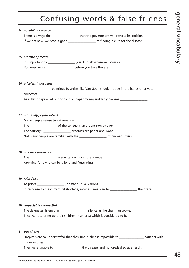## 24. *possibility / chance*

There is always the \_\_\_\_\_\_\_\_\_\_\_\_\_\_\_\_\_\_\_\_\_ that the government will reverse its decision. If we act now, we have a good \_\_\_\_\_\_\_\_\_\_\_\_\_\_\_\_\_\_ of finding a cure for the disease.

## 25. *practise / practice*

It's important to \_\_\_\_\_\_\_\_\_\_\_\_\_\_\_\_\_\_\_\_\_ your English whenever possible. You need more \_\_\_\_\_\_\_\_\_\_\_\_\_\_\_\_\_\_\_\_\_\_ before you take the exam.

## 26. *priceless / worthless*

\_\_\_\_\_\_\_\_\_\_\_\_\_\_\_\_\_\_ paintings by artists like Van Gogh should not be in the hands of private collectors. As inflation spiralled out of control, paper money suddenly became

## 27. *principal(s) / principle(s)*

Many people refuse to eat meat on \_\_\_\_\_\_\_\_\_\_\_\_\_\_ The of the college is an ardent non-smoker. The country's \_\_\_\_\_\_\_\_\_\_\_\_\_\_\_\_\_\_ products are paper and wood. Not many people are familiar with the example of nuclear physics.

## 28. *process / procession*

The \_\_\_\_\_\_\_\_\_\_\_\_\_\_\_\_\_\_\_\_ made its way down the avenue. Applying for a visa can be a long and frustrating **with the same of the same of the same of the same of the same** 

## 29. *raise / rise*

As prices \_\_\_\_\_\_\_\_\_\_\_\_\_\_\_\_\_\_\_\_\_\_, demand usually drops. In response to the current oil shortage, most airlines plan to \_\_\_\_\_\_\_\_\_\_\_\_\_\_\_\_\_\_\_ their fares.

## 30. *respectable / respectful*

The delegates listened in \_\_\_\_\_\_\_\_\_\_\_\_\_\_\_\_\_\_ silence as the chairman spoke. They want to bring up their children in an area which is considered to be \_\_\_\_\_\_\_\_\_\_\_\_\_\_\_\_\_\_\_\_\_\_\_\_\_\_

## 31. *treat / cure*

Hospitals are so understaffed that they find it almost impossible to \_\_\_\_\_\_\_\_\_\_\_\_\_\_\_\_\_\_\_ patients with minor injuries.

They were unable to \_\_\_\_\_\_\_\_\_\_\_\_\_\_\_\_\_\_\_\_\_\_\_\_the disease, and hundreds died as a result.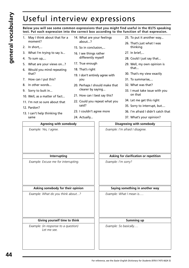# Useful interview expressions

**Below you will see some common expressions that you might find useful in the IELTS speaking test. Put each expression into the correct box according to the function of that expression.**

- May I think about that for a moment?
- 2. In short,...
- 3. What I'm trying to say is...
- 4. To sum up,...
- 5. What are your views on...?
- 6. Would you mind repeating that?
- 7. How can I put this?
- 8. In other words...
- 9. Sorry to butt in...
- 10. Well, as a matter of fact...
- 11. I'm not so sure about that
- 12. Pardon?
- 13. I can't help thinking the same

about...? 15. So in conclusion,...

14. What are your feelings

- 16. I see things rather differently myself
- 17. True enough
- 18. That's right
- 19. I don't entirely agree with you
- 20. Perhaps I should make that clearer by saying...
- 21. How can I best say this?
- 22. Could you repeat what you said?
- 23. I couldn't agree more
- 24. Actually...
- 25. To put it another way...
- 26. That's just what I was thinking
- 27. In brief,...
- 28. Could I just say that...
- 29. Well, my own opinion is that...
- 30. That's my view exactly
- 31. To summarise,...
- 32. What was that?
- 33. I must take issue with you on that
- 34. Let me get this right
- 35. Sorry to interrupt, but....
- 36. I'm afraid I didn't catch that
- 37. What's your opinion?

## **Agreeing with somebody** *Example: Yes, I agree.* **Interrupting** *Example: Excuse me for interrupting.* **Asking somebody for their opinion** *Example: What do you think about...?* **Giving yourself time to think** *Example: (in response to a question) Let me see.* **Disagreeing with somebody** *Example: I'm afraid I disagree.* **Asking for clarification or repetition** *Example: I'm sorry?* **Saying something in another way** *Example: What I mean is.....* **Summing up** *Example: So basically.....*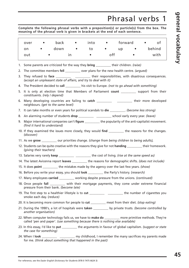**Complete the following phrasal verbs with a preposition(s) or particle(s) from the box. The meaning of the phrasal verb is given in brackets at the end of each sentence.**

| back<br>over                                                                                                                                                                                                                                                                                                                                                                                              | into |     | forward   | of     |
|-----------------------------------------------------------------------------------------------------------------------------------------------------------------------------------------------------------------------------------------------------------------------------------------------------------------------------------------------------------------------------------------------------------|------|-----|-----------|--------|
| down<br>on<br>$\bullet$                                                                                                                                                                                                                                                                                                                                                                                   | to   | up  | $\bullet$ | behind |
| in<br>out                                                                                                                                                                                                                                                                                                                                                                                                 |      | off |           | with   |
| 1. Some parents are criticized for the way they <b>bring</b> _________ their children. (raise)                                                                                                                                                                                                                                                                                                            |      |     |           |        |
| 2. The committee members fell __________ over plans for the new health centre. (argued)                                                                                                                                                                                                                                                                                                                   |      |     |           |        |
| 3. They refused to face $\frac{1}{\sqrt{1-\frac{1}{n}}}\frac{1}{\sqrt{1-\frac{1}{n}}}\frac{1}{\sqrt{1-\frac{1}{n}}}\frac{1}{\sqrt{1-\frac{1}{n}}}\frac{1}{\sqrt{1-\frac{1}{n}}}\frac{1}{\sqrt{1-\frac{1}{n}}}\frac{1}{\sqrt{1-\frac{1}{n}}}\frac{1}{\sqrt{1-\frac{1}{n}}}\frac{1}{\sqrt{1-\frac{1}{n}}}\frac{1}{\sqrt{1-\frac{1}{n}}}\frac{1}{\sqrt{1-\frac{1}{n}}}\frac{1}{\sqrt{1-\frac{1}{n}}}\frac{1$ |      |     |           |        |
| 4. The President decided to call _________ his visit to Europe. (not to go ahead with something)                                                                                                                                                                                                                                                                                                          |      |     |           |        |
| 5. It is only at election time that Members of Parliament count __________ support from their<br>constituents. (rely / depend)                                                                                                                                                                                                                                                                            |      |     |           |        |
| 6. Many developing countries are failing to catch _____________________________their more developed<br>neighbours. (get to the same level)                                                                                                                                                                                                                                                                |      |     |           |        |
| 7. It can take months or even years for political scandals to die _________. (become less strong)                                                                                                                                                                                                                                                                                                         |      |     |           |        |
| 8. An alarming number of students drop ____________ ___________ school early every year. (leave)                                                                                                                                                                                                                                                                                                          |      |     |           |        |
| 9. Major international companies can't figure _________ the popularity of the anti-capitalist movement.<br>(find it hard to understand)                                                                                                                                                                                                                                                                   |      |     |           |        |
| 10. If they examined the issues more closely, they would find _________ the reasons for the changes.<br>(discover)                                                                                                                                                                                                                                                                                        |      |     |           |        |
| 11. As we grow _________ our priorities change. (change from being children to being adults),                                                                                                                                                                                                                                                                                                             |      |     |           |        |
| 12. Students can be quite creative with the reasons they give for not handing _________ their homework.<br>(giving their teachers)                                                                                                                                                                                                                                                                        |      |     |           |        |
| 13. Salaries very rarely keep ____________ ___________ the cost of living. (rise at the same speed as)                                                                                                                                                                                                                                                                                                    |      |     |           |        |
| 14. The latest Avicenna report leaves __________ the reasons for demographic shifts. (does not include)                                                                                                                                                                                                                                                                                                   |      |     |           |        |
| 15. It does point _________ the mistakes made by the agency over the last few years. (show)                                                                                                                                                                                                                                                                                                               |      |     |           |        |
| 16. Before you write your essay, you should look __________ the Party's history. (research)                                                                                                                                                                                                                                                                                                               |      |     |           |        |
| 17. Many employees carried __________ working despite pressure from the unions. (continued)                                                                                                                                                                                                                                                                                                               |      |     |           |        |
| 18. Once people fall _________ with their mortgage payments, they come under extreme financial<br>pressure from their bank. (become late)                                                                                                                                                                                                                                                                 |      |     |           |        |
| 19. The first step to a healthier lifestyle is to cut __________________________ the number of cigarettes you<br>smoke each day. (reduce)                                                                                                                                                                                                                                                                 |      |     |           |        |
| 20. It is becoming more common for people to cut ________ meat from their diet. (stop eating)                                                                                                                                                                                                                                                                                                             |      |     |           |        |
| 21. During the 1990's, a lot of hospitals were taken __________ by private trusts. (become controlled by<br>another organisation)                                                                                                                                                                                                                                                                         |      |     |           |        |
| 22. When computer technology fails us, we have to make do _________ more primitive methods. They're<br>called 'pen and paper'. (use something because there is nothing else available)                                                                                                                                                                                                                    |      |     |           |        |
| 23. In this essay, I'd like to put __________ the arguments in favour of global capitalism. (suggest or state<br>the case for something)                                                                                                                                                                                                                                                                  |      |     |           |        |
| my childhood I remember the many secritices my parents made<br>24 Whon Llook                                                                                                                                                                                                                                                                                                                              |      |     |           |        |

24. When I **look** \_\_\_\_\_\_\_\_\_\_ \_\_\_\_\_\_\_\_\_\_ my childhood, I remember the many sacrifices my parents made for me. *(think about something that happened in the past)*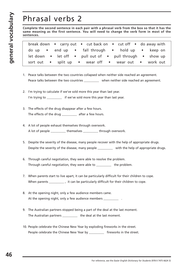**Complete the second sentence in each pair with a phrasal verb from the box so that it has the same meaning as the first sentence. You will need to change the verb form in most of the sentences.**

| break down • carry out • cut back on • cut off • do away with |  |  |
|---------------------------------------------------------------|--|--|
| do up • end up • fall through • hold up • keep on             |  |  |
| let down • let off • pull out of • pull through • show up     |  |  |
| sort out • split up • wear off • wear out • work out          |  |  |

- 1. Peace talks between the two countries collapsed when neither side reached an agreement. Peace talks between the two countries \_\_\_\_\_\_\_\_\_\_\_\_ when neither side reached an agreement.
- 2. I'm trying to calculate if we've sold more this year than last year. I'm trying to \_\_\_\_\_\_\_\_\_\_ if we've sold more this year than last year.
- 3. The effects of the drug disappear after a few hours. The effects of the drug \_\_\_\_\_\_\_\_\_\_\_ after a few hours.
- 4. A lot of people exhaust themselves through overwork. A lot of people themselves through overwork.
- 5. Despite the severity of the disease, many people recover with the help of appropriate drugs. Despite the severity of the disease, many people \_\_\_\_\_\_\_\_\_\_ with the help of appropriate drugs.
- 6. Through careful negotiation, they were able to resolve the problem. Through careful negotiation, they were able to \_\_\_\_\_\_\_\_\_\_ the problem.
- 7. When parents start to live apart, it can be particularly difficult for their children to cope. When parents \_\_\_\_\_\_\_\_\_\_\_\_, it can be particularly difficult for their children to cope.
- 8. At the opening night, only a few audience members came. At the opening night, only a few audience members \_\_\_\_\_
- 9. The Australian partners stopped being a part of the deal at the last moment. The Australian partners \_\_\_\_\_\_\_\_\_\_ the deal at the last moment.
- 10. People celebrate the Chinese New Year by exploding fireworks in the street. People celebrate the Chinese New Year by \_\_\_\_\_\_\_\_\_\_\_ fireworks in the street.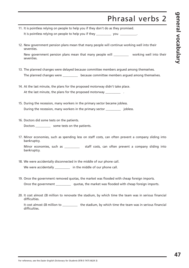| 11. It is pointless relying on people to help you if they don't do as they promised. |  |
|--------------------------------------------------------------------------------------|--|
| It is pointless relying on people to help you if they<br>vou                         |  |

12. New government pension plans mean that many people will continue working well into their seventies.

New government pension plans mean that many people will example working well into their seventies.

- 13. The planned changes were delayed because committee members argued among themselves. The planned changes were example because committee members argued among themselves.
- 14. At the last minute, the plans for the proposed motorway didn't take place. At the last minute, the plans for the proposed motorway  $\equiv$
- 15. During the recession, many workers in the primary sector became jobless. During the recession, many workers in the primary sector \_\_\_\_\_\_\_\_\_\_\_\_ jobless.
- 16. Doctors did some tests on the patients.

Doctors some tests on the patients.

17. Minor economies, such as spending less on staff costs, can often prevent a company sliding into bankruptcy.

Minor economies, such as \_\_\_\_\_\_\_\_\_\_\_\_ staff costs, can often prevent a company sliding into bankruptcy.

- 18. We were accidentally disconnected in the middle of our phone call. We were accidentally \_\_\_\_\_\_\_\_\_\_\_\_ in the middle of our phone call.
- 19. Once the government removed quotas, the market was flooded with cheap foreign imports. Once the government \_\_\_\_\_\_\_\_\_\_\_\_ quotas, the market was flooded with cheap foreign imports.
- 20. It cost almost £8 million to renovate the stadium, by which time the team was in serious financial difficulties.

It cost almost £8 million to \_\_\_\_\_\_\_\_\_\_\_\_ the stadium, by which time the team was in serious financial difficulties.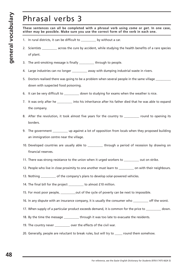**These sentences can all be completed with a phrasal verb using** *come* **or** *get***. In one case, either may be possible. Make sure you use the correct form of the verb in each one.**

- 1. In rural districts, it can be difficult to \_\_\_\_\_\_\_\_\_\_ by without a car.
- 2. Scientists **Exercise across the cure by accident, while studying the health benefits of a rare species** of plant.
- 3. The anti-smoking message is finally \_\_\_\_\_\_\_\_\_\_ through to people.
- 4. Large industries can no longer away with dumping industrial waste in rivers.
- 5. Doctors realised there was going to be a problem when several people in the same village \_\_\_\_\_\_\_ down with suspected food poisoning.
- 6. It can be very difficult to \_\_\_\_\_\_\_\_\_ down to studying for exams when the weather is nice.
- 7. It was only after he \_\_\_\_\_\_\_\_\_\_ into his inheritance after his father died that he was able to expand the company.
- 8. After the revolution, it took almost five years for the country to \_\_\_\_\_\_\_\_\_ round to opening its borders.
- 9. The government up against a lot of opposition from locals when they proposed building an immigration centre near the village.
- 10. Developed countries are usually able to through a period of recession by drawing on financial reserves.
- 11. There was strong resistance to the union when it urged workers to but on strike.
- 12. People who live in close proximity to one another must learn to \_\_\_\_\_\_\_\_\_\_ on with their neighbours.
- 13. Nothing \_\_\_\_\_\_\_\_\_\_ of the company's plans to develop solar-powered vehicles.
- 14. The final bill for the project \_\_\_\_\_\_\_\_\_ to almost £10 million.
- 15. For most poor people, \_\_\_\_\_\_\_\_\_\_\_out of the cycle of poverty can be next to impossible.
- 16. In any dispute with an insurance company, it is usually the consumer who \_\_\_\_\_\_\_\_\_\_ off the worst.
- 17. When supply of a particular product exceeds demand, it is common for the price to \_\_\_\_\_\_\_\_\_\_ down.
- 18. By the time the message \_\_\_\_\_\_\_\_\_\_ through it was too late to evacuate the residents.
- 19. The country never entitled over the effects of the civil war.
- 20. Generally, people are reluctant to break rules, but will try to \_\_\_\_\_ round them somehow.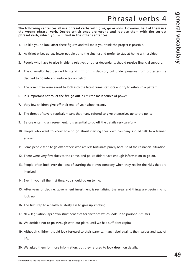**The following sentences all use phrasal verbs with** *give, go* **or** *look***. However, half of them use the wrong phrasal verb. Decide which ones are wrong and replace them with the correct phrasal verb, which you will find in the other sentences.**

- 1. I'd like you to **look after** these figures and tell me if you think the project is possible.
- 2. As ticket prices **go up**, fewer people go to the cinema and prefer to stay at home with a video.
- 3. People who have to **give in** elderly relatives or other dependants should receive financial support.
- 4. The chancellor had decided to stand firm on his decision, but under pressure from protesters, he decided to **go into** and reduce tax on petrol.
- 5. The committee were asked to **look into** the latest crime statistics and try to establish a pattern.
- 6. It is important not to let the fire **go out**, as it's the main source of power.
- 7. Very few children **give off** their end-of-year school exams.
- 8. The threat of severe reprisals meant that many refused to **give** themselves **up** to the police.
- 9. Before entering an agreement, it is essential to **go off** the details very carefully.
- 10. People who want to know how to **go about** starting their own company should talk to a trained adviser.
- 11. Some people tend to **go over** others who are less fortunate purely because of their financial situation.
- 12. There were very few clues to the crime, and police didn't have enough information to **go on**.
- 13. People often **look over** the idea of starting their own company when they realise the risks that are involved.
- 14. Even if you fail the first time, you should **go on** trying.
- 15. After years of decline, government investment is revitalising the area, and things are beginning to **look up**.
- 16. The first step to a healthier lifestyle is to **give up** smoking.
- 17. New legislation lays down strict penalties for factories which **look up** to poisonous fumes.
- 18. We decided not to **go through** with our plans until we had sufficient capital.
- 19. Although children should **look forward** to their parents, many rebel against their values and way of life.
- 20. We asked them for more information, but they refused to **look down** on details.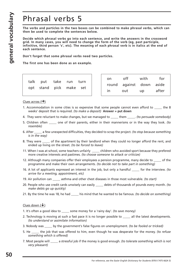**The verbs and particles in the two boxes can be combined to make phrasal verbs, which can then be used to complete the sentences below.**

**Decide which phrasal verbs go into each sentence, and write the answers in the crossword grid. In many cases, you will need to change the form of the verb (eg, past participle, infinitive, third person 's', etc). The meaning of each phrasal verb is in italics at the end of each sentence.** 

**Don't forget that some phrasal verbs need two particles.** 

**The first one has been done as an example.**

| talk put take run turn  |  |  |
|-------------------------|--|--|
| opt stand pick make set |  |  |

| on | off                      | with | for   |
|----|--------------------------|------|-------|
|    | round against down aside |      |       |
| in | out                      | up   | after |

Clues across  $(\rightarrow)$ 

- 1. Accommodation in some cities is so expensive that some people cannot even afford to \_\_\_\_\_ the 8 weeks' deposit that is required. *(to make a deposit)* **Answer = put down**
- 4. They were reluctant to make changes, but we managed to them . *(to persuade somebody)*
- 5. Children often \_\_\_\_\_ one of their parents, either in their mannerisms or in the way they look. *(to resemble)*
- 6. After \_\_\_\_\_ a few unexpected difficulties, they decided to scrap the project. *(to stop because something is in the way)*
- 8. They were of the apartment by their landlord when they could no longer afford the rent, and ended up living on the street. *(to be forced to leave)*
- 11. When I was at school, some teachers unfairly entilleright who avoided sport because they prefered more creative interests and pastimes. *(to choose someone to attack or criticize)*
- 12. Although many companies offer their employees a pension programme, many decide to \_\_\_\_\_ of the programme and make their own arrangements. *(to decide not to take part in something)*
- 16. A lot of applicants expressed an interest in the job, but only a handful \_\_\_\_\_ for the interview. *(to arrive for a meeting, appointment, etc)*
- 19. Air pollution can \_\_\_\_\_ asthma and other chest diseases in those most vulnerable. *(to start)*
- 20. People who use credit cards unwisely can easily \_\_\_\_\_ debts of thousands of pounds every month. *(to make debts go up quickly)*
- 21. By the time he was 18, he had \_\_\_\_\_ his mind that he wanted to be famous. *(to decide on something)*

## Clues down  $(\downarrow)$

- 1. It's often a good idea to \_\_\_\_\_ some money for a 'rainy day'. *(to save money)*
- 2. Technology is moving at such a fast pace it is no longer possible to \_\_\_\_\_ all the latest developments. *(to understand or assimilate information)*
- 3. Nobody was \_\_\_\_\_ by the government's false figures on unemployment. *(to be fooled or tricked)*
- 5. He \_\_\_\_\_ the job that was offered to him, even though he was desperate for the money. *(to refuse something which is offered)*
- 7. Most people will \_\_\_\_\_ a stressful job if the money is good enough. *(to tolerate something which is not very pleasant)*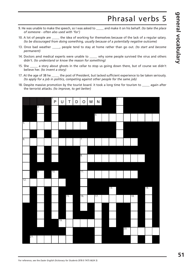- 9. He was unable to make the speech, so I was asked to \_\_\_\_\_ and make it on his behalf. *(to take the place of someone - often also used with 'for')*
- 10. A lot of people are \_\_\_\_\_ the idea of working for themselves because of the lack of a regular salary. *(to be discouraged from doing something, usually because of a potentially negative outcome)*
- 13. Once bad weather \_\_\_\_\_, people tend to stay at home rather than go out. *(to start and become permanent)*
- 14. Doctors amd medical experts were unable to \_\_\_\_ why some people survived the virus and others didn't. *(to understand or know the reason for something)*
- 15. She \_\_\_\_\_ a story about ghosts in the cellar to stop us going down there, but of course we didn't believe her. *(to invent a story)*
- 17. At the age of 38 he \_\_\_\_\_ the post of President, but lacked sufficient experience to be taken seriously. *(to apply for a job in politics, competing against other people for the same job)*
- 18. Despite massive promotion by the tourist board. it took a long time for tourism to equain after the terrorist attacks. *(to improve, to get better)*

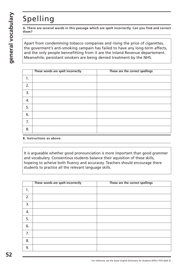# Spelling

**A. There are several words in this passage which are spelt incorrectly. Can you find and correct them?**

Apart from condemming tobacco companies and rising the price of cigarettes, the goverment's anti-smoking campain has failed to have any long-term affects, and the only people bennefitting from it are the Inland Revenue departement. Meanwhile, persistant smokers are being denied treatment by the NHS.

|    | These words are spelt incorrectly | These are the correct spellings |
|----|-----------------------------------|---------------------------------|
| 1. |                                   |                                 |
| 2. |                                   |                                 |
| 3. |                                   |                                 |
| 4. |                                   |                                 |
| 5. |                                   |                                 |
| 6. |                                   |                                 |
| 7. |                                   |                                 |
| 8. |                                   |                                 |

## **B. Instructions as above.**

It is argueable whether good pronounciation is more important than good grammer and vocabulery. Consientious students balance their aquisition of these skills, hopeing to acheive both fluency and accuracey. Teachers should encourage there students to practice all the relevant language skills.

|    | These words are spelt incorrectly | These are the correct spellings |
|----|-----------------------------------|---------------------------------|
| 1. |                                   |                                 |
| 2. |                                   |                                 |
| 3. |                                   |                                 |
| 4. |                                   |                                 |
| 5. |                                   |                                 |
| 6. |                                   |                                 |
| 7. |                                   |                                 |
| 8. |                                   |                                 |
| 9. |                                   |                                 |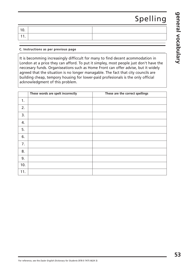# Spelling

## **C. Instructions as per previous page**

It is becomming increasingly difficcult for many to find decent acommodation in London at a price they can afford. To put it simpley, most people just don't have the neccesary funds. Organiseations such as Home Front can offer advise, but it widely agreed that the situation is no longer managable. The fact that city councils are building cheap, tempory housing for lower-paid profesionals is the only official acknowledgment of this problem.

|     | These words are spelt incorrectly | These are the correct spellings |
|-----|-----------------------------------|---------------------------------|
| 1.  |                                   |                                 |
| 2.  |                                   |                                 |
| 3.  |                                   |                                 |
| 4.  |                                   |                                 |
| 5.  |                                   |                                 |
| 6.  |                                   |                                 |
| 7.  |                                   |                                 |
| 8.  |                                   |                                 |
| 9.  |                                   |                                 |
| 10. |                                   |                                 |
| 11. |                                   |                                 |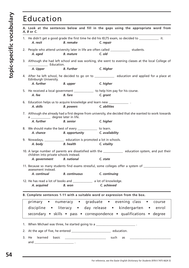# Education

| A, B or C.                                                          |                                                                               | A. Look at the sentences below and fill in the gaps using the appropriate word from                               |  |
|---------------------------------------------------------------------|-------------------------------------------------------------------------------|-------------------------------------------------------------------------------------------------------------------|--|
| A. resit                                                            | <b>B.</b> remake                                                              | 1. He didn't get a good grade the first time he did his IELTS exam, so decided to ______________ it.<br>C. repair |  |
| A. aged                                                             | <b>B.</b> mature                                                              | 2. People who attend university later in life are often called _____________ students.<br>C. old                  |  |
| Education.                                                          |                                                                               | 3. Although she had left school and was working, she went to evening classes at the local College of              |  |
| A. Upper                                                            | <b>B.</b> Further                                                             | C. Higher                                                                                                         |  |
| Edinburgh University.                                               |                                                                               | 4. After he left school, he decided to go on to _______________ education and applied for a place at              |  |
| A. further B. upper                                                 |                                                                               | C. higher                                                                                                         |  |
|                                                                     |                                                                               | 5. He received a local government ______________ to help him pay for his course.                                  |  |
| A. fee                                                              | <b>B.</b> fare                                                                | C. grant                                                                                                          |  |
|                                                                     | 6. Education helps us to acquire knowledge and learn new ______________.      |                                                                                                                   |  |
| A. skills                                                           | <b>B.</b> powers<br><b>C.</b> abilities                                       |                                                                                                                   |  |
| a _______________ degree later in life.                             |                                                                               | 7. Although she already had a first degree from university, she decided that she wanted to work towards           |  |
| A. further                                                          | <b>B.</b> senior                                                              | C. higher                                                                                                         |  |
|                                                                     | 8. We should make the best of every _____________ to learn.                   |                                                                                                                   |  |
| A. chance                                                           | B. opportunity C. availability                                                |                                                                                                                   |  |
|                                                                     |                                                                               |                                                                                                                   |  |
|                                                                     | 9. Nowadays, ________________ education is promoted a lot in schools.         |                                                                                                                   |  |
| A. body B. health                                                   |                                                                               | C. vitality                                                                                                       |  |
|                                                                     |                                                                               | 10. A large number of parents are dissatisfied with the ________________ education system, and put their          |  |
| children into private schools instead.<br>A. government B. national |                                                                               | C. state                                                                                                          |  |
| assessment instead.                                                 |                                                                               | 11. Because so many students find exams stressful, some colleges offer a system of                                |  |
| A. continual                                                        | <b>B.</b> continuous                                                          | C. continuing                                                                                                     |  |
|                                                                     | 12. He has read a lot of books and _____________________ a lot of knowledge.  |                                                                                                                   |  |
| A. acquired                                                         | B. won                                                                        | C. achieved                                                                                                       |  |
|                                                                     |                                                                               | B. Complete sentences 1-11 with a suitable word or expression from the box.                                       |  |
|                                                                     |                                                                               | primary • numeracy • graduate • evening class • course                                                            |  |
|                                                                     |                                                                               | discipline • literacy • day release • kindergarten • enrol                                                        |  |
|                                                                     |                                                                               | secondary • skills • pass • correspondence • qualifications • degree                                              |  |
|                                                                     |                                                                               | 1. When Michael was three, he started going to a _______________________________                                  |  |
|                                                                     | 2. At the age of five, he entered ________________________________ education. |                                                                                                                   |  |
| learned<br>3. He<br>basic                                           |                                                                               | as                                                                                                                |  |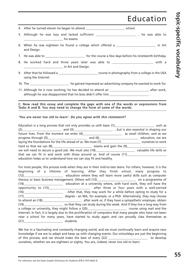# Education

4. After he turned eleven he began to attend \_\_\_\_\_\_\_\_\_\_\_\_\_\_\_\_\_\_\_\_\_\_\_\_\_\_\_\_\_\_\_\_\_\_\_ school.

- 5. Although he was lazy and lacked sufficient \_\_\_\_\_\_\_\_\_\_\_\_\_\_\_\_\_\_\_\_\_\_\_\_\_\_\_, he was able to dentified a strategies of the strategies of the strategies of the strategies of the strategies of the strategies of the strategies of the strategies of the strategies of the strategies of the strategies of the strategies o
- 6. When he was eighteen he found a college which offered a \_\_\_\_\_\_\_\_\_\_\_\_\_\_\_\_\_\_\_\_\_\_\_ in Art and Design.
- 7. He was able to \_\_\_\_\_\_\_\_\_\_\_\_\_\_\_\_\_\_\_\_\_\_\_\_\_\_\_\_\_\_\_ for the course a few days before his nineteenth birthday.
- 8. He worked hard and three years later was able to \_\_\_\_\_\_\_\_\_\_\_\_\_\_\_\_\_\_\_\_\_\_\_\_\_\_\_\_ with a \_\_\_\_\_\_\_\_\_\_\_\_\_\_\_\_\_\_\_\_\_\_\_\_\_\_ in Art and Design.
- 9. After that he followed a \_\_\_\_\_\_\_\_\_\_\_\_\_\_\_\_\_\_\_\_\_\_\_\_\_\_\_\_\_\_\_\_\_ course in photography from a college in the USA using the Internet.
- 10. The \_\_\_\_\_\_\_\_\_\_\_\_\_\_\_\_\_\_\_\_\_\_\_\_\_\_ he gained impressed an advertising company he wanted to work for.
- 11. Although he is now working, he has decided to attend an \_\_\_\_\_\_\_\_\_\_\_\_\_\_\_\_\_\_\_\_\_\_\_\_\_\_\_\_\_\_ after work, although he was disappointed that his boss didn't offer him \_\_\_\_\_\_\_\_\_\_\_\_\_\_\_\_\_\_\_\_\_\_

## **C. Now read this essay and complete the gaps with one of the words or expressions from Tasks A and B. You may need to change the form of some of the words.**

## *'You are never too old to learn'. Do you agree with this statement?*

| Education is a long process that not only provides us with basic (1) _______________________________ such as |  |
|--------------------------------------------------------------------------------------------------------------|--|
|                                                                                                              |  |
|                                                                                                              |  |
|                                                                                                              |  |
|                                                                                                              |  |
|                                                                                                              |  |
|                                                                                                              |  |
| that we can fit in and work with those around us. And of course (11)                                         |  |
| education helps us to understand how we can stay fit and healthy.                                            |  |

For most people, this process ends when they are in their mid-to-late teens. For others, however, it is the beginning of a lifetime of learning. After they finish school, many progress to (12)\_\_\_\_\_\_\_\_\_\_\_\_\_\_\_\_\_\_\_\_\_\_\_\_\_\_ education where they will learn more useful skills such as computer literacy or basic business management. Others will (13)\_\_\_\_\_\_\_\_\_\_\_\_\_\_\_\_\_\_\_\_\_\_\_\_\_\_\_\_\_\_\_\_\_\_\_ on a programme of (14)\_\_\_\_\_\_\_\_\_\_\_\_\_\_\_\_\_\_\_\_\_\_\_\_\_\_ education at a university where, with hard work, they will have the opportunity to (15)\_\_\_\_\_\_\_\_\_\_\_\_\_\_\_\_\_\_\_\_\_\_\_\_\_\_ after three or four years with a well-earned (16)\_\_\_\_\_\_\_\_\_\_\_\_\_\_\_\_\_\_\_\_\_\_\_\_\_\_ . After that, they may work for a while before opting to study for a (17)\_\_\_\_\_\_\_\_\_\_\_\_\_\_\_\_\_\_\_\_\_\_\_\_\_\_ degree - an MA, for example, or a PhD. Alternatively, they may choose to attend an (18)\_\_\_\_\_\_\_\_\_\_\_\_\_\_\_\_\_\_\_\_\_\_\_\_\_\_ after work or, if they have a sympathetic employer, obtain (19)\_\_\_\_\_\_\_\_\_\_\_\_\_\_\_\_\_\_\_\_\_\_\_\_\_\_ so that they can study during the week. And if they live a long way from a college or university, they might follow a (20)\_\_\_\_\_\_\_\_\_\_\_\_\_\_\_\_\_\_\_\_\_\_\_\_\_\_\_\_\_\_\_ course using mail and the Internet. In fact, it is largely due to the proliferation of computers that many people who have not been near a school for many years, have started to study again and can proudly class themselves as (21)\_\_\_\_\_\_\_\_\_\_\_\_\_\_\_\_\_\_\_\_\_\_\_\_\_\_ students.

We live in a fascinating and constantly changing world, and we must continually learn and acquire new knowledge if we are to adapt and keep up with changing events. Our schooldays are just the beginning of this process, and we should make the best of every (22) \_\_\_\_\_\_\_\_\_\_\_\_\_\_\_\_\_\_\_\_\_\_\_\_\_\_ to develop ourselves, whether we are eighteen or eighty. You are, indeed, never too old to learn.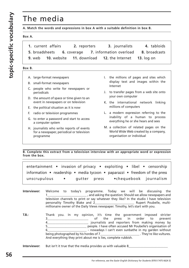# The media

**A. Match the words and expressions in box A with a suitable definition in box B.**

## **Box A.**

- **1.** current affairs **2.** reporters **3.** journalists **4.** tabloids **5.** broadsheets **6.** coverage **7.** information overload **8.** broadcasts
- **9.** web **10.** website **11.** download **12.** the Internet **13.** log on

## **Box B.**

- A. large-format newspapers
- B. small-format newspapers
- C. people who write for newspapers or periodicals
- D. the amount of space or time given to an event in newspapers or on television
- E. the political situation as it is now
- F. radio or television programmes
- G. to enter a password and start to access a computer system
- H. journalists who write reports of events for a newspaper, periodical or television programme
- I. the millions of pages and sites which display text and images within the Internet
- J. to transfer pages from a web site onto your own computer
- K. the international network linking millions of computers
- L. a modern expression referring to the inability of a human to process everything he or she hears and sees
- M. a collection of related pages on the World Wide Web created by a company, organisation or individual

## **B. Complete this extract from a television interview with an appropriate word or expression from the box.**

| entertainment • invasion of privacy • exploiting • libel • censorship      |              |  |  |                        |
|----------------------------------------------------------------------------|--------------|--|--|------------------------|
| information • readership • media tycoon • paparazzi • freedom of the press |              |  |  |                        |
| unscrupulous                                                               | qutter press |  |  | •chequebook journalism |

- **Interviewer:** Welcome to today's programme. Today we will be discussing the 1\_\_\_\_\_\_\_\_\_\_\_\_\_\_\_\_\_\_\_\_\_\_\_\_\_\_ , and asking the question: Should we allow newspapers and television channels to print or say whatever they like? In the studio I have television personality Timothy Blake and 2 The Rupert Poubelle, multimillionaire owner of the Daily Views newspaper. Timothy, let's start with you.
- **T.B.:** Thank you. In my opinion, it's time the government imposed stricter 3\_\_\_\_\_\_\_\_\_\_\_\_\_\_\_\_\_\_\_\_\_\_\_\_\_\_ of the press in order to prevent 4\_\_\_\_\_\_\_\_\_\_\_\_\_\_\_\_\_\_\_\_\_\_\_\_\_\_ journalists and reporters from making money by 5\_\_\_\_\_\_\_\_\_\_\_\_\_\_\_\_\_\_\_\_\_\_\_\_\_\_ people. I have often accused Mr Poubelle's organisation of 6\_\_\_\_\_\_\_\_\_\_\_\_\_\_\_\_\_\_\_\_\_\_\_\_\_\_ - nowadays I can't even sunbathe in my garden without being photographed by his hordes of 7\_\_\_\_\_\_\_\_\_\_\_\_\_\_\_\_\_\_\_\_\_\_\_\_\_\_\_\_. They're like vultures. And everything they print about me is lies, complete rubbish.
- **Interviewer:** But isn't it true that the media provides us with valuable 8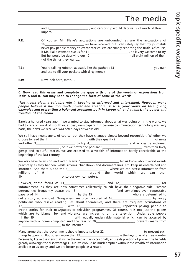# The media

and 9 and sensorship would deprive us of much of this? Rupert?

- **R.P.:** Of course. Mr. Blake's accusations are unfounded, as are the accusations of 10\_\_\_\_\_\_\_\_\_\_\_\_\_\_\_\_\_\_\_\_\_\_\_\_\_\_ we have received, but I can safely say that my journalists never pay people money to create stories. We are simply reporting the truth. Of course, if Mr. Blake wants to sue us for 11\_\_\_\_\_\_\_\_\_\_\_\_\_\_\_\_\_\_\_\_\_\_\_\_\_\_\_\_\_, he is very welcome to try. But he would be depriving our 12\_\_\_\_\_\_\_\_\_\_\_\_\_\_\_\_\_\_\_\_\_\_\_\_\_\_ - all eight million of them - of the things they want…
- **T.B.:** You're talking rubbish, as usual, like the pathetic 13\_\_\_\_\_\_\_\_\_\_\_\_\_\_\_\_\_\_\_\_\_\_\_\_\_\_ you own and use to fill your pockets with dirty money.

**R.P.:** Now look here, mate…

**C. Now read this essay and complete the gaps with one of the words or expressions from Tasks A and B. You may need to change the form of some of the words.**

*'The media plays a valuable role in keeping us informed and entertained. However, many people believe it has too much power and freedom.' Discuss your views on this, giving examples and presenting a balanced argument both in favour of, and against, the power and freedom of the media.*

Barely a hundred years ago, if we wanted to stay informed about what was going on in the world, we had to rely on word of mouth or, at best, newspapers. But because communication technology was very basic, the news we received was often days or weeks old.

We still have newspapers, of course, but they have changed almost beyond recognition. Whether we choose to read the 1\_\_\_\_\_\_\_\_\_\_\_\_\_\_\_\_\_\_\_\_\_\_\_\_\_\_ , with their quality 2\_\_\_\_\_\_\_\_\_\_\_\_\_\_\_\_\_\_\_\_\_\_\_\_\_\_ of news and other 3\_\_\_\_\_\_\_\_\_\_\_\_\_\_\_\_\_\_\_\_\_\_\_\_\_\_ by top 4\_\_\_\_\_\_\_\_\_\_\_\_\_\_\_\_\_\_\_\_\_\_\_\_\_\_ and articles by acclaimed 5\_\_\_\_\_\_\_\_\_\_\_\_\_\_\_\_\_\_\_\_\_\_\_\_\_\_ , or if we prefer the popular 6\_\_\_\_\_\_\_\_\_\_\_\_\_\_\_\_\_\_\_\_\_\_\_\_\_\_ , with their lively gossip and colourful stories, we are exposed to a wealth of information barely conceivable at the beginning of the last century.

We also have television and radio. News 7\_\_\_\_\_\_\_\_\_\_\_\_\_\_\_\_\_\_\_\_\_\_\_\_\_\_ let us know about world events practically as they happen, while sitcoms, chat shows and documentaries, etc. keep us entertained and informed. And there is also the 8 and the state of the 8 and there is also the 8 and the metal of the 10 and the metal of the 10 and the metal of the 10 and the metal of the 10 and the 10 and the 10 and the 10 and the 10 a millions of 9\_\_\_\_\_\_\_\_\_\_\_\_\_\_\_\_\_\_\_\_\_\_\_\_\_\_ around the world which we can then onto our own computers.

However, these forms of 11\_\_\_\_\_\_\_\_\_\_\_\_\_\_\_\_\_\_\_\_\_\_\_\_\_\_ and 12\_\_\_\_\_\_\_\_\_\_\_\_\_\_\_\_\_\_\_\_\_\_\_\_\_\_ (or 'infotainment' as they are now sometimes collectively called) have their negative side. Famous personalities frequently accuse the 13\_\_\_\_\_\_\_\_\_\_\_\_\_\_\_\_\_\_\_\_\_\_\_\_\_\_ (and sometimes even respectable papers) of 14\_\_\_\_\_\_\_\_\_\_\_\_\_\_\_\_\_\_\_\_\_\_\_\_\_\_ by the 15\_\_\_\_\_\_\_\_\_\_\_\_\_\_\_\_\_\_\_\_\_\_\_\_\_\_ who are determined to get a story at any cost. Newspapers are often accused of 16\_\_\_\_\_\_\_\_\_\_\_\_\_\_\_\_\_\_\_\_\_\_\_\_\_\_ by angry politicians who dislike reading lies about themselves, and there are frequent accusations of 17\_\_\_\_\_\_\_\_\_\_\_\_\_\_\_\_\_\_\_\_\_\_\_\_\_\_ , with 18\_\_\_\_\_\_\_\_\_\_\_\_\_\_\_\_\_\_\_\_\_\_\_\_\_\_ reporters paying people to create stories for their newspapers or television programmes. Of course, it is not just the papers which are to blame. Sex and violence are increasing on the television. Undesirable people fill the 19\_\_\_\_\_\_\_\_\_\_\_\_\_\_\_\_\_\_\_\_\_\_\_\_\_\_ with equally undesirable material which can be accessed by anyone with a home computer. And the fear of 20 Theorem 20 The prevents many from 21\_\_\_\_\_\_\_\_\_\_\_\_\_\_\_\_\_\_\_\_\_\_\_\_\_\_ to the Internet.

Many argue that the government should impose stricter 22\_\_\_\_\_\_\_\_\_\_\_\_\_\_\_\_\_\_\_\_\_\_\_\_\_ to prevent such things happening. But others argue that 23\_\_\_\_\_\_\_\_\_\_\_\_\_\_\_\_\_\_\_\_\_\_\_\_\_\_\_\_\_ is the keystone of a free country. Personally, I take the view that while the media may occasionally abuse its position of power, the benefits greatly outweigh the disadvantages. Our lives would be much emptier without the wealth of information available to us today, and we are better people as a result.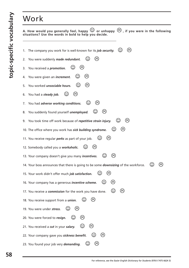# topic-specific vocabulary **topic-specific vocabulary**

# Work

| A. How would you generally feel, happy $\mathbb{G}$ or unhappy $\mathbb{G}$ , if you were in the following<br>situations? Use the words in bold to help you decide. |  |
|---------------------------------------------------------------------------------------------------------------------------------------------------------------------|--|
| $\left(\ddot{\sim}\right)$<br>1. The company you work for is well-known for its <i>job security.</i> $\circled{C}$                                                  |  |
| $(\ddot{\sim})$<br>$\mathbf{C}$<br>2. You were suddenly made redundant.                                                                                             |  |
| $(\ddot{\sim})$<br>$\odot$<br>3. You received a <i>promotion.</i>                                                                                                   |  |
| $\ddot{\odot}$<br>$\mathbf{C}$<br>4. You were given an <i>increment</i> .                                                                                           |  |
| $\odot$<br>- ලා<br>5. You worked <i>unsociable hours.</i>                                                                                                           |  |
| $(\ddot{\sim})$<br>$\odot$<br>6. You had a steady job.                                                                                                              |  |
| $(\ddot{\sim})$<br>$\odot$<br>7. You had adverse working conditions.                                                                                                |  |
| $\left(\ddot{\cdot}\right)$<br>( <u>ت</u><br>8. You suddenly found yourself unemployed.                                                                             |  |
| $(\ddot{\sim})$<br>$\mathbf{C}$<br>9. You took time off work because of repetitive strain injury.                                                                   |  |
| $\odot$<br>$\odot$<br>10. The office where you work has sick building syndrome.                                                                                     |  |
| $(\ddot{\sim})$<br>11. You receive regular <i>perks</i> as part of your job. $\circled{C}$                                                                          |  |
| $(\ddot{\sim})$<br>$\left(\mathbb{C}\right)$<br>12. Somebody called you a workaholic.                                                                               |  |
| $\left(\ddot{\cdot}\right)$<br>$\odot$<br>13. Your company doesn't give you many incentives.                                                                        |  |
| $(\dot{\gamma})$<br>14. Your boss announces that there is going to be some <i>downsizing</i> of the workforce.                                                      |  |
| 15. Your work didn't offer much job satisfaction.                                                                                                                   |  |
| $\ddot{\odot}$<br>$\odot$<br>16. Your company has a generous <i>incentive scheme.</i>                                                                               |  |
| $\left(\ddot{\sim}\right)$<br>$\odot$<br>17. You receive a commission for the work you have done.                                                                   |  |
| $(\ddot{\sim})$<br>$\odot$<br>18. You receive support from a <i>union</i> .                                                                                         |  |
| $(\ddot{\sim})$<br>$\mathbf{C}$<br>19. You were under stress.                                                                                                       |  |
| $\odot$<br>20. You were forced to resign.                                                                                                                           |  |
| $(\ddot{\circ})$<br>$\odot$<br>21. You received a cut in your salary.                                                                                               |  |
| $\left(\!\!\left.\text{\small{C}}\right)\!\!\right)$<br>22. Your company gave you sickness benefit.                                                                 |  |
| $(\ddot{\circ})$<br>23. You found your job very demanding.                                                                                                          |  |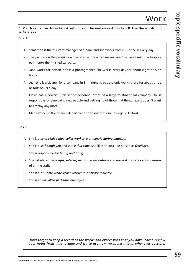# Work

## **B. Match sentences 1-6 in box A with one of the sentences A-F in box B. Use the words in bold to help you.**

## **Box A.**

- 1. Samantha is the assistant manager of a bank and she works from 8.30 to 5.30 every day.
- 2. Tracy works on the production line of a factory which makes cars. She uses a machine to spray paint onto the finished car parts.
- 3. Jane works for herself. She is a photographer. She works every day for about eight or nine hours.
- 4. Jeanette is a cleaner for a company in Birmingham, but she only works there for about three or four hours a day.
- 5. Claire has a powerful job in the personnel office of a large multinational company. She is responsible for employing new people and getting rid of those that the company doesn't want to employ any more.
- 6. Marie works in the finance department of an international college in Oxford.

## **Box B.**

- A. She is a *semi-skilled blue-collar worker* in a *manufacturing industry*.
- B. She is a *self-employed* and works *full-time.* She likes to describe herself as *freelance*.
- C. She is responsible for *hiring and firing.*
- D. She calculates the *wages, salaries, pension contributions* and *medical insurance contributions* of all the staff.
- E. She is a *full-time white-collar worker* in a *service industry.*
- F. She is an *unskilled part-time employee*.

*Don't forget to keep a record of the words and expressions that you have learnt, review your notes from time to time and try to use new vocabulary items whenever possible.*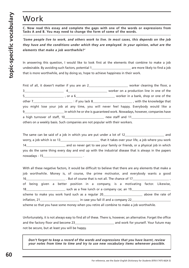# Work

**C. Now read this essay and complete the gaps with one of the words or expressions from Tasks A and B. You may need to change the form of some of the words.**

*'Some people live to work, and others work to live. In most cases, this depends on the job they have and the conditions under which they are employed. In your opinion, what are the elements that make a job worthwhile?'*

In answering this question, I would like to look first at the elements that combine to make a job undesirable. By avoiding such factors, potential 1\_\_\_\_\_\_\_\_\_\_\_\_\_\_\_\_\_\_\_\_\_\_\_\_\_\_\_\_ are more likely to find a job that is more worthwhile, and by doing so, hope to achieve happiness in their work.

|                                                                                                                                                                                                                                                                                                                     | First of all, it doesn't matter if you are an 2_____________________________ worker cleaning the floor, a   |
|---------------------------------------------------------------------------------------------------------------------------------------------------------------------------------------------------------------------------------------------------------------------------------------------------------------------|-------------------------------------------------------------------------------------------------------------|
| $\frac{1}{2}$ $\frac{1}{2}$ $\frac{1}{2}$ $\frac{1}{2}$ $\frac{1}{2}$ $\frac{1}{2}$ $\frac{1}{2}$ $\frac{1}{2}$ $\frac{1}{2}$ $\frac{1}{2}$ $\frac{1}{2}$ $\frac{1}{2}$ $\frac{1}{2}$ $\frac{1}{2}$ $\frac{1}{2}$ $\frac{1}{2}$ $\frac{1}{2}$ $\frac{1}{2}$ $\frac{1}{2}$ $\frac{1}{2}$ $\frac{1}{2}$ $\frac{1}{2}$ | worker on a production line in one of the                                                                   |
|                                                                                                                                                                                                                                                                                                                     |                                                                                                             |
|                                                                                                                                                                                                                                                                                                                     | other 7____________________________: if you lack 8_______________________________, with the knowledge that  |
|                                                                                                                                                                                                                                                                                                                     | you might lose your job at any time, you will never feel happy. Everybody would like a                      |
|                                                                                                                                                                                                                                                                                                                     | 9_________________________________ in which he or she is guaranteed work. Nowadays, however, companies have |
|                                                                                                                                                                                                                                                                                                                     |                                                                                                             |
| others on a weekly basis. Such companies are not popular with their workers.                                                                                                                                                                                                                                        |                                                                                                             |

|                             | The same can be said of a job in which you are put under a lot of 12<br>and                         |
|-----------------------------|-----------------------------------------------------------------------------------------------------|
| worry, a job which is so 13 | that it takes over your life, a job where you work                                                  |
| 14                          | and so never get to see your family or friends, or a physical job in which                          |
|                             | you do the same thing every day and end up with the industrial disease that is always in the papers |
| nowadays - 15               |                                                                                                     |

|  |  |  |  |  |  |  |  |  |  | With all these negative factors, it would be difficult to believe that there are any elements that make a |  |
|--|--|--|--|--|--|--|--|--|--|-----------------------------------------------------------------------------------------------------------|--|
|  |  |  |  |  |  |  |  |  |  | job worthwhile. Money is, of course, the prime motivator, and everybody wants a good                      |  |
|  |  |  |  |  |  |  |  |  |  |                                                                                                           |  |
|  |  |  |  |  |  |  |  |  |  | of being given a better position in a company, is a motivating factor. Likewise,                          |  |
|  |  |  |  |  |  |  |  |  |  | 18 March 2012 Such as a free lunch or a company car, an 19                                                |  |
|  |  |  |  |  |  |  |  |  |  | scheme to make you work hard such as a regular 20                                                         |  |
|  |  |  |  |  |  |  |  |  |  | in case you fall ill and a company 22__________                                                           |  |
|  |  |  |  |  |  |  |  |  |  |                                                                                                           |  |

scheme so that you have some money when you retire all combine to make a job worthwhile.

Unfortunately, it is not always easy to find all of these. There is, however, an alternative. Forget the office and the factory floor and become 23\_\_\_\_\_\_\_\_\_\_\_\_\_\_\_\_\_\_\_\_\_\_\_\_\_\_ and work for yourself. Your future may not be secure, but at least you will be happy.

*Don't forget to keep a record of the words and expressions that you have learnt, review your notes from time to time and try to use new vocabulary items whenever possible.*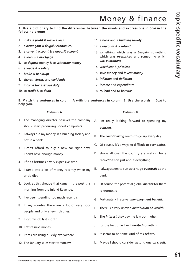# Money & finance

## **A. Use a dictionary to find the differences between the words and expressions in** *bold* **in the following groups.**

| 1. make a profit & make a loss                        | 11. a bank and a building society                    |  |  |  |  |  |
|-------------------------------------------------------|------------------------------------------------------|--|--|--|--|--|
| 2. extravagant & frugal / economical                  | 12. a discount & a refund                            |  |  |  |  |  |
| 3. a current account & a deposit account              | 13. something which was a <b>bargain</b> , something |  |  |  |  |  |
| 4. a loan & a mortgage                                | which was <b>overpriced</b> and something which      |  |  |  |  |  |
| 5. to <i>deposit</i> money & to <i>withdraw money</i> | was exorbitant                                       |  |  |  |  |  |
| 6. a wage & a salary                                  | 14. worthless & priceless                            |  |  |  |  |  |
| 7. broke & bankrupt                                   | 15. save money and invest money                      |  |  |  |  |  |
| 8. shares, stocks, and dividends                      | 16. <i>inflation</i> and <i>deflation</i>            |  |  |  |  |  |
| 9. income tax & excise duty                           | 17. <i>income</i> and expenditure                    |  |  |  |  |  |
| 10, to credit & to debit                              | 18. to lend and to borrow                            |  |  |  |  |  |

**B. Match the sentences in column A with the sentences in column B. Use the words in** *bold* **to help you.**

|    | Column A                                                                                  |           | Column B                                                               |  |  |  |  |  |  |  |
|----|-------------------------------------------------------------------------------------------|-----------|------------------------------------------------------------------------|--|--|--|--|--|--|--|
|    | 1. The managing director believes the company<br>should start producing pocket computers. |           | A. I'm really looking forward to spending my<br>pension.               |  |  |  |  |  |  |  |
|    | 2. I always put my money in a building society and<br>not in a bank.                      | <b>B.</b> | The cost of living seems to go up every day.                           |  |  |  |  |  |  |  |
|    | 3. I can't afford to buy a new car right now.                                             |           | C. Of course, it's always so difficult to economise.                   |  |  |  |  |  |  |  |
|    | I don't have enough money.                                                                |           | D. Shops all over the country are making huge                          |  |  |  |  |  |  |  |
|    | 4. I find Christmas a very expensive time.                                                |           | reductions on just about everything.                                   |  |  |  |  |  |  |  |
|    | 5. I came into a lot of money recently when my<br>uncle died.                             | Е.        | I always seem to run up a huge overdraft at the<br>bank.               |  |  |  |  |  |  |  |
|    | 6. Look at this cheque that came in the post this<br>morning from the Inland Revenue.     | E.        | Of course, the potential global <i>market</i> for them<br>is enormous. |  |  |  |  |  |  |  |
|    | 7. I've been spending too much recently.                                                  |           | G. Fortunately I receive unemployment benefit.                         |  |  |  |  |  |  |  |
| 8. | In my country, there are a lot of very poor<br>people and only a few rich ones.           |           | H. There is a very uneven distribution of wealth.                      |  |  |  |  |  |  |  |
|    | 9. I lost my job last month.                                                              | I.        | The <i>interest</i> they pay me is much higher.                        |  |  |  |  |  |  |  |
|    | 10. I retire next month.                                                                  | J.        | It's the first time I've <i>inherited</i> something.                   |  |  |  |  |  |  |  |
|    | 11. Prices are rising quickly everywhere.                                                 |           | K. It seems to be some kind of tax rebate.                             |  |  |  |  |  |  |  |
|    | 12. The January sales start tomorrow.                                                     | L.        | Maybe I should consider getting one on credit.                         |  |  |  |  |  |  |  |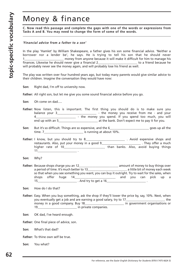# Money & finance

**C. Now read this passage and complete the gaps with one of the words or expressions from Tasks A and B. You may need to change the form of some of the words.**

## *'Financial advice from a father to a son'*

In the play 'Hamlet' by William Shakespeare, a father gives his son some financial advice. 'Neither a borrower nor a lender be', he says. He is trying to tell his son that he should never 1\_\_\_\_\_\_\_\_\_\_\_\_\_\_\_\_\_\_\_\_\_\_\_\_\_\_ money from anyone because it will make it difficult for him to manage his finances. Likewise he should never give a financial 2\_\_\_\_\_\_\_\_\_\_\_\_\_\_\_\_\_\_\_\_\_\_\_\_\_\_ to a friend because he will probably never see the money again, and will probably lose his friend as well.

The play was written over four hundred years ago, but today many parents would give similar advice to their children. Imagine the conversation they would have now:

**Son:** Right dad, I'm off to university now.

**Father:** All right son, but let me give you some sound financial advice before you go.

**Son:** Oh come on dad.....

- **Father:** Now listen, this is important. The first thing you should do is to make sure you balance your 3\_\_\_\_\_\_\_\_\_\_\_\_\_\_\_\_\_\_\_\_\_\_\_\_\_\_\_\_ - the money you receive from me - and your 4\_\_\_\_\_\_\_\_\_\_\_\_\_\_\_\_\_\_\_\_\_\_\_\_\_\_ - the money you spend. If you spend too much, you will end up with an 5\_\_\_\_\_\_\_\_\_\_\_\_\_\_\_\_\_\_\_\_\_\_\_\_\_\_ at the bank. Don't expect me to pay it for you.
- **Son:** But it's so difficult. Things are so expensive, and the 6\_\_\_\_\_\_\_\_\_\_\_\_\_\_\_\_\_\_\_\_\_\_\_\_\_\_ goes up all the time. 7\_\_\_\_\_\_\_\_\_\_\_\_\_\_\_\_\_\_\_\_\_\_\_\_\_\_ is running at about 10%.
- **Father:** I know, but you should try to 8\_\_\_\_\_\_\_\_\_\_\_\_\_\_\_\_\_\_\_\_\_\_\_\_\_\_ . Avoid expensive shops and restaurants. Also, put your money in a good 9\_\_\_\_\_\_\_\_\_\_\_\_\_\_\_\_\_\_\_\_\_\_\_\_\_\_ . They offer a much higher rate of 10\_\_\_\_\_\_\_\_\_\_\_\_\_\_\_\_\_\_\_\_\_\_\_\_\_\_\_\_\_\_\_ than banks. Also, avoid buying things  $11$

#### **Son:** Why?

**Father:** Because shops charge you an 12\_\_\_\_\_\_\_\_\_\_\_\_\_\_\_\_\_\_\_\_\_\_\_\_\_\_ amount of money to buy things over a period of time. It's much better to 13\_\_\_\_\_\_\_\_\_\_\_\_\_\_\_\_\_\_\_\_\_\_\_\_\_\_ a little bit of money each week so that when you see something you want, you can buy it outright. Try to wait for the sales, when shops offer huge 14\_\_\_\_\_\_\_\_\_\_\_\_\_\_\_\_\_\_\_\_\_\_\_\_\_\_ and you can pick up a 15\_\_\_\_\_\_\_\_\_\_\_\_\_\_\_\_\_\_\_\_\_\_\_\_\_\_ . And try to get a 16\_\_\_\_\_\_\_\_\_\_\_\_\_\_\_\_\_\_\_\_\_\_\_\_\_\_ .

**Son:** How do I do that?

- **Father:** Easy. When you buy something, ask the shop if they'll lower the price by, say, 10%. Next, when you eventually get a job and are earning a good salary, try to 17\_\_\_\_\_\_\_\_\_\_\_\_\_\_\_\_\_\_\_\_\_\_\_\_\_\_ the money in a good company. Buy 18\_\_\_\_\_\_\_\_\_\_\_\_\_\_\_\_\_\_\_\_\_\_\_\_\_\_\_\_\_ in government organisations or 19\_\_\_\_\_\_\_\_\_\_\_\_\_\_\_\_\_\_\_\_\_\_\_\_\_\_ in private companies.
- **Son:** OK dad, I've heard enough.

**Father:** One final piece of advice, son.

**Son:** What's that dad?

**Father:** To thine own self be true.

**Son:** You what?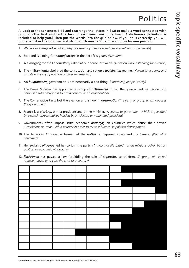# **Politics**

**A. Look at the sentences 1-12 and rearrange the letters in** *bold* **to make a word connected with politics. (The first and last letters of each word are underlined. A dictionary definition is included to help you.) Then put the words into the grid below. If you do it correctly, you will find a word in the bold vertical strip which means 'rule of a country by one person'.**

- 1. We live in a *meyoadcrc. (A country governed by freely elected representatives of the people)*
- 2. Scotland is aiming for *ndnpniedceee* in the next few years. *(Freedom)*
- 3. A *aidtdenac* for the Labour Party called at our house last week. *(A person who is standing for election)*
- 4. The military junta abolished the constitution and set up a *ioaialrtttan* régime. (*Having total power and not allowing any opposition or personal freedom)*
- 5. An *huiatoitaarrn* government is not necessarily a bad thing. *(Controlling people strictly)*
- 6. The Prime Minister has appointed a group of *octthraecns* to run the government. *(A person with particular skills brought in to run a country or an organisation)*
- 7. The Conservative Party lost the election and is now in *opsionotip. (The party or group which opposes the government)*
- 8. France is a *picubrel,* with a president and prime minister. *(A system of government which is governed by elected representatives headed by an elected or nominated president)*
- 9. Governments often impose strict economic *ontincsas* on countries which abuse their power. *(Restrictions on trade with a country in order to try to influence its political development)*
- 10. The American Congress is formed of the *eoHus* of Representatives and the Senate. *(Part of a parliament)*
- 11. Her socialist *oildgyoe* led her to join the party. *(A theory of life based not on religious belief, but on political or economic philosophy)*
- 12. *liarPatmen* has passed a law forbidding the sale of cigarettes to children. *(A group of elected representatives who vote the laws of a country)*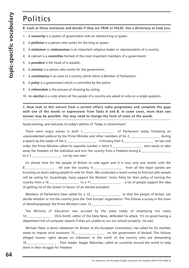# Politics

**B. Look at these sentences and decide if they are TRUE or FALSE. Use a dictionary to help you.**

- 1. A *monarchy* is a system of government with an elected king or queen.
- 2. A *politician* is a person who works for the king or queen.
- 3. A *statesman* or *stateswoman* is an important religious leader or representative of a country.
- 4. A cabinet is a *committee* formed of the most important members of a government.
- 5. A *president* is the head of a republic.
- 6. A *ministry* is a person who works for the government.
- 7. A *constituency* is an area of a country which elects a Member of Parliament.
- 8. A *policy* is a government which is controlled by the police.
- 9. A *referendum* is the process of choosing by voting.

10. An *election* is a vote where all the people of a country are asked to vote on a single question.

**C. Now look at this extract from a current affairs radio programme and complete the gaps with one of the words or expressions from Tasks A and B. In some cases, more than one answer may be possible. You may need to change the form of some of the words.**

Good evening, and welcome to today's edition of 'Today in Government'

|                                                                                                      | of Parliament today following an |                   |
|------------------------------------------------------------------------------------------------------|----------------------------------|-------------------|
| unprecedented walkout by the Prime Minister and other members of his 2                               |                                  | during            |
| a speech by the leader of the 3____________________________. Criticising their 4____________________ |                                  | on law and        |
| order, the Prime Minister called his opposite number a 'strict 5                                     |                                  | who wants to take |
| away the freedom of the individual and turn the country from a freedom-loving 6                      |                                  |                   |
| run by one man.'<br>to a 7                                                                           |                                  |                   |

It's almost time for the people of Britain to vote again and it is now only one month until the 8\_\_\_\_\_\_\_\_\_\_\_\_\_\_\_\_\_\_\_\_\_\_\_\_\_\_\_\_\_\_\_. All over the country, 9\_\_\_\_\_\_\_\_\_\_\_\_\_\_\_\_\_\_\_\_\_\_\_\_\_ from all the major parties are knocking on doors asking people to vote for them. We conducted a recent survey to find out who people will be voting for. Surprisingly, many support the Workers' Union Party for their policy of turning the country from a 10 country from a 10 country from a 10 of getting rid of the Queen in favour of an elected president.

Members of Parliament have called for a 12\_\_\_\_\_\_\_\_\_\_\_\_\_\_\_\_\_\_\_\_\_\_\_ so that the people of Britain can decide whether or not the country joins the 'One Europe' organisation. This follows a survey in the town of Woolhampstead, the Prime Minister's own 13

The Ministry of Education was accused by the press today of employing too many 14 \_\_\_\_\_\_\_\_\_\_\_\_\_\_\_\_\_\_\_ . Chris Smith, editor of the Daily News, defended his attack. 'It's no good having a department full of computer experts if they are unable to run our schools properly', he said.

Michael Yates, a senior statesman for Britain at the European Commission, has called for EU member states to impose strict economic 15 and the government of Boland. This follows alleged human rights abuses on tribesmen in the north of the country who are demanding 16\_\_\_\_\_\_\_\_\_\_\_\_\_\_\_\_\_\_\_\_ . Their leader, Asagai Walumbe, called on countries around the world to help them in their struggle for freedom.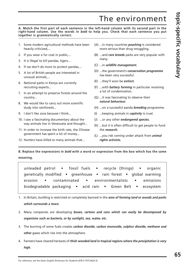# The environment

## **A. Match the first part of each sentence in the left-hand column with its second part in the right-hand column. Use the words in** *bold* **to help you. Check that each sentence you put together is grammatically correct.**

- 1. Some modern agricultural methods have been heavily criticized,...
- 2. If you wear a fur coat in public....
- 3. It is illegal to kill pandas, tigers...
- 4. If we don't do more to protect pandas,...
- 5. A lot of British people are interested in unusual animals,...
- 6. National parks in Kenya are currently recruiting experts...
- 7. In an attempt to preserve forests around the country...
- 8. We would like to carry out more scientific study into rainforests...
- 9. I don't like zoos because I think...
- 10. I saw a fascinating documentary about the way animals live in Venezuela and thought...
- 11. In order to increase the birth rate, the Chinese government has spent a lot of money...
- 12. Hunters have killed so many animals that...
- (A) ...in many countries *poaching* is considered more serious than drug smuggling.
- (B) ...and *rare breeds* parks are very popular with many.
- (C) ...in *wildlife management.*
- (D) ...the government's *conservation programme* has been very successful.
- (E) ...they'll soon be *extinct.*
- (F) ...with *battery farming* in particular receiving a lot of condemnation.
- (G) ...it was fascinating to observe their *natural behaviour.*
- (H) ...on a successful panda *breeding* programme.
- (I) ...keeping animals in *captivity* is cruel.
- (J) ...or any other *endangered species.*
- (K) ...but it is often difficult to get people to fund the *research.*
- (L) ...you risk coming under attack from *animal rights activists.*

**B. Replace the expressions in** *bold* **with a word or expression from the box which has the same meaning.**

| unleaded petrol • fossil fuels • recycle (things) • organic      |
|------------------------------------------------------------------|
| genetically modified • greenhouse • rain forest • global warming |
| erosion • contaminated • environmentalists • emissions           |
| biodegradable packaging • acid rain • Green Belt • ecosystem     |

- 1. In Britain, building is restricted or completely banned in the *area of farming land or woods and parks which surrounds a town.*
- 2. Many companies are developing *boxes, cartons and cans which can easily be decomposed by organisms such as bacteria, or by sunlight, sea, water, etc.*
- 3. The burning of some fuels creates *carbon dioxide, carbon monoxide, sulphur dioxide, methane and other* gases which rise into the atmosphere.
- 4. Farmers have cleared hectares of *thick wooded land in tropical regions where the precipitation is very high.*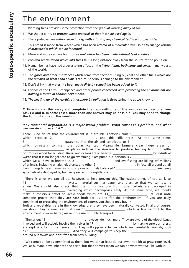# The environment

- 5. Planting trees provides some protection from the *gradual wearing away* of soil.
- 6. We should all try to *process waste material so that it can be used again.*
- 7. These potatoes are *cultivated naturally, without using any chemical fertilisers or pesticides.*
- 8. This bread is made from wheat which has been *altered at a molecular level so as to change certain characteristics which can be inherited.*
- 9. More and more cars are built to use *fuel which has been made without lead additives.*
- 10. *Polluted precipitation which kills trees* falls a long distance away from the source of the pollution.
- 11. Human beings have had a devastating effect on the *living things, both large and small,* in many parts of the world.
- 12. The *gases and other substances* which come from factories using oil, coal and other *fuels which are the remains of plants and animals* can cause serious damage to the environment.
- 13. Don't drink that water! It's been *made dirty by something being added to it.*
- 14. Friends of the Earth, Greenpeace and other *people concerned with protecting the environment are holding a forum in London next month.*
- 15. The heating up of the earth's atmosphere by pollution is threatening life as we know it.

**C. Now look at this essay and complete the gaps with one of the words or expressions from Tasks A and B. In some cases, more than one answer may be possible. You may need to change the form of some of the words.**

*'Environmental degradation is a major world problem. What causes this problem, and what can we do to prevent it?'*

| There is no doubt that the environment is in trouble. Factories burn 1____                                     |  |  |  |  |  |  |  |  |  |  |  |  |
|----------------------------------------------------------------------------------------------------------------|--|--|--|--|--|--|--|--|--|--|--|--|
|                                                                                                                |  |  |  |  |  |  |  |  |  |  |  |  |
|                                                                                                                |  |  |  |  |  |  |  |  |  |  |  |  |
| which threatens to melt the polar ice cap. Meanwhile farmers clear huge areas of                               |  |  |  |  |  |  |  |  |  |  |  |  |
|                                                                                                                |  |  |  |  |  |  |  |  |  |  |  |  |
|                                                                                                                |  |  |  |  |  |  |  |  |  |  |  |  |
| waste that it is no longer safe to go swimming. Cars pump out poisonous 7                                      |  |  |  |  |  |  |  |  |  |  |  |  |
|                                                                                                                |  |  |  |  |  |  |  |  |  |  |  |  |
| of animals, including whales, elephants and other 9 [11] [12] In fact, all around us, all                      |  |  |  |  |  |  |  |  |  |  |  |  |
| living things large and small which comprise our finely balanced 10_________________________________ are being |  |  |  |  |  |  |  |  |  |  |  |  |
| systematically destroyed by human greed and thoughtlessness.                                                   |  |  |  |  |  |  |  |  |  |  |  |  |

There is a lot we can all do, however, to help prevent this. The easiest thing, of course, is to 11\_\_\_\_\_\_\_\_\_\_\_\_\_\_\_\_\_\_\_\_\_\_\_\_\_\_ waste material such as paper and glass so that we can use it again. We should also check that the things we buy from supermarkets are packaged in 12\_\_\_\_\_\_\_\_\_\_\_\_\_\_\_\_\_\_\_\_\_\_\_\_\_\_ packaging which decomposes easily. At the same time, we should make a conscious effort to avoid foods which are 13\_\_\_\_\_\_\_\_\_\_\_\_\_\_\_\_\_\_\_\_\_\_\_\_\_ (at least until someone proves that they are safe both for us and for the environment). If you are truly committed to protecting the environment, of course, you should only buy 14 fruit and vegetables, safe in the knowledge that they have been naturally cultivated. Finally, of course, we should buy a small car that uses 15\_\_\_\_\_\_\_\_\_\_\_\_\_\_\_\_\_\_\_\_\_\_\_\_\_\_ which is less harmful to the environment or, even better, make more use of public transport.

The serious 16\_\_\_\_\_\_\_\_\_\_\_\_\_\_\_\_\_\_\_\_\_\_\_\_\_\_ , however, do much more. They are aware of the global issues involved and will actively involve themselves in 17\_\_\_\_ are kept safe for future generations. They will oppose activities which are harmful to animals, such as 18\_\_\_\_\_\_\_\_\_\_\_\_\_\_\_\_\_\_\_\_\_\_\_\_\_\_ . And they will campaign to keep the 19\_\_\_\_\_\_\_\_\_\_\_\_\_\_\_\_\_\_\_\_\_\_\_\_\_\_ around our towns and cities free from new building.

We cannot all be as committed as them, but we can at least do our own little bit at grass roots level. We, as humans, have inherited the earth, but that doesn't mean we can do whatever we like with it.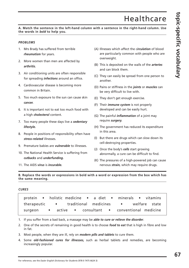# Healthcare

### **A. Match the sentence in the left-hand column with a sentence in the right-hand column. Use the words in** *bold* **to help you.**

### *PROBLEMS*

- 1. Mrs Brady has suffered from terrible *rheumatism* for years.
- 2. More women than men are affected by *arthritis.*
- 3. Air conditioning units are often responsible for spreading *infections* around an office.
- 4. Cardiovascular disease is becoming more common in Britain.
- 5. Too much exposure to the sun can cause skin *cancer.*
- 6. It is important not to eat too much food with a high *cholesterol* content.
- 7. Too many people these days live a *sedentary lifestyle.*
- 8. People in positions of responsibility often have *stress-related* illnesses.
- 9. Premature babies are *vulnerable* to illnesses.
- 10. The National Health Service is suffering from *cutbacks* and *underfunding.*
- 11. The AIDS *virus* is *incurable.*
- (A) Illnesses which affect the c*irculation* of blood are particularly common with people who are overweight.
- (B) This is deposited on the walls of the *arteries* and can block them.
- (C) They can easily be spread from one person to another.
- (D) Pains or stiffness in the *joints* or *muscles* can be very difficult to live with.
- (E) They don't get enough exercise.
- (F) Their *immune system* is not properly developed and can be easily hurt.
- (G) The painful *inflammation* of a joint may require *surgery.*
- (H) The government has reduced its expenditure in this area.
- (I) But there are drugs which can slow down its cell-destroying properties.
- (J) Once the body's *cells* start growing abnormally, a cure can be difficult to find.
- (K) The pressures of a high-powered job can cause nervous *strain,* which may require drugs.

**B. Replace the words or expressions in bold with a word or expression from the box which has the same meaning.**

### *CURES*

| protein • holistic medicine • a diet • minerals • vitamins |  |
|------------------------------------------------------------|--|
| therapeutic • traditional medicines • welfare state        |  |
| surgeon • active • consultant • conventional medicine      |  |

- 1. If you suffer from a bad back, a massage may be *able to cure or relieve the disorder*.
- 2. One of the secrets of remaining in good health is to choose *food to eat* that is high in fibre and low in fat.
- 3. Most people, when they are ill, rely on *modern pills and tablets* to cure them.
- 4. Some *old-fashioned cures for illnesses,* such as herbal tablets and remedies, are becoming increasingly popular.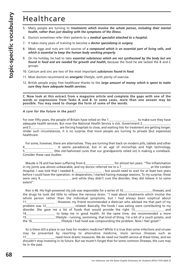# Healthcare

- 5. Many people are turning to *treatments which involve the whole person, including their mental health, rather than just dealing with the symptoms of the illness.*
- 6. Doctors sometimes refer their patients to a *medical specialist attached to a hospital.*
- 7. It takes many years of training to become a *doctor specializing in surgery.*
- 8. Meat, eggs and nuts are rich sources of *a compound which is an essential part of living cells, and which is essential to keep the human body working properly.*
- 9. On his holiday, he had to take *essential substances which are not synthesized by the body but are found in food and are needed for growth and health,* because the food he ate lacked the B and C groups.
- 10. Calcium and zinc are two of the most important *substances found in food.*
- 11. Most doctors recommend an *energetic* lifestyle, with plenty of exercise.
- 12. British people enjoy free healthcare thanks to the *large amount of money which is spent to make sure they have adequate health services.*

**C. Now look at this extract from a magazine article and complete the gaps with one of the words or expressions from Tasks A and B. In some cases, more than one answer may be possible. You may need to change the form of some of the words.**

### *A cure for the future in the past?*

For over fifty years, the people of Britain have relied on the 1\_\_\_\_\_\_\_\_\_\_\_\_\_\_\_\_\_\_\_\_ to make sure they have adequate health services. But now the National Health Service is sick. Government 2\_

and 3 are forcing hospitals to close, and waiting lists for treatment are getting longer. Under such circumstances, it is no surprise that more people are turning to private (but expensive) healthcare.

For some, however, there are alternatives. They are turning their back on modern pills, tablets and other 4\_\_\_\_\_\_\_\_\_\_\_\_\_\_\_\_\_\_\_ . It seems paradoxical, but in an age of microchips and high technology, 5 the old-fashioned cures that our grandparents relied on) is making a comeback. Consider these case studies:

Maude is 76 and has been suffering from 6 and the state of almost ten years. "The inflammation in my joints was almost unbearable, and my doctor referred me to a 7 and metal on at the London Hospital. I was told that I needed 8\_\_\_\_\_\_\_\_\_\_\_\_\_\_\_\_\_\_\_\_, but would need to wait for at least two years before I could have the operation. In desperation, I started having massage sessions. To my surprise, these were very 9 The very contact the very state of the very didn't cure the disorder, they did relieve it to some extent".

Ron is 46. His high-powered city job was responsible for a series of 10\_\_\_\_\_\_\_\_\_\_\_\_\_\_\_\_\_\_\_\_\_\_\_ illnesses, and the drugs he took did little to relieve the nervous strain. "I read about treatments which involve the whole person rather than the individual symptoms, but I had always been sceptical about 11\_\_\_\_\_\_\_\_\_\_\_\_\_\_\_\_\_\_\_ . However, my friend recommended a dietician who advised me that part of my problem was 12\_\_\_\_\_\_\_\_\_\_\_\_\_\_\_\_\_\_\_-related. Basically, the foods I was eating were contributing to my disorder. She gave me a list of foods that would provide the right 13\_\_\_\_\_\_\_\_\_\_\_\_\_\_\_\_\_\_\_ and 14\_\_\_\_\_\_\_\_\_\_\_\_\_\_\_\_\_\_\_ to keep me in good health. At the same time, she recommended a more 15\_\_\_\_\_\_\_\_\_\_\_\_\_\_\_\_\_\_\_ lifestyle - running, swimming, that kind of thing. I'm a bit of a couch potato, and the 16\_\_\_\_\_\_\_\_\_\_\_\_\_\_\_\_\_\_\_ lifestyle I had lived was compounding the problem. Now I feel great!"

So is there still a place in our lives for modern medicine? While it is true that some infections and viruses may be prevented by resorting to alternative medicine, more serious illnesses such as 17\_\_\_\_\_\_\_\_\_\_\_\_\_\_\_\_\_\_\_ need more drastic measures. We do need our health service at these times, and we shouldn't stop investing in its future. But we mustn't forget that for some common illnesses, the cure may lie in the past.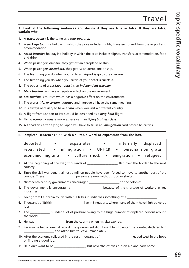### **A. Look at the following sentences and decide if they are true or false. If they are false, explain why.**

- 1. A *travel agency* is the same as a *tour operator.*
- 2. A *package tour* is a holiday in which the price includes flights, transfers to and from the airport and accommodation.
- 3. An *all-inclusive* holiday is a holiday in which the price includes flights, transfers, accommodation, food and drink.
- 4. When passengers *embark,* they get *off* an aeroplane or ship.
- 5. When passengers *disembark,* they get *on* an aeroplane or ship.
- 6. The first thing you do when you go to an airport is go to the *check-in*.
- 7. The first thing you do when you arrive at your hotel is *check in.*
- 8. The opposite of a *package tourist* is an *independent traveller.*
- 9. *Mass tourism* can have a negative effect on the environment.
- 10. *Eco-tourism* is tourism which has a negative effect on the environment.
- 11. The words *trip, excursion, journey* and *voyage* all have the same meaning.
- 12. It is always necessary to have a *visa* when you visit a different country.
- 13. A flight from London to Paris could be described as a *long-haul* flight.
- 14. Flying *economy class* is more expensive than flying *business class*.
- 15. A Canadian citizen flying to Japan will have to fill in an *immigration card* before he arrives.

#### **B. Complete sentences 1-11 with a suitable word or expression from the box.**

| deported                                              | $\bullet$ . The set of $\bullet$ | expatriates | $\bullet$ |                                         | internally displaced |
|-------------------------------------------------------|----------------------------------|-------------|-----------|-----------------------------------------|----------------------|
| repatriated • immigration • UNHCR • persona non grata |                                  |             |           |                                         |                      |
| economic migrants                                     |                                  |             |           | • culture shock • emigration • refugees |                      |

- 1. At the beginning of the war, thousands of the section of the over the border to the next country.
- 2. Since the civil war began, almost a million people have been forced to move to another part of the country. These **Example 20** bersons are now without food or shelter.
- 3. Nineteenth-century governments encouraged the state of the colonies.
- 4. The government is encouraging \_\_\_\_\_\_\_\_\_\_\_\_\_\_\_\_\_\_\_\_ because of the shortage of workers in key industries.
- 5. Going from California to live with hill tribes in India was something of a
- 6. Thousands of British \_\_\_\_\_\_\_\_\_\_\_\_\_\_\_\_\_\_\_\_ live in Singapore, where many of them have high-powered jobs.
- 7. The \_\_\_\_\_\_\_\_\_\_\_\_\_ is under a lot of pressure owing to the huge number of displaced persons around the world.
- 8. He was **Example 20** From the country when his visa expired.
- 9. Because he had a criminal record, the government didn't want him to enter the country, declared him **Example 20** and asked him to leave immediately.
- 10. After the economy collapsed in the east, thousands of Theoreul and the hope headed west in the hope of finding a good job.
- 11. He didn't want to be  $\qquad \qquad$  , but nevertheless was put on a plane back home.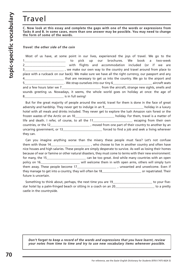# **Travel**

**C. Now look at this essay and complete the gaps with one of the words or expressions from Tasks A and B. In some cases, more than one answer may be possible. You may need to change the form of some of the words.**

### *Travel: the other side of the coin*

Most of us have, at some point in our lives, experienced the joys of travel. We go to the 1\_\_\_\_\_\_\_\_\_\_\_\_\_\_\_\_\_\_\_\_\_\_\_\_\_\_ to pick up our brochures. We book a two-week 2\_\_\_\_\_\_\_\_\_\_\_\_\_\_\_\_\_\_\_\_\_\_\_\_\_\_\_ with flights and accommodation included (or if we are 3\_\_\_\_\_\_\_\_\_\_\_\_\_\_\_\_\_\_\_\_\_\_\_\_\_\_ , we make our own way to the country and travel around from place to place with a rucksack on our back). We make sure we have all the right currency, our passport and any  $\frac{1}{2}$  that are necessary to get us into the country. We go to the airport and 5<sup>orc</sup> by the strap ourselves into our tiny 6\_\_\_\_\_\_\_\_\_\_\_\_\_\_\_\_\_\_\_\_\_\_\_\_\_\_\_\_\_ aircraft seats and a few hours later we 7\_\_\_\_\_\_\_\_\_\_\_\_\_\_\_\_\_\_\_\_\_\_\_\_\_\_\_\_\_ from the aircraft, strange new sights, smells and sounds greeting us. Nowadays, it seems, the whole world goes on holiday at once: the age of 8\_\_\_\_\_\_\_\_\_\_\_\_\_\_\_\_\_\_\_\_\_\_\_\_\_\_ is in full swing!

| But for the great majority of people around the world, travel for them is done in the face of great         |                                                 |
|-------------------------------------------------------------------------------------------------------------|-------------------------------------------------|
| adversity and hardship. They never get to indulge in an 9______________________________ holiday in a luxury |                                                 |
| hotel with all meals and drinks included. They never get to explore the lush Amazon rain forest or the      |                                                 |
|                                                                                                             | holiday. For them, travel is a matter of        |
| life and death. I refer, of course, to all the 11_______________________________ escaping from their own    |                                                 |
| countries, or the 12___________________________, moved from one part of their country to another by an      |                                                 |
| uncaring government, or 13                                                                                  | forced to find a job and seek a living wherever |
| they can.                                                                                                   |                                                 |

Can you imagine anything worse than the misery these people must face? Let's not confuse them with those 14\_\_\_\_\_\_\_\_\_\_\_\_\_\_\_\_\_\_\_\_\_\_\_\_\_\_\_\_\_, who choose to live in another country and often have nice houses and high salaries. These people are simply desperate to survive. As well as losing their homes because of war or famine or other natural disasters, they must come to terms with their new environment: for many, the 15\_\_\_\_\_\_\_\_\_\_\_\_\_\_\_\_\_\_\_\_\_\_\_\_\_\_\_\_\_\_\_\_\_\_ can be too great. And while many countries with an open policy on 16 holds and the will welcome them in with open arms, others will simply turn them away. These people become 17\_\_\_\_\_\_\_\_\_\_\_\_\_\_\_\_\_\_\_\_\_\_\_\_\_\_\_\_\_\_\_\_, unwanted and unwelcome. Even if they manage to get into a country, they will often be 18\_\_\_\_\_\_\_\_\_\_\_\_\_\_\_\_\_\_\_\_\_\_\_\_\_\_ or repatriated. Their future is uncertain.

Something to think about, perhaps, the next time you are 19\_\_\_\_\_\_\_\_\_\_\_\_\_\_\_\_\_\_\_\_\_\_\_\_\_\_\_ to your fivestar hotel by a palm-fringed beach or sitting in a coach on an 20 Theorem 20 Theorem 20 castle in the countryside.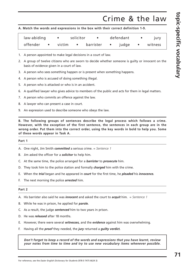# Crime & the law

|  |  | A. Match the words and expressions in the box with their correct definition 1-9. |  |  |  |  |
|--|--|----------------------------------------------------------------------------------|--|--|--|--|
|  |  |                                                                                  |  |  |  |  |

| law-abiding |                  | solicitor   |  | defendant | <b>lurv</b> |
|-------------|------------------|-------------|--|-----------|-------------|
| offender    | $\bullet$ victim | • barrister |  | • judge   | witness     |

- 1. A person appointed to make legal decisions in a court of law.
- 2. A group of twelve citizens who are sworn to decide whether someone is guilty or innocent on the basis of evidence given in a court of law.
- 3. A person who sees something happen or is present when something happens.
- 4. A person who is accused of doing something illegal.
- 5. A person who is attacked or who is in an accident.
- 6. A qualified lawyer who gives advice to members of the public and acts for them in legal matters.
- 7. A person who commits an offence against the law.
- 8. A lawyer who can present a case in court.
- 9. An expression used to describe someone who obeys the law.

**B. The following groups of sentences describe the legal process which follows a crime. However, with the exception of the first sentence, the sentences in each group are in the wrong order. Put them into the correct order, using the key words in bold to help you. Some of these words appear in Task A.** 

### **Part 1**

- A. One night, Jim Smith *committed* a serious crime. *= Sentence 1*
- B. Jim asked the officer for a *solicitor* to help him.
- C. At the same time, the police arranged for a *barrister* to *prosecute* him.
- D. They took him to the police station and formally *charged* him with the crime.
- E. When the *trial* began and he appeared in *court* for the first time, he *pleaded* his *innocence.*
- F. The next morning the police *arrested* him.

### **Part 2**

- A. His barrister also said he was *innocent* and asked the court to *acquit* him. *= Sentence 1*
- B. While he was in prison, he applied for *parole.*
- C. As a result, the judge *sentenced* him to two years in prison.
- D. He was *released* after 18 months.
- E. However, there were several *witnesses,* and the *evidence* against him was overwhelming.
- F. Having all the *proof* they needed, the *jury* returned a *guilty verdict.*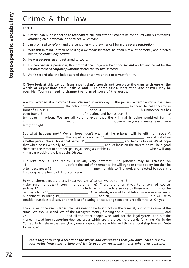# Crime & the law

### **Part 3**

- A. Unfortunately, prison failed to *rehabilitate* him and after his *release* he continued with his *misdeeds,* attacking an old woman in the street. *= Sentence 1*
- B. Jim promised to *reform* and the pensioner withdrew her call for more severe *retribution.*
- C. With this in mind, instead of passing a *custodial sentence,* he *fined* him a lot of money and ordered him to do *community service.*
- D. He was *re-arrested* and returned to court.
- E. His new *victim,* a pensioner, thought that the judge was being too *lenient* on Jim and called for the reinstatement of *corporal punishment* and *capital punishment!*
- F. At his second trial the judge agreed that prison was not a *deterrent* for Jim.

**C. Now look at this extract from a politician's speech and complete the gaps with one of the words or expressions from Tasks A and B. In some cases, more than one answer may be possible. You may need to change the form of some of the words.**

|                  |                                                                                                                                                                                                                                                                                   | Are you worried about crime? I am. We read it every day in the papers. A terrible crime has been |
|------------------|-----------------------------------------------------------------------------------------------------------------------------------------------------------------------------------------------------------------------------------------------------------------------------------|--------------------------------------------------------------------------------------------------|
|                  | the police have $2$ [100] $\frac{1}{2}$ [100] $\frac{1}{2}$ [100] $\frac{1}{2}$ [100] $\frac{1}{2}$ [100] $\frac{1}{2}$ [100] $\frac{1}{2}$ [100] $\frac{1}{2}$ [100] $\frac{1}{2}$ [100] $\frac{1}{2}$ [100] $\frac{1}{2}$ [100] $\frac{1}{2}$ [100] $\frac{1}{2}$ [100] $\frac$ | someone, he has appeared in                                                                      |
|                  |                                                                                                                                                                                                                                                                                   |                                                                                                  |
| been found 5     |                                                                                                                                                                                                                                                                                   | of his crime and he has been 6<br>to:                                                            |
|                  |                                                                                                                                                                                                                                                                                   | ten years in prison. We are all very relieved that the criminal is being punished for his        |
|                  | , and $8 \pm 1$                                                                                                                                                                                                                                                                   | citizens like you and me can sleep more                                                          |
| safely at night. |                                                                                                                                                                                                                                                                                   |                                                                                                  |

But what happens next? We all hope, don't we, that the prisoner will benefit from society's 9\_\_\_\_\_\_\_\_\_\_\_\_\_\_\_\_\_\_\_\_\_\_\_\_\_\_ , that a spell in prison will 10\_\_\_\_\_\_\_\_\_\_\_\_\_\_\_\_\_\_\_\_\_\_\_\_\_\_ him and make him a better person. We all hope that he will 11\_\_\_\_\_\_\_\_\_\_\_\_\_\_\_\_\_\_\_\_\_\_\_\_\_\_ and become like us. We all hope that when he is eventually 12\_\_\_\_\_\_\_\_\_\_\_\_\_\_\_\_\_\_\_\_\_\_\_\_\_\_ and let loose on the streets, he will be a good character, the threat of another spell in jail being a suitable 13\_\_\_\_\_\_\_\_\_\_\_\_\_\_\_\_\_\_\_\_\_\_\_\_\_\_ which will stop him from breaking the law again. Oh yes.

But let's face it. The reality is usually very different. The prisoner may be released on 14\_\_\_\_\_\_\_\_\_\_\_\_\_\_\_\_\_\_\_\_\_\_\_\_\_\_ , before the end of his sentence. He will try to re-enter society. But then he often becomes a 15\_\_\_\_\_\_\_\_\_\_\_\_\_\_\_\_\_\_\_\_\_\_\_\_\_\_ himself, unable to find work and rejected by society. It isn't long before he's back in prison again.

So what alternatives are there, I hear you say. What can we do to the 16\_\_\_\_\_\_\_\_\_\_\_\_\_\_\_\_\_\_\_\_\_\_\_\_\_\_ to make sure he doesn't commit another crime? There are alternatives to prison, of course, such as 17\_\_\_\_\_\_\_\_\_\_\_\_\_\_\_\_\_\_\_\_\_\_\_\_\_\_ in which he will provide a service to those around him. Or he can pay a large 18\_\_\_\_\_\_\_\_\_\_\_\_\_\_\_\_\_\_\_\_\_\_\_\_\_\_ . Alternatively, we could establish a more severe system of punishment, including 19\_\_\_\_\_\_\_\_\_\_\_\_\_\_\_\_\_\_\_\_\_\_\_\_\_\_ and 20\_\_\_\_\_\_\_\_\_\_\_\_\_\_\_\_\_\_\_\_\_\_\_\_\_\_ , but we like to consider ourselves civilised, and the idea of beating or executing someone is repellent to us. Oh yes.

The answer, of course, is far simpler. We need to be tough not on the criminal, but on the cause of the crime. We should spend less of the taxpayer's money funding the 21\_\_\_\_\_\_\_\_\_\_\_\_\_\_\_\_\_\_\_\_\_\_\_\_\_\_ and 22\_\_\_\_\_\_\_\_\_\_\_\_\_\_\_\_\_\_\_\_\_\_\_\_\_\_ and all the other people who work for the legal system, and put the money instead into supporting deprived areas which are the breeding grounds for crime. We in the ConLab Party believe that everybody needs a good chance in life, and this is a good step forward. Vote for us now!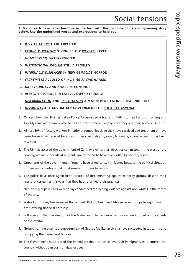## Social tensions

**A. Match each newspaper headline in the box with the first line of its accompanying story below. Use the underlined words and expressions to help you.**

- **A.** *ILLEGAL ALIENS* **TO BE EXPELLED**
- **B.** *ETHNIC MINORITIES* **'LIVING BELOW** *POVERTY* **LEVEL'**
- **C.** *HOMELESS SQUATTERS* **EVICTED**
- **D.** *INSTITUTIONAL RACISM* **STILL A PROBLEM**
- **E.** *INTERNALLY DISPLACED* **IN NEW** *GENOCIDE* **HORROR**
- **F.** *EXTREMISTS* **ACCUSED OF INCITING** *RACIAL HATRED*
- **G.** *UNREST, RIOTS* **AND** *ANARCHY* **CONTINUE**
- **H.** *REBELS* **VICTORIOUS IN LATEST** *POWER STRUGGLE*
- **I.** *DISCRIMINATION* **AND** *EXPLOITATION* **A MAJOR PROBLEM IN BRITISH INDUSTRY**
- **J.** *DISSIDENTS* **ASK AUSTRALIAN GOVERNMENT FOR** *POLITICAL ASYLUM*
- 1. Officers from the Thames Valley Police Force raided a house in Kidlington earlier this morning and forcibly removed a family who had been staying there illegally since they lost their home in August.
- 2. Almost 50% of factory workers in national companies claim they have received bad treatment or have been taken advantage of because of their class, religion, race , language, colour or sex, it has been revealed.
- 3. The UN has accused the government of Zarislavia of further atrocities committed in the west of the country, where hundreds of migrants are reported to have been killed by security forces.
- 4. Opponents of the government in Yugaria have asked to stay in Sydney because the political situation in their own country is making it unsafe for them to return.
- 5. The police have once again been accused of discriminating against minority groups, despite their reassurances earlier this year that they had reformed their practices.
- 6. Neo-Nazi groups in Paris were today condemned for inciting violence against non-whites in the centre of the city.
- 7. A shocking survey has revealed that almost 30% of Asian and African racial groups living in London are suffering financial hardship.
- 8. Following further devaluation of the Malovian dollar, violence has once again erupted on the streets of the capital.
- 9. Groups fighting against the government of George Malikes in Livatia have succeeded in capturing and occupying the parliament building.
- 10. The Government has ordered the immediate deportation of over 200 immigrants who entered the country without passports or visas last year.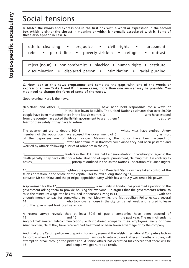# Social tensions

**B. Match the words and expressions in the first box with a word or expression in the second box which is either the closest in meaning or which is normally associated with it. Some of these also appear in Task A.**

| ethnic cleansing • prejudice • civil rights • harassment                                                                                  |  |  |  |  |  |  |  |
|-------------------------------------------------------------------------------------------------------------------------------------------|--|--|--|--|--|--|--|
| rebel • picket line • poverty-stricken • refugee • outcast                                                                                |  |  |  |  |  |  |  |
|                                                                                                                                           |  |  |  |  |  |  |  |
| reject (noun) • non-conformist • blackleg • human rights • destitute<br>discrimination • displaced person • intimidation • racial purging |  |  |  |  |  |  |  |

**C. Now look at this news programme and complete the gaps with one of the words or expressions from Tasks A and B. In some cases, more than one answer may be possible. You may need to change the form of some of the words.**

Good evening. Here is the news.

Neo-Nazis and other 1 and the state of the been held responsible for a wave of 2\_\_\_\_\_\_\_\_\_\_\_\_\_\_\_\_\_\_\_\_\_\_\_\_\_\_ in the Bratilovan Republic. The United Nations estimates that over 20,000 people have been murdered there in the last six months. 3\_\_\_\_\_\_\_\_\_\_\_\_\_\_\_\_\_\_\_\_\_\_\_\_\_\_ who have escaped from the country have asked the British government to grant them 4 and the state of the state of the state of the state of the state of the state of the state of the state of the state of the state of the state of the stat fear for their safety if they have to return.

The government are to deport 500 5\_\_\_\_\_\_\_\_\_\_\_\_\_\_\_\_\_\_\_\_\_\_\_\_\_\_ whose visas have expired. Angry members of the opposition have accused the government of 6\_\_\_\_\_\_\_\_\_\_\_\_\_\_\_\_\_\_\_\_\_\_\_\_\_\_ , as most of the deportees are of African origin. Meanwhile, the police have been accused of 7\_\_\_\_\_\_\_\_\_\_\_\_\_\_\_\_\_\_\_\_\_\_\_\_\_\_ , after Asian families in Bradford complained they had been pestered and worried by officers following a series of robberies in the city.

8\_\_\_\_\_\_\_\_\_\_\_\_\_\_\_\_\_\_\_\_\_\_\_\_\_\_ leaders in the USA have held a demonstration in Washington against the death penalty. They have called for a total abolition of capital punishment, claiming that it is contrary to basic 9\_\_\_\_\_\_\_\_\_\_\_\_\_\_\_\_\_\_\_\_\_\_\_\_\_\_ principles outlined in the United Nations Declaration of Human Rights.

10\_\_\_\_\_\_\_\_\_\_\_\_\_\_\_\_\_\_\_\_\_\_\_\_\_\_ fighting the government of President Stanislow have taken control of the television station in the centre of the capital. This follows a long-standing 11 between Mr Stanislow and the principal opposition party which has seriously weakened his power.

A spokesman for the 12\_\_\_\_\_\_\_\_\_\_\_\_\_\_\_\_\_\_\_\_\_\_\_\_\_\_ community in London has presented a petition to the government asking them to provide housing for everyone. He argues that the government's refusal to raise the minimum wage rate has resulted in thousands living in 13\_\_\_\_\_\_\_\_\_\_\_\_\_\_\_\_\_\_\_\_\_\_\_\_\_\_\_\_\_\_\_, with not enough money to pay for somewhere to live. Meanwhile, the Metropolitan Police evicted several 14\_\_\_\_\_\_\_\_\_\_\_\_\_\_\_\_\_\_\_\_\_\_\_\_\_\_ who took over a house in the city centre last week and refused to leave until the government took positive action.

A recent survey reveals that at least 30% of public companies have been accused of 15\_\_\_\_\_\_\_\_\_\_\_\_\_\_\_\_\_\_\_\_\_\_\_\_\_\_ and 16\_\_\_\_\_\_\_\_\_\_\_\_\_\_\_\_\_\_\_\_\_\_\_\_\_\_ in the past year. The main offender is Anglo-Amalgamated Telecommunications, a Bristol-based company. Their employees, many of them Asian women, claim they have received bad treatment or been taken advantage of by the company.

And finally, the Cardiff police are preparing for angry scenes at the Welsh International Computers factory tomorrow when 17\_\_\_\_\_\_\_\_\_\_\_\_\_\_\_\_\_\_\_\_\_\_\_\_\_\_ , anxious to return to work after six months on strike, will attempt to break through the picket line. A senior officer has expressed his concern that there will be 18\_\_\_\_\_\_\_\_\_\_\_\_\_\_\_\_\_\_\_\_\_\_\_\_\_\_ and people will get hurt as a result.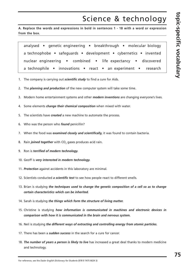# Science & technology

**A. Replace the words and expressions in bold in sentences 1 - 18 with a word or expression from the box.**

| analysed • genetic engineering • breakthrough • molecular biology |
|-------------------------------------------------------------------|
| a technophobe • safeguards • development • cybernetics • invented |
| nuclear engineering • combined • life expectancy • discovered     |
| a technophile • innovations • react • an experiment • research    |

- 1. The company is carrying out *scientific study* to find a cure for Aids.
- 2. The *planning and production* of the new computer system will take some time.
- 3. Modern home entertainment systems and other *modern inventions* are changing everyone's lives.
- 4. Some elements *change their chemical composition* when mixed with water.
- 5. The scientists have *created* a new machine to automate the process.
- 6. Who was the person who *found* penicillin?
- 7. When the food was *examined closely and scientifically,* it was found to contain bacteria.
- 8. Rain *joined together* with CO<sub>2</sub> gases produces acid rain.
- 9. Ron is *terrified of modern technology.*
- 10. Geoff is *very interested in modern technology.*
- 11. *Protection* against accidents in this laboratory are minimal.
- 12. Scientists conducted *a scientific test* to see how people react to different smells.
- 13. Brian is studying *the techniques used to change the genetic composition of a cell so as to change certain characteristics which can be inherited.*
- 14. Sarah is studying *the things which form the structure of living matter.*
- 15. Christine is studying *how information is communicated in machines and electronic devices in comparison with how it is communicated in the brain and nervous system.*
- 16. Neil is studying *the different ways of extracting and controlling energy from atomic particles.*
- 17. There has been a *sudden success* in the search for a cure for cancer.
- 18. *The number of years a person is likely to live* has increased a great deal thanks to modern medicine and technology.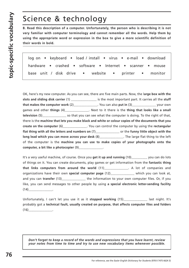# Science & technology

**B. Read this description of a computer. Unfortunately, the person who is describing it is not very familiar with computer terminology and cannot remember all the words. Help them by using the appropriate word or expression in the box to give a more scientific definition of their words in bold.**

| log on • keyboard • load / install • virus • e-mail • download |  |
|----------------------------------------------------------------|--|
| hardware • crashed • software • Internet • scanner • mouse     |  |
| base unit / disk drive • website • printer • monitor           |  |

OK, here's my new computer. As you can see, there are five main parts. Now, the l**arge box with the slots and sliding disk carrier** (1) \_\_\_\_\_\_\_\_\_\_\_\_\_\_\_\_ is the most important part. It carries all the **stuff that makes the computer work** (2)\_\_\_\_\_\_\_\_\_\_\_\_\_\_\_. You can also **put in** (3)\_\_\_\_\_\_\_\_\_\_\_\_\_\_\_ your own games and other **things** (4)\_\_\_\_\_\_\_\_\_\_\_\_\_\_\_. Next to it there is the **thing that looks like a small television** (5)\_\_\_\_\_\_\_\_\_\_\_\_\_\_\_ so that you can see what the computer is doing. To the right of that, there is the **machine that lets you make black and white or colour copies of the documents that you create on the computer** (6)\_\_\_\_\_\_\_\_\_\_\_\_\_\_\_. You can control the computer by using the **rectangular flat thing with all the letters and numbers on** (7)\_\_\_\_\_\_\_\_\_\_\_\_\_\_\_ or the **funny little object with the long lead which you can move across your desk** (8)\_\_\_\_\_\_\_\_\_\_\_\_\_\_\_. The large flat thing to the left of the computer is the **machine you can use to make copies of your photographs onto the computer, a bit like a photocopier** (9)\_\_\_\_\_\_\_\_\_\_\_\_\_\_\_.

It's a very useful machine, of course. Once you **get it up and running** (10)\_\_\_\_\_\_\_\_\_\_ you can do lots of things on it. You can create documents, play games or get information from the **fantastic thing that links computers from around the world** (11)\_\_\_\_\_\_\_\_\_\_\_\_\_\_\_. A lot of companies and organizations have their own **special computer page** (12)\_\_\_\_\_\_\_\_\_\_\_\_\_\_\_ which you can look at, and you can **transfer** (13)\_\_\_\_\_\_\_\_\_\_\_\_\_\_\_ the information to your own computer files. Or, if you like, you can send messages to other people by using **a special electronic letter-sending facility**  $(14)$ 

Unfortunately, I can't let you use it as it **stopped working** (15)\_\_\_\_\_\_\_\_\_\_\_\_\_\_\_ last night. It's probably got a **technical fault, usually created on purpose, that affects computer files and folders**  $(16)$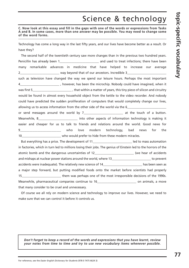# Science & technology

#### **C. Now look at this essay and fill in the gaps with one of the words or expressions from Tasks A and B. In some cases, more than one answer may be possible. You may need to change some of the word forms.**

Technology has come a long way in the last fifty years, and our lives have become better as a result. Or have they?

The second half of the twentieth century saw more changes than in the previous two hundred years. Penicillin has already been 1 and 1 and used to treat infections; there have been many remarkable advances in medicine that have helped to increase our average 2\_\_\_\_\_\_\_\_\_\_\_\_\_\_\_\_\_\_\_\_\_\_\_\_\_\_ way beyond that of our ancestors. Incredible 3\_\_\_\_\_\_\_\_\_\_\_\_\_\_\_\_\_\_\_\_\_\_\_\_\_\_ such as television have changed the way we spend our leisure hours. Perhaps the most important 4\_\_\_\_\_\_\_\_\_\_\_\_\_\_\_\_\_\_\_\_\_\_\_\_\_\_ , however, has been the microchip. Nobody could have imagined, when it was first 5\_\_\_\_\_\_\_\_\_\_\_\_\_\_\_\_\_\_\_\_\_\_\_\_\_\_\_, that within a matter of years, this tiny piece of silicon and circuitry would be found in almost every household object from the kettle to the video recorder. And nobody could have predicted the sudden proliferation of computers that would completely change our lives, allowing us to access information from the other side of the world via the 6 or send messages around the world by 7\_\_\_\_\_\_\_\_\_\_\_\_\_\_\_\_\_\_\_\_\_\_\_\_\_\_\_\_\_\_ at the touch of a button. Meanwhile, 8 and the state of information technology is making it easier and cheaper for us to talk to friends and relations around the world. Good news for 9\_\_\_\_\_\_\_\_\_\_\_\_\_\_\_\_\_\_\_\_\_\_\_\_\_\_ who love modern technology, bad news for the 10\_\_\_\_\_\_\_\_\_\_\_\_\_\_\_\_\_\_\_\_\_\_\_\_\_\_ who would prefer to hide from these modern miracles. But everything has a price. The development of 11\_\_\_\_\_\_\_\_\_\_\_\_\_\_\_\_\_\_\_\_\_\_\_\_\_\_\_\_\_\_led to mass automation

in factories, which in turn led to millions losing their jobs. The genius of Einstein led to the horrors of the atomic bomb and the dangerous uncertainties of 12\_\_\_\_\_\_\_\_\_\_\_\_\_\_\_\_\_\_\_\_\_\_\_\_\_\_ (we hear of accidents and mishaps at nuclear power stations around the world, where 13 Theorem and mishaps at nuclear power stations around the world, where 13 accidents were inadequate). The relatively new science of 14\_\_\_\_\_\_\_\_\_\_\_\_\_\_\_\_\_\_\_\_\_\_\_\_\_\_ has been seen as a major step forward, but putting modified foods onto the market before scientists had properly 15 **15** Them was perhaps one of the most irresponsible decisions of the 1990s. Meanwhile, pharmaceutical companies continue to 16\_\_\_\_\_\_\_\_\_\_\_\_\_\_\_\_\_\_\_\_\_\_\_\_\_\_\_\_\_\_ on animals, a move that many consider to be cruel and unnecessary.

Of course we all rely on modern science and technology to improve our lives. However, we need to make sure that we can control it before it controls us.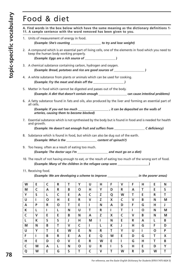# Food & diet

|   | A. Find words in the box below which have the same meaning as the dictionary definitions 1-<br>11. A sample sentence with the word removed has been given to you.                            |              |             |              |   |                                                                                                                                                       |              |   |   |              |              |    |                                                                                                                                                                                                              |                                                                                                          |
|---|----------------------------------------------------------------------------------------------------------------------------------------------------------------------------------------------|--------------|-------------|--------------|---|-------------------------------------------------------------------------------------------------------------------------------------------------------|--------------|---|---|--------------|--------------|----|--------------------------------------------------------------------------------------------------------------------------------------------------------------------------------------------------------------|----------------------------------------------------------------------------------------------------------|
|   | 1. Units of measurement of energy in food.<br>(Example: She's counting ____________________ to try and lose weight)                                                                          |              |             |              |   |                                                                                                                                                       |              |   |   |              |              |    |                                                                                                                                                                                                              |                                                                                                          |
|   | 2. A compound which is an essential part of living cells, one of the elements in food which you need to<br>keep the human body working properly.                                             |              |             |              |   |                                                                                                                                                       |              |   |   |              |              |    |                                                                                                                                                                                                              |                                                                                                          |
|   | 3. A chemical substance containing carbon, hydrogen and oxygen.<br>(Example: Bread, potatoes and rice are good sources of _________________________)                                         |              |             |              |   |                                                                                                                                                       |              |   |   |              |              |    |                                                                                                                                                                                                              |                                                                                                          |
|   | 4. A white substance from plants or animals which can be used for cooking.                                                                                                                   |              |             |              |   |                                                                                                                                                       |              |   |   |              |              |    |                                                                                                                                                                                                              |                                                                                                          |
|   |                                                                                                                                                                                              |              |             |              |   | 5. Matter in food which cannot be digested and passes out of the body.                                                                                |              |   |   |              |              |    | (Example: A diet that doesn't contain enough _______________________ can cause intestinal problems)                                                                                                          |                                                                                                          |
|   |                                                                                                                                                                                              | all cells.   |             |              |   | arteries, causing them to become blocked)                                                                                                             |              |   |   |              |              |    | (Example: If you eat too much ____________________, it can be deposited on the walls of                                                                                                                      | 6. A fatty substance found in fats and oils, also produced by the liver and forming an essential part of |
|   |                                                                                                                                                                                              | and growth.  |             |              |   |                                                                                                                                                       |              |   |   |              |              |    | 7. Essential substance which is not synthesised by the body but is found in food and is needed for health<br>(Example: He doesn't eat enough fruit and suffers from __________________________ C deficiency) |                                                                                                          |
|   |                                                                                                                                                                                              |              |             |              |   | 8. Substance which is found in food, but which can also be dug out of the earth.<br>(Example: What is the ______________________ content of spinach?) |              |   |   |              |              |    |                                                                                                                                                                                                              |                                                                                                          |
|   |                                                                                                                                                                                              |              |             |              |   | 9. Too heavy, often as a result of eating too much.<br>(Example: The doctor says I'm ____________________ and must go on a diet)                      |              |   |   |              |              |    |                                                                                                                                                                                                              |                                                                                                          |
|   | 10. The result of not having enough to eat, or the result of eating too much of the wrong sort of food.<br>(Example: Many of the children in the refugee camp were ________________________) |              |             |              |   |                                                                                                                                                       |              |   |   |              |              |    |                                                                                                                                                                                                              |                                                                                                          |
|   | 11. Receiving food.<br>(Example: We are developing a scheme to improve ________________________________<br>in the poorer areas)                                                              |              |             |              |   |                                                                                                                                                       |              |   |   |              |              |    |                                                                                                                                                                                                              |                                                                                                          |
| W |                                                                                                                                                                                              | E            | $\mathsf C$ | $\mathsf{R}$ | T | Y                                                                                                                                                     | U            | н | F | $\mathsf{V}$ | F            | н  | E                                                                                                                                                                                                            | N                                                                                                        |
| M |                                                                                                                                                                                              | $\mathsf{C}$ | A           | R            | B | $\mathbf O$                                                                                                                                           | н            | Y | D | R            | $\mathsf{A}$ | T. | E                                                                                                                                                                                                            | $\mathsf S$                                                                                              |
| Y |                                                                                                                                                                                              | $\mathsf{S}$ | L           | $\mathsf{C}$ | E | A                                                                                                                                                     | $\mathsf{C}$ | Z | Q | W            | T            | E  | R                                                                                                                                                                                                            | T                                                                                                        |
| U |                                                                                                                                                                                              | L            | $\mathbf 0$ | н            | E | R                                                                                                                                                     | $\mathsf{V}$ | Z | X | C            | $\mathsf{V}$ | B  | N                                                                                                                                                                                                            | M                                                                                                        |
| A |                                                                                                                                                                                              | P            | $\mathsf R$ | O            | T | E                                                                                                                                                     |              | N | A | D            | F            | G  | н                                                                                                                                                                                                            | J                                                                                                        |

**K L I L NUT R I T I O NM C V E E B N A Z X C VB NM L K S S J H MI NE RA L B MN B T V C I L K J HG F D U Y T E WE N R T Y UI O P F I B R E A E Q WE DG T X H E D O V E R WE I GH T B C MA L N O U R I S HE D Y Q WE G S T C V T W R D WT**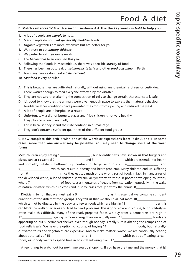## Food & diet

### **B. Match sentences 1-10 with a second sentence A-J. Use the key words in** *bold* **to help you.**

- 1. A lot of people are *allergic* to nuts.
- 2. Many people do not trust *genetically modified* foods.
- 3. *Organic* vegetables are more expensive but are better for you.
- 4. We refuse to eat *battery chickens*.
- 5. We prefer to eat *free range* meats.
- 6. The *harvest* has been very bad this year.
- 7. Following the floods in Mozambique, there was a terrible *scarcity* of food.
- 8. There has been an outbreak of *salmonella, listeria* and other *food poisoning* in Perth.
- 9. Too many people don't eat a *balanced diet.*
- 10. *Fast food* is very popular.
- A. This is because they are cultivated naturally, without using any chemical fertilisers or pesticides.
- B. There wasn't enough to feed everyone affected by the disaster.
- C. They are not sure that altering the composition of cells to change certain characteristics is safe.
- D. It's good to know that the animals were given enough space to express their natural behaviour.
- E. Terrible weather conditions have prevented the crops from ripening and reduced the yield.
- F. A lot of people are in hospital as a result.
- G. Unfortunately, a diet of burgers, pizzas and fried chicken is not very healthy.
- H. They physically react very badly.
- I. This is because they spend their life confined in a small cage.
- J. They don't consume sufficient quantities of the different food groups.

### **C. Now complete this article with one of the words or expressions from Tasks A and B. In some cases, more than one answer may be possible. You may need to change some of the word forms.**

|                                                                                      |                                                                                                       |  |  | _, but scientific tests have shown us that burgers and                         |  |  |  |
|--------------------------------------------------------------------------------------|-------------------------------------------------------------------------------------------------------|--|--|--------------------------------------------------------------------------------|--|--|--|
| pizzas can lack essential 2_______________                                           |                                                                                                       |  |  | and 3 ________________________ which are essential for health                  |  |  |  |
| and growth, while simultaneously containing large amounts of 4___________________    |                                                                                                       |  |  | and                                                                            |  |  |  |
| 5 <sub>5</sub>                                                                       |                                                                                                       |  |  | which can result in obesity and heart problems. Many children end up suffering |  |  |  |
| from 6                                                                               |                                                                                                       |  |  | since they eat too much of the wrong sort of food. In fact, in many areas of   |  |  |  |
|                                                                                      | the developed world, a lot of children show similar symptoms to those in poorer developing countries, |  |  |                                                                                |  |  |  |
|                                                                                      |                                                                                                       |  |  |                                                                                |  |  |  |
| of natural disasters which ruin crops and in some cases totally destroy the annual 8 |                                                                                                       |  |  |                                                                                |  |  |  |

Dieticians tell us that we must eat a 9\_\_\_\_\_\_\_\_\_\_\_\_\_\_\_\_\_\_\_\_\_\_\_\_\_, as it is essential we consume sufficient quantities of the different food groups. They tell us that we should all eat more 10\_\_\_\_\_\_\_\_ which cannot be digested by the body, and fewer foods which are high in 11\_\_\_\_\_\_\_\_\_\_\_\_\_\_\_\_\_\_\_\_\_\_\_, as this can block the walls of arteries and lead to heart problems. This is good advice, of course, but our lifestyles often make this difficult. Many of the ready-prepared foods we buy from supermarkets are high in 12\_\_\_\_\_\_\_\_\_\_\_\_\_\_\_\_\_\_\_\_ , giving us more energy than we actually need. 13\_\_\_\_\_\_\_\_\_\_\_\_\_\_\_\_\_\_\_\_ foods are appearing on our supermarket shelves, even though nobody is really sure if altering the composition of food cells is safe. We have the option, of course, of buying 14\_\_\_\_\_\_\_\_\_\_\_\_\_\_\_\_\_\_\_\_ foods, but naturallycultivated fruits and vegetables are expensive. And to make matters worse, we are continually hearing about outbreaks of 15\_\_\_\_\_\_\_\_\_\_\_\_\_\_\_\_\_\_\_\_\_\_\_\_\_\_\_ and 16\_\_\_\_\_\_\_\_\_\_\_\_\_\_\_\_\_\_\_\_\_\_\_\_\_ which put us off eating certain foods, as nobody wants to spend time in hospital suffering from 17\_\_\_\_\_\_\_\_\_\_\_\_\_\_

A few things to watch out for next time you go shopping. If you have the time and the money, that is!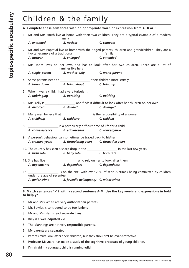|     |                                                                                                                            | Children & the family                                                                                                               |                                                                                                     |  |  |  |  |  |
|-----|----------------------------------------------------------------------------------------------------------------------------|-------------------------------------------------------------------------------------------------------------------------------------|-----------------------------------------------------------------------------------------------------|--|--|--|--|--|
|     |                                                                                                                            |                                                                                                                                     | A. Complete these sentences with an appropriate word or expression from A, B or C.                  |  |  |  |  |  |
|     | 1. Mr and Mrs Smith live at home with their two children. They are a typical example of a modern<br><b>EXECUTE:</b> family |                                                                                                                                     |                                                                                                     |  |  |  |  |  |
|     |                                                                                                                            | A. extended B. nuclear B. C. compact                                                                                                |                                                                                                     |  |  |  |  |  |
|     |                                                                                                                            |                                                                                                                                     | 2. Mr and Mrs Popatlal live at home with their aged parents, children and grandchildren. They are a |  |  |  |  |  |
|     |                                                                                                                            | A. nuclear B. enlarged C. extended                                                                                                  |                                                                                                     |  |  |  |  |  |
|     |                                                                                                                            |                                                                                                                                     | 3. Mrs Jones lives on her own and has to look after her two children. There are a lot of            |  |  |  |  |  |
|     |                                                                                                                            | A. single-parent B. mother-only C. mono-parent                                                                                      |                                                                                                     |  |  |  |  |  |
|     |                                                                                                                            | 4. Some parents need to ______________________their children more strictly                                                          |                                                                                                     |  |  |  |  |  |
|     |                                                                                                                            | A. bring down B. bring about C. bring up                                                                                            |                                                                                                     |  |  |  |  |  |
|     |                                                                                                                            |                                                                                                                                     |                                                                                                     |  |  |  |  |  |
|     |                                                                                                                            | 5. When I was a child, I had a very turbulent __________________________________<br>A. upbringing B. upraising C. uplifting         |                                                                                                     |  |  |  |  |  |
|     |                                                                                                                            |                                                                                                                                     |                                                                                                     |  |  |  |  |  |
|     |                                                                                                                            |                                                                                                                                     |                                                                                                     |  |  |  |  |  |
|     |                                                                                                                            | A. divorced B. divided C. diverged                                                                                                  |                                                                                                     |  |  |  |  |  |
|     |                                                                                                                            |                                                                                                                                     | 7. Many men believe that _____________________ is the responsibility of a woman                     |  |  |  |  |  |
|     |                                                                                                                            | A. childhelp B. childcare C. childaid                                                                                               |                                                                                                     |  |  |  |  |  |
|     |                                                                                                                            |                                                                                                                                     |                                                                                                     |  |  |  |  |  |
|     |                                                                                                                            | 8. _________________________ is a particularly difficult time of life for a child<br>A. convalescence B. adolescence C. convergence |                                                                                                     |  |  |  |  |  |
|     |                                                                                                                            |                                                                                                                                     |                                                                                                     |  |  |  |  |  |
|     |                                                                                                                            |                                                                                                                                     | 9. A person's behaviour can sometimes be traced back to his/her ________________                    |  |  |  |  |  |
|     |                                                                                                                            | A. creative years B. formulating years C. formative years                                                                           |                                                                                                     |  |  |  |  |  |
|     |                                                                                                                            |                                                                                                                                     | 10. The country has seen a sharp drop in the _____________________ in the last few years            |  |  |  |  |  |
|     |                                                                                                                            |                                                                                                                                     | A. birth rate and B. baby rate and C. born rate                                                     |  |  |  |  |  |
|     |                                                                                                                            | 11. She has five ________________________ who rely on her to look after them                                                        |                                                                                                     |  |  |  |  |  |
|     | A. dependants                                                                                                              | <b>B.</b> dependers                                                                                                                 | C. dependents                                                                                       |  |  |  |  |  |
|     |                                                                                                                            |                                                                                                                                     |                                                                                                     |  |  |  |  |  |
| 12. | under the age of seventeen                                                                                                 |                                                                                                                                     | is on the rise, with over 20% of serious crimes being committed by children                         |  |  |  |  |  |
|     | A. junior crime                                                                                                            | B. juvenile delinguency C. minor crime                                                                                              |                                                                                                     |  |  |  |  |  |

**B. Match sentences 1-12 with a second sentence A-M. Use the key words and expressions in bold to help you.** 

- 1. Mr and Mrs White are very **authoritarian** parents.
- 2. Mr. Bowles is considered to be too **lenient**.
- 3. Mr and Mrs Harris lead **separate lives**.
- 4. Billy is a **well-adjusted** kid.
- 5. The Mannings are not very **responsible** parents.
- 6. My parents are **separated**.
- 7. Parents must look after their children, but they shouldn't be **over-protective**.
- 8. Professor Maynard has made a study of the **cognitive processes** of young children.
- 9. I'm afraid my youngest child is **running wild**.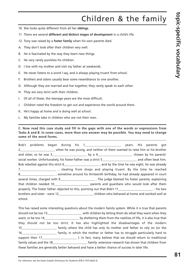# Children & the family

- 10. She looks quite different from all her **siblings**.
- 11. There are several **different and distinct stages of development** in a child's life.
- 12. Tony was raised by a **foster family** when his own parents died.
- A. They don't look after their children very well.
- B. He is fascinated by the way they learn new things.
- C. He very rarely punishes his children.
- D. I live with my mother and visit my father at weekends.
- E. He never listens to a word I say, and is always playing truant from school.
- F. Brothers and sisters usually bear some resemblance to one another.
- G. Although they are married and live together, they rarely speak to each other.
- H. They are very strict with their children.
- I. Of all of these, the teenage years are the most difficult.
- J. Children need the freedom to get out and experience the world around them.
- K. He's happy at home and is doing well at school.
- L. My families take in children who are not their own.

## **C. Now read this case study and fill in the gaps with one of the words or expressions from Tasks A and B. In some cases, more than one answer may be possible. You may need to change some of the word forms.**

|         |  |  | Bob's problems began during his 1_________________________ years. His parents got                           |  |  |
|---------|--|--|-------------------------------------------------------------------------------------------------------------|--|--|
|         |  |  |                                                                                                             |  |  |
|         |  |  |                                                                                                             |  |  |
|         |  |  |                                                                                                             |  |  |
|         |  |  |                                                                                                             |  |  |
|         |  |  |                                                                                                             |  |  |
|         |  |  |                                                                                                             |  |  |
|         |  |  |                                                                                                             |  |  |
|         |  |  |                                                                                                             |  |  |
|         |  |  | properly. The foster father objected to this, pointing out that Bob's 11__________________________- his two |  |  |
|         |  |  |                                                                                                             |  |  |
| school. |  |  |                                                                                                             |  |  |

This has raised some interesting questions about the modern family system. While it is true that parents should not be too 13\_\_\_\_\_\_\_\_\_\_\_\_\_\_\_\_\_\_\_\_\_\_\_ with children by letting them do what they want when they want, or be too 14 comes by sheltering them from the realities of life, it is also true that they should not be too strict. It has also highlighted the disadvantages of the modern 15 15 15 15 15 15 15 16 family where the child has only its mother and father to rely on (or the 16 \_\_\_\_\_\_\_\_\_\_\_\_\_\_\_\_\_\_\_ family, in which the mother or father has to struggle particularly hard to support their 17\_\_\_\_\_\_\_\_\_\_\_\_\_\_\_\_\_\_\_\_\_\_\_ ). In fact, many believe that we should return to traditional family values and the 18\_\_\_\_\_\_\_\_\_\_\_\_\_\_\_\_\_\_\_\_\_\_\_ family: extensive research has shown that children from these families are generally better behaved and have a better chance of success in later life.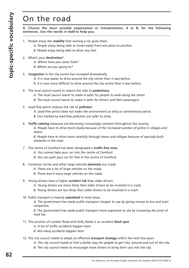# On the road

**A. Choose the most suitable explanation or interpretation, A or B, for the following sentences. Use the words in** *bold* **to help you.**

- 1. People enjoy the *mobility* that owning a car gives them.
	- *A. People enjoy being able to travel easily from one place to another.*
	- *B. People enjoy being able to drive very fast.*
- 2. What's your *destination*?
	- *A. Where have you come from?*
	- *B. Where are you going to?*
- 3. *Congestion* in the city centre has increased dramatically.
	- *A. It is now easier to drive around the city centre than it was before.*
	- *B. It is now more difficult to drive around the city centre than it was before.*
- 4. The local council wants to reduce the risks to *pedestrians.*
	- *A. The local council wants to make it safer for people to walk along the street.*
	- *B. The local council wants to make it safer for drivers and their passengers.*
- 5. Lead-free petrol reduces the risk of *pollution*.
	- *A. Lead-free petrol does not make the environment as dirty as conventional petrol.*
	- *B. Cars fuelled by lead-free pollution are safer to drive.*
- 6. *Traffic-calming* measures are becoming increasingly common throughout the country. *A. People have to drive more slowly because of the increased number of police in villages and towns.*

*B. People have to drive more carefully through towns and villages because of specially-built obstacles in the road.*

- 7. The centre of Camford has been designated a *traffic-free zone.*
	- *A. You cannot take your car into the centre of Camford.*
	- *B. You can park your car for free in the centre of Camford.*
- 8. Container lorries and other large vehicles *dominate* our roads.
	- *A. There are a lot of large vehicles on the roads.*
	- *B. There aren't many large vehicles on the roads.*
- 9. Young drivers have a higher *accident risk* than older drivers.
	- *A. Young drivers are more likely than older drivers to be involved in a crash.*
	- *B. Young drivers are less likely than older drivers to be involved in a crash.*
- 10. Public transport is heavily *subsidised* in most areas.

*A. The government has made public transport cheaper to use by giving money to bus and train companies.*

*B. The government has made public transport more expensive to use by increasing the price of road tax.*

- 11. The junction of London Road and Holly Street is an accident *black spot.*
	- *A. A lot of traffic accidents happen here.*
	- *B. Not many accidents happen here.*
- 12. The city council needs to adopt an effective *transport strategy* within the next five years.
	- *A. The city council needs to find a better way for people to get into, around and out of the city.*
	- *B. The city council needs to encourage more drivers to bring their cars into the city.*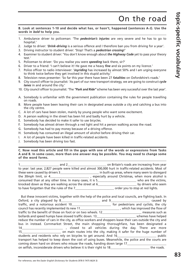# On the road

#### **B. Look at sentences 1-10 and decide what has, or hasn't, happened (sentences A-J). Use the words in** *bold* **to help you.**

- 1. Ambulance driver to policeman: 'The *pedestrian's injuries* are very severe and he has to go to hospital.'
- 2. Judge to driver: '*Drink-driving* is a serious offence and I therefore ban you from driving for a year'.
- 3. Driving instructor to student driver: 'Stop! That's a *pedestrian crossing*!'
- 4. Examiner to student driver: 'You don't know enough about *the Highway Code* yet to pass your theory test.'
- 5. Policeman to driver: 'Do you realise you were *speeding* back there, sir?'
- 6. Driver to a friend: 'I can't believe it! He gave me a heavy *fine* and six points on my licence.'
- 7. Police officer to radio interviewer: '*Joyriding* has increased by almost 50% and I am urging everyone to think twice before they get involved in this stupid activity.'
- 8. Television news presenter: 'So far this year there have been 27 *fatalities* on Oxfordshire's roads.'
- 9. City council officer to journalist: 'As part of our new transport strategy, we are going to construct *cycle lanes* in and around the city.'
- 10. City council officer to journalist: 'The *"Park and Ride"* scheme has been very successful over the last year'.
- A. Somebody is unfamiliar with the government publication containing the rules for people travelling on roads.
- B. More people have been leaving their cars in designated areas outside a city and catching a bus into the city centre.
- C. A lot of cars have been stolen, mainly by young people who want some excitement.
- D. A person walking in the street has been hit and badly hurt by a vehicle.
- E. Somebody has decided to make it safer to use bicycles.
- F. Somebody has almost driven through a red light and hit a person walking across the road.
- G. Somebody has had to pay money because of a driving offence.
- H. Somebody has consumed an illegal amount of alcohol before driving their car.
- I. A lot of people have been killed in traffic-related accidents.
- J. Somebody has been driving too fast.

**C. Now read this article and fill in the gaps with one of the words or expressions from Tasks A and B. In some cases, more than one answer may be possible. You may need to change some of the word forms.**

|                                                                                                            | and 2 |  | on Britain's roads are increasing from year       |
|------------------------------------------------------------------------------------------------------------|-------|--|---------------------------------------------------|
| to year: last year, 2,827 people were killed and almost 300,000 hurt in traffic-related accidents. Most of |       |  |                                                   |
| these were caused by drivers 3                                                                             |       |  | in built-up areas, where many seem to disregard   |
| the 30mph limit, or 4                                                                                      |       |  | especially around Christmas, when more alcohol is |
| consumed than at any other time. In many cases, it is 5                                                    |       |  | who are the victims,                              |
| knocked down as they are walking across the street at 6                                                    |       |  | by drivers who seem                               |
| to have forgotten that the rules of the 7                                                                  |       |  | order you to stop at red lights.                  |

| But these innocent victims, together with the help of the police and local councils, are fighting back. In                                          |                                                                  |
|-----------------------------------------------------------------------------------------------------------------------------------------------------|------------------------------------------------------------------|
|                                                                                                                                                     |                                                                  |
|                                                                                                                                                     | for pedestrians and cyclists, the city                           |
| council has recently implemented its new 11___________________________, which has improved the flow of                                              |                                                                  |
|                                                                                                                                                     |                                                                  |
|                                                                                                                                                     |                                                                  |
| reduce the number of cars in the city, as office workers and shoppers leave their cars outside the city and                                         |                                                                  |
| bus in instead. Cornmarket Street, the main shopping thoroughfare, has been designated a                                                            |                                                                  |
| $\begin{tabular}{c} 14 & \begin{tabular}{@{}c@{}} \quad \quad & \quad & \quad \\ \quad \quad & \quad & \quad \\ \hline \end{tabular} \end{tabular}$ | _________, closed to all vehicles during the day. There are more |
|                                                                                                                                                     |                                                                  |
| students and residents who rely on bicycles to get around. And 16______________________________ public                                              |                                                                  |
| transport has helped to keep down the cost of using buses. Meanwhile, the police and the courts are                                                 |                                                                  |
| coming down hard on drivers who misuse the roads, handing down large 17                                                                             |                                                                  |
| on selfish, inconsiderate drivers who believe it is their right to 18                                                                               | the roads.                                                       |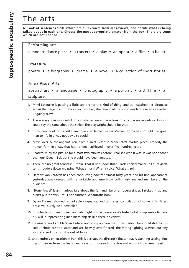## The arts

**A. Look at sentences 1-10, which are all extracts from art reviews, and decide what is being talked about in each one. Choose the most appropriate answer from the box. There are some which are not needed.** 

## **Performing arts**

```
a modern dance piece • a concert • a play • an opera • a film • a ballet
```
### **Literature**

```
poetry • a biography • drama • a novel • a collection of short stories
```
### **Fine / Visual Arts**

```
abstract art • a landscape • photography • a portrait • a still life • a
sculpture
```
- 1. Mimi Latouche is getting a little too old for this kind of thing, and as I watched her pirouette across the stage in a tutu two sizes too small, she reminded me not so much of a swan as a rather ungainly crow.
- 2. The scenery was wonderful. The costumes were marvellous. The cast were incredible. I wish I could say the same about the script. The playwright should be shot.
- 3. In his new book on Ernest Hemingway, acclaimed writer Michael Norris has brought the great man to life in a way nobody else could.
- 4. Move over Michelangelo! You have a rival. Vittorio Manelleto's marble pieces embody the human form in a way that has not been achieved in over five hundred years.
- 5. I had to study the picture for almost two minutes before I realised who it was. It was none other than our Queen. I doubt she would have been amused.
- 6. There are no great tenors in Britain. That is until now. Brian Clack's performance in La Traviatta sent shudders down my spine. What a man! What a voice! What a size!
- 7. Herbert von Caravan has been conducting now for almost forty years, and his final appearance yesterday was greeted with remarkable applause from both musicians and members of the audience.
- 8. 'Stone Angel' is an hilarious tale about the fall and rise of an opera singer. I picked it up and didn't put it down until I had finished. A fantastic book.
- 9. Dylan Thomas showed remarkable eloquence, and this latest compilation of some of his finest prose will surely be a bestseller.
- 10. Bruschetta's studies of dead animals might not be to everyone's taste, but it is impossible to deny his skill in representing inanimate objects like these on canvas.
- 11. He usually works in black and white, and in my opinion that's the medium he should stick to. His colour shots are too static and are heavily over-filtered, the strong lighting washes out any subtlety, and much of it is out of focus.
- 12. Shot entirely on location in Iran, this is perhaps the director's finest hour. A stunning setting, fine performances from the leads, and a cast of thousands of extras make this a truly visual feast.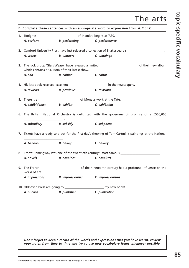| The arts |
|----------|
|----------|

|                                |                                               | B. Complete these sentences with an appropriate word or expression from A, B or C.                             |
|--------------------------------|-----------------------------------------------|----------------------------------------------------------------------------------------------------------------|
|                                |                                               |                                                                                                                |
| A. perform                     | B. performing C. performance                  |                                                                                                                |
|                                |                                               | 2. Camford University Press have just released a collection of Shakespeare's _________________________________ |
| A. works                       | <b>B.</b> workers                             | C. workings                                                                                                    |
|                                | which contains a CD-Rom of their latest show. |                                                                                                                |
| A. edit                        | <b>B.</b> edition                             | C. editor                                                                                                      |
|                                |                                               |                                                                                                                |
| A. reviews                     | <b>B.</b> previews <b>C.</b> revisions        |                                                                                                                |
|                                |                                               |                                                                                                                |
| A. exhibitionist B. exhibit    |                                               | C. exhibition                                                                                                  |
|                                |                                               | 6. The British National Orchestra is delighted with the government's promise of a £500,000                     |
| A. subsidiary                  | B. subsidy                                    | C. subpoena                                                                                                    |
|                                |                                               | 7. Tickets have already sold out for the first day's showing of Tom Cartmill's paintings at the National       |
| A. Galleon                     | <b>B.</b> Galley                              | C. Gallery                                                                                                     |
|                                |                                               | 8. Ernest Hemingway was one of the twentieth century's most famous ___________________________.                |
| A. novels                      | <b>B.</b> novelties                           | C. novelists                                                                                                   |
| 9. The French<br>world of art. |                                               | of the nineteenth century had a profound influence on the                                                      |
| A. impressions                 | <b>B.</b> impressionists                      | C. impressionisms                                                                                              |
|                                |                                               | 10. Oldhaven Press are going to _________________________________ my new book!                                 |
| A. publish                     | <b>B.</b> publisher                           | C. publication                                                                                                 |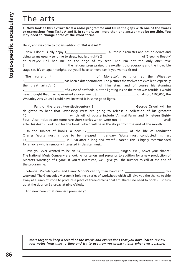## The arts

**C. Now look at this extract from a radio programme and fill in the gaps with one of the words or expressions from Tasks A and B. In some cases, more than one answer may be possible. You may need to change some of the word forms.**

Hello, and welcome to today's edition of 'But is it Art?'

Now, I don't usually enjoy 1\_\_\_\_\_\_\_\_\_\_\_\_\_\_\_\_\_\_\_\_\_\_\_\_\_\_\_\_\_\_\_\_ - all those pirouettes and pas de deux's and dying swans usually send me to sleep, but last night's 2\_\_\_\_\_\_\_\_\_\_\_\_\_\_\_\_\_\_\_\_\_\_\_\_\_\_ of 'Sleeping Beauty' at Nureyev Hall had me on the edge of my seat. And I'm not the only one: rave 3\_\_\_\_\_\_\_\_\_\_\_\_\_\_\_\_\_\_\_\_\_\_\_\_\_\_ in the national press praised the excellent choreography and the incredible stage set. It's on again tonight, but you'll have to move fast if you want a ticket!

The current 4 and the surface of Monetto's paintings at the Wheatley 5\_\_\_\_\_\_\_\_\_\_\_\_\_\_\_\_\_\_\_\_\_\_\_\_\_\_ has been a disappointment. The pictures themselves are excellent, especially the great artist's 6\_\_\_\_\_\_\_\_\_\_\_\_\_\_\_\_\_\_\_\_\_\_\_\_\_\_ of film stars, and of course his stunning 7\_\_\_\_\_\_\_\_\_\_\_\_\_\_\_\_\_\_\_\_\_\_\_\_\_\_ of a vase of daffodils, but the lighting inside the room was terrible. I would have thought that, having received a government 8\_\_\_\_\_\_\_\_\_\_\_\_\_\_\_\_\_\_\_\_\_\_\_\_\_\_\_\_\_\_\_\_ of almost £100,000, the Wheatley Arts Council could have invested it in some good lights.

Fans of the great twentieth-century 9\_\_\_\_\_\_\_\_\_\_\_\_\_\_\_\_\_\_\_\_\_\_\_\_\_\_\_\_\_George Orwell will be delighted to hear that Swansong Press are going to release a collection of his greatest 10\_\_\_\_\_\_\_\_\_\_\_\_\_\_\_\_\_\_\_\_\_\_\_\_\_ , which will of course include 'Animal Farm' and 'Nineteen Eighty Four'. Also included are some rare short stories which were not 11 Theory of the state which after his death. Look out for the book, which will be in the shops from the end of the month.

On the subject of books, a new 12\_\_\_\_\_\_\_\_\_\_\_\_\_\_\_\_\_\_\_\_\_\_\_\_\_\_ of the life of conductor Charles Worsenmost is due to be released in January. Worsenmost conducted his last 13\_\_\_\_\_\_\_\_\_\_\_\_\_\_\_\_\_\_\_\_\_\_\_\_\_\_ in 1998 after a long and eventful career. This is highly recommended for anyone who is remotely interested in classical music.

Have you ever wanted to be an 14\_\_\_\_\_\_\_\_\_\_\_\_\_\_\_\_\_\_\_\_\_\_\_\_\_\_\_\_ singer? Well, now's your chance! The National Music Company are looking for tenors and sopranos to audition for a new production of Mozart's 'Marriage of Figaro'. If you're interested, we'll give you the number to call at the end of the programme.

Potential Michelangelo's and Henry Moore's can try their hand at 15\_\_\_\_\_\_\_\_\_\_\_\_\_\_\_\_\_\_\_\_\_\_\_\_\_\_ this weekend. The Gleneagles Museum is holding a series of workshops which will give you the chance to chip away at a lump of stone to produce a piece of three-dimensional art. There's no need to book - just turn up at the door on Saturday at nine o'clock.

And now here's that number I promised you...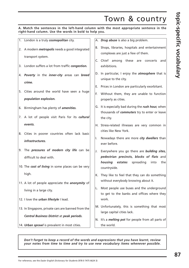# Town & country

### **A. Match the sentences in the left-hand column with the most appropriate sentence in the right-hand column. Use the words in bold to help you.**

| 1. London is a truly cosmopolitan city.                |    | A. Drug abuse is also a big problem.                                                               |
|--------------------------------------------------------|----|----------------------------------------------------------------------------------------------------|
| 2. A modern <i>metropolis</i> needs a good integrated  |    | B. Shops, libraries, hospitals and entertainment<br>complexes are just a few of them.              |
| transport system.                                      |    | C. Chief among these are concerts and                                                              |
| 3. London suffers a lot from traffic congestion.       |    | exhibitions.                                                                                       |
| 4. Poverty in the inner-city areas can breed<br>crime. |    | D. In particular, I enjoy the atmosphere that is<br>unique to the city.                            |
|                                                        |    | E. Prices in London are particularly exorbitant.                                                   |
| 5. Cities around the world have seen a huge            | Е. | Without them, they are unable to function                                                          |
| population explosion.                                  |    | properly as cities.                                                                                |
| 6. Birmingham has plenty of amenities.                 |    | G. It is especially bad during the rush hour, when<br>thousands of commuters try to enter or leave |
| 7. A lot of people visit Paris for its cultural        |    | the city.                                                                                          |
| events.                                                |    | H. Stress-related illnesses are very common in                                                     |
| 8. Cities in poorer countries often lack basic         |    | cities like New York.                                                                              |
| infrastructures.                                       | L. | Nowadays there are more city dwellers than<br>ever before.                                         |
| 9. The pressures of modern city life can be            |    | J. Everywhere you go there are building sites,                                                     |
| difficult to deal with.                                |    | pedestrian precincts, blocks of flats and                                                          |
| 10. The cost of living in some places can be very      |    | housing estates spreading into<br>the<br>countryside.                                              |
| high.                                                  |    | K. They like to feel that they can do something                                                    |
| 11. A lot of people appreciate the anonymity of        |    | without everybody knowing about it.                                                                |
| living in a large city.                                |    | L. Most people use buses and the underground<br>to get to the banks and offices where they         |
| 12. I love the <i>urban lifestyle</i> I lead.          |    | work.                                                                                              |
| 13. In Singapore, private cars are banned from the     |    | M. Unfortunately, this is something that most<br>large capital cities lack.                        |
| Central Business District at peak periods.             |    | N. It's a <i>melting pot</i> for people from all parts of                                          |
| 14. Urban sprawl is prevalent in most cities.          |    | the world.                                                                                         |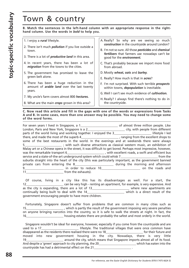# Town & country

**B. Match the sentences in the left-hand column with an appropriate response in the righthand column. Use the words in** *bold* **to help you.**

- 1. I enjoy a *rural* lifestyle.
- 2. There isn't much *pollution* if you live outside a town.
- 3. There is a lot of *productive land* in this area.
- 4. In recent years, there has been a lot of *migration* from the towns to the cities.
- 5. The government has promised to leave the green belt alone.
- 6. There has been a huge reduction in the amount of *arable land* over the last twenty years.
- 7. My uncle's farm covers almost 800 *hectares.*
- 8. What are the main *crops* grown in this area?
- A. Really? So why are we seeing so much *construction* in the countryside around London?
- B. I'm not so sure. All those *pesticides* and *chemical fertilisers* that farmers use nowadays can't be good for the *environment.*
- C. That's probably because we import more food from abroad.
- D. Mostly *wheat, oats* and *barley.*
- E. Really? How much is that in *acres*?
- F. I'm not surprised. With such terrible *prospects* within towns, *depopulation* is inevitable.
- G. Well I can't see much evidence of *cultivation.*
- H. Really? I always find there's nothing to do in the countryside.

**C. Now read this article and fill in the gaps with one of the words or expressions from Tasks A and B. In some cases, more than one answer may be possible. You may need to change some of the word forms.**

| London, Paris and New York, Singapore is a 2______________________________ city, with people from different   | of almost three million people. Like |
|---------------------------------------------------------------------------------------------------------------|--------------------------------------|
| parts of the world living and working together. I enjoyed the 3_________________________ lifestyle I led      |                                      |
| there, and made the most of the superb 4__________________________, ranging from the excellent shops to       |                                      |
| some of the best restaurants in the world. In the evenings and at weekends there were always                  |                                      |
| 5__________________________; with such diverse attractions as classical western music, an exhibition of       |                                      |
| Malay art or a Chinese opera in the street, it was difficult to get bored. Perhaps most impressive, however,  |                                      |
| was the remarkable transport 6______________________________, with excellent roads, a swift and efficient bus |                                      |
| service and a state-of-the-art underground system which could whisk 7______________________________ from the  |                                      |
| suburbs straight into the heart of the city (this was particularly important, as the government banned        |                                      |
| private cars from entering the 8__________________________ during the morning and afternoon                   |                                      |
| 9 ____________________________ in order to reduce 10 ____________________________ on the roads and            |                                      |
| 11 <b>I</b> from the exhausts).                                                                               |                                      |

|                                                      |  |  |  |  | Of course, living in a city like this has its disadvantages as well. For a start, the |  |  |                                 |  |
|------------------------------------------------------|--|--|--|--|---------------------------------------------------------------------------------------|--|--|---------------------------------|--|
|                                                      |  |  |  |  | can be very high - renting an apartment, for example, is very expensive. And          |  |  |                                 |  |
| as the city is expanding, there are a lot of 13      |  |  |  |  |                                                                                       |  |  | where new apartments are        |  |
| continually being built to deal with the 14          |  |  |  |  |                                                                                       |  |  | which is a direct result of the |  |
| government encouraging people to have more children. |  |  |  |  |                                                                                       |  |  |                                 |  |

Fortunately, Singapore doesn't suffer from problems that are common in many cities such as 15 15 The section of the result of the government imposing very severe penalties in the section of the result of the government imposing very severe penalties on anyone bringing narcotics into the country, so it is safe to walk the streets at night. In fact, the housing estates there are probably the safest and most orderly in the world 16\_ housing estates there are probably the safest and most orderly in the world.

Singapore wouldn't be ideal for everyone, however, especially if you come from the countryside and are used to a 17 Table 11 and the strike. The traditional villages that were once common have disappeared as the residents there realised there were no 18 and the residents and moved into new government housing in the city. Nowadays, there is very little 19\_\_\_\_\_\_\_\_\_\_\_\_\_\_\_\_\_\_\_\_\_\_\_\_\_ around the city, which means that Singapore imports almost all of its food. And despite a 'green' approach to city planning, the 20\_\_\_\_\_\_\_\_\_\_\_\_\_\_\_\_\_\_\_\_\_\_\_\_\_ which has eaten into the countryside has had a detrimental effect on the 21\_\_\_\_\_\_\_\_\_\_\_\_\_\_\_\_\_\_\_\_\_\_\_\_\_\_\_\_\_\_\_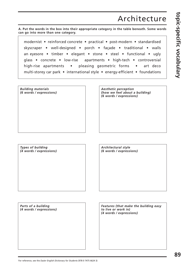## Architecture

**A. Put the words in the box into their appropriate category in the table beneath. Some words can go into more than one category.** 

modernist • reinforced concrete • practical • post-modern • standardised skyscraper • well-designed • porch • façade • traditional • walls an eyesore • timber • elegant • stone • steel • functional • ugly glass • concrete • low-rise apartments • high-tech • controversial high-rise apartments • pleasing geometric forms • art deco multi-storey car park • international style • energy-efficient • foundations

*Building materials (6 words / expressions)* *Aesthetic perception (how we feel about a building) (6 words / expressions)*

*Types of building (4 words / expressions)* *Architectural style (6 words / expressions)*

*Parts of a building (4 words / expressions)*

*Features (that make the building easy to live or work in) (4 words / expressions)*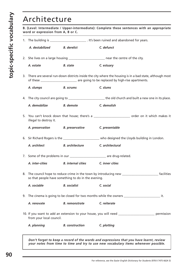# Architecture

| A. destabilized              | <b>B.</b> derelict                                  | C. defunct                                                                                                  |
|------------------------------|-----------------------------------------------------|-------------------------------------------------------------------------------------------------------------|
|                              |                                                     | 2. She lives on a large housing __________________________ near the centre of the city.                     |
| A. estate                    | B. state                                            | C. estuary                                                                                                  |
|                              |                                                     | 3. There are several run-down districts inside the city where the housing is in a bad state, although most  |
| A. slumps                    | <b>B.</b> scrums                                    | C. slums                                                                                                    |
|                              |                                                     | 4. The city council are going to __________________________the old church and built a new one in its place. |
| A. demobilize                | B. demote                                           | C. demolish                                                                                                 |
| illegal to destroy it.       |                                                     |                                                                                                             |
|                              | A. preservation B. preservative C. presentable      |                                                                                                             |
|                              |                                                     | 6. Sir Richard Rogers is the _____________________________ who designed the Lloyds building in London.      |
| A. architect B. architecture |                                                     | C. architectural                                                                                            |
|                              |                                                     | 7. Some of the problems in our _____________________________ are drug-related.                              |
|                              | A. inter-cities B. internal cities C. inner cities  |                                                                                                             |
|                              | so that people have something to do in the evening. |                                                                                                             |
| A. sociable                  | <b>B.</b> socialist                                 | C. social                                                                                                   |
|                              |                                                     |                                                                                                             |
| A. renovate                  | <b>B.</b> remonstrate                               | C. reiterate                                                                                                |
| from your local council.     |                                                     | 10. If you want to add an extension to your house, you will need ______________________ permission          |
| A. planning                  | <b>B.</b> construction                              | C. plotting                                                                                                 |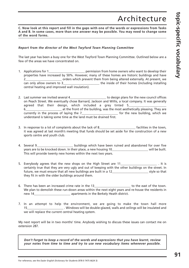## Architecture

**C. Now look at this report and fill in the gaps with one of the words or expressions from Tasks A and B. In some cases, more than one answer may be possible. You may need to change some of the word forms.**

### *Report from the director of the West Twyford Town Planning Committee*

The last year has been a busy one for the West Twyford Town Planning Committee. Outlined below are a few of the areas we have concentrated on.

- 1. Applications for 1\_\_\_\_\_\_\_\_\_\_\_\_\_\_\_\_\_\_\_\_\_\_\_\_ permission from home owners who want to develop their properties have increased by 50%. However, many of these homes are historic buildings and have 2\_\_\_\_\_\_\_\_\_\_\_\_\_\_\_\_\_\_\_\_\_\_\_\_ orders which prevent them from being altered externally. At present, we can only allow owners to 3\_\_\_\_\_\_\_\_\_\_\_\_\_\_\_\_\_\_\_\_\_\_\_\_ the inside of their homes (including installing central heating and improved wall insulation).
- 2. Last summer we invited several 4\_\_\_\_\_\_\_\_\_\_\_\_\_\_\_\_\_\_\_\_\_\_\_\_\_\_ to design plans for the new council offices on Peach Street. We eventually chose Barnard, Jackson and Willis, a local company. It was generally agreed that their design, which included a grey tinted 5 6\_\_\_\_\_\_\_\_\_\_\_\_\_\_\_\_\_\_\_\_\_\_\_\_ at the front of the building, was the most aesthetically pleasing. They are currently in the process of laying the 7\_\_\_\_\_\_\_\_\_\_\_\_\_\_\_\_\_\_\_\_\_\_\_\_ for the new building, which we understand is taking some time as the land must be drained first.
- 3. In response to a lot of complaints about the lack of 8\_\_\_\_\_\_\_\_\_\_\_\_\_\_\_\_\_\_\_\_\_\_\_\_ facilities in the town, it was agreed at last month's meeting that funds should be set aside for the construction of a new sports centre and youth club.
- 4. Several 9\_\_\_\_\_\_\_\_\_\_\_\_\_\_\_\_\_\_\_\_\_\_\_\_ buildings which have been ruined and abandoned for over five years are to be knocked down. In their place, a new housing 10\_\_\_\_\_\_\_\_\_\_\_\_\_\_\_\_\_\_\_\_\_\_\_\_\_\_ will be built. This will provide twenty new homes within the next two years.
- 5. Everybody agrees that the new shops on the High Street are 11\_\_\_\_\_\_\_\_\_\_\_\_\_\_\_\_\_\_\_\_\_\_\_\_ . It is certainly true that they are very ugly and out of keeping with the other buildings on the street. In future, we must ensure that all new buildings are built in a 12\_\_\_\_\_\_\_\_\_\_\_\_\_\_\_\_\_\_\_\_\_\_\_\_\_\_\_\_\_\_ style so that they fit in with the older buildings around them.
- 6. There has been an increased crime rate in the 13 and the state of the town. We plan to demolish these run-down areas within the next eight years and re-house the residents in new 14 apartments in the Berkely Heath district.
- 7. In an attempt to help the environment, we are going to make the town hall more 15\_\_\_\_\_\_\_\_\_\_\_\_\_\_\_\_\_\_\_\_\_\_\_\_ . Windows will be double-glazed, walls and ceilings will be insulated and we will replace the current central heating system.

My next report will be in two months' time. Anybody wishing to discuss these issues can contact me on extension 287.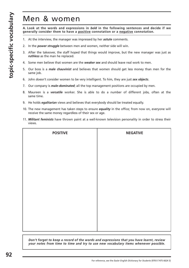## Men & women

**A. Look at the words and expressions in** *bold* **in the following sentences and decide if we generally consider them to have a positive connotation or a negative connotation.**

- 1. At the interview, the manager was impressed by her *astute* comments.
- 2. In the *power struggle* between men and women, neither side will win.
- 3. After the takeover, the staff hoped that things would improve, but the new manager was just as *ruthless* as the man he replaced.
- 4. Some men believe that women are the *weaker sex* and should leave real work to men.
- 5. Our boss is a *male chauvinist* and believes that women should get less money than men for the same job.
- 6. John doesn't consider women to be very intelligent. To him, they are just *sex objects*.
- 7. Our company is *male-dominated*; all the top management positions are occupied by men.
- 8. Maureen is a *versatile* worker. She is able to do a number of different jobs, often at the same time.
- 9. He holds *egalitarian* views and believes that everybody should be treated equally.
- 10. The new management has taken steps to ensure *equality* in the office; from now on, everyone will receive the same money regardless of their sex or age.
- 11. *Militant feminists* have thrown paint at a well-known television personality in order to stress their views.

| <b>POSITIVE</b> | <b>NEGATIVE</b> |
|-----------------|-----------------|
|                 |                 |
|                 |                 |
|                 |                 |
|                 |                 |
|                 |                 |
|                 |                 |
|                 |                 |
|                 |                 |
|                 |                 |
|                 |                 |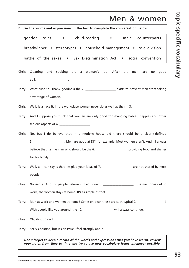## Men & women

**B. Use the words and expressions in the box to complete the conversation below.**

|  | gender roles • child-rearing •                                   |  | male counterparts |  |
|--|------------------------------------------------------------------|--|-------------------|--|
|  | breadwinner • stereotypes • household management • role division |  |                   |  |
|  | battle of the sexes • Sex Discrimination Act • social convention |  |                   |  |

- Chris: Cleaning and cooking are a woman's job. After all, men are no good at 1. \_\_\_\_\_\_\_\_\_\_\_\_\_\_\_\_\_\_\_\_ .
- Terry: What rubbish! Thank goodness the 2. The section of exists to prevent men from taking advantage of women.

Chris: Well, let's face it, in the workplace women never do as well as their  $\sim$  3.

- Terry: And I suppose you think that women are only good for changing babies' nappies and other tedious aspects of 4. \_\_\_\_\_\_\_\_\_\_\_\_\_\_\_\_\_\_\_\_ .
- Chris: No, but I do believe that in a modern household there should be a clearly-defined 5. \_\_\_\_\_\_\_\_\_\_\_\_\_\_\_\_\_\_\_\_ . Men are good at DIY, for example. Most women aren't. And I'll always believe that it's the man who should be the 6. \_\_\_\_\_\_\_\_\_\_\_\_\_\_\_\_\_\_\_\_ , providing food and shelter for his family.
- Terry: Well, all I can say is that I'm glad your ideas of 7. \_\_\_\_\_\_\_\_\_\_\_\_\_\_\_\_\_\_\_\_ are not shared by most people.
- Chris: Nonsense! A lot of people believe in traditional 8. \_\_\_\_\_\_\_\_\_\_\_\_\_\_\_\_\_\_; the man goes out to work, the woman stays at home. It's as simple as that.
- Terry: Men at work and women at home? Come on dear, those are such typical 9. With people like you around, the 10. \_\_\_\_\_\_\_\_\_\_\_\_\_\_\_\_\_\_\_\_\_\_\_ will always continue.

Chris: Oh, shut up dad.

Terry: Sorry Christine, but it's an issue I feel strongly about.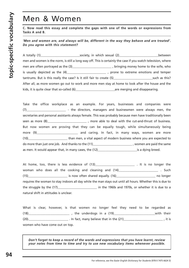## Men & Women

**C. Now read this essay and complete the gaps with one of the words or expressions from Tasks A and B.**

## *'Men and women are, and always will be, different in the way they behave and are treated'. Do you agree with this statement?*

A totally (1)\_\_\_\_\_\_\_\_\_\_\_\_\_\_\_\_\_\_\_\_\_\_\_\_\_\_society, in which sexual (2)\_\_\_\_\_\_\_\_\_\_\_\_\_\_\_\_\_\_\_\_\_\_\_\_\_\_between men and women is the norm, is still a long way off. This is certainly the case if you watch television, where men are often portrayed as the (3)\_\_\_\_\_\_\_\_\_\_\_\_\_\_\_\_\_\_\_\_\_\_\_\_\_\_\_\_, bringing money home to the wife, who is usually depicted as the (4)\_\_\_\_\_\_\_\_\_\_\_\_\_\_\_\_\_\_\_\_\_\_\_\_\_\_\_\_\_\_\_, prone to extreme emotions and temper tantrums. But is this really the case? Is it still fair to create (5) example the such as this? After all, as more women go out to work and more men stay at home to look after the house and the kids, it is quite clear that so-called (6)\_\_\_\_\_\_\_\_\_\_\_\_\_\_\_\_\_\_\_\_\_\_\_\_\_\_are merging and disappearing.

Take the office workplace as an example. For years, businesses and companies were (7) \_\_\_\_\_\_\_\_\_\_\_\_\_\_\_\_\_\_\_\_\_\_\_ - the directors, managers and businessmen were always men, the secretaries and personal assistants always female. This was probably because men have traditionally been seen as more (8)\_\_\_\_\_\_\_\_\_\_\_\_\_\_\_\_\_\_\_\_\_\_\_\_\_\_ , more able to deal with the cut-and-thrust of business. But now women are proving that they can be equally tough, while simultaneously being more (9) The same caring. In fact, in many ways, women are more (10)\_\_\_\_\_\_\_\_\_\_\_\_\_\_\_\_\_\_\_\_\_\_\_\_\_\_ than men, a vital aspect of modern business where you are expected to do more than just one job. And thanks to the (11)\_\_\_\_\_\_\_\_\_\_\_\_\_\_\_\_\_\_\_\_\_\_\_\_\_\_\_\_\_, women are paid the same as men. It would appear that, in many cases, the (12)\_\_\_\_\_\_\_\_\_\_\_\_\_\_\_\_\_\_\_\_\_\_\_\_\_\_is a dying breed.

At home, too, there is less evidence of  $(13)$ \_\_\_\_\_\_\_\_\_\_\_\_\_\_\_\_\_\_\_\_\_\_\_\_\_\_\_\_\_\_\_\_\_. It is no longer the woman who does all the cooking and cleaning and  $(14)$ \_\_\_\_\_\_\_\_\_\_\_\_\_\_\_\_\_\_\_\_\_\_\_\_\_\_\_ . Such (15)\_\_\_\_\_\_\_\_\_\_\_\_\_\_\_\_\_\_\_\_\_\_\_\_\_\_ is now often shared equally. (16)\_\_\_\_\_\_\_\_\_\_\_\_\_\_\_\_\_\_\_\_\_\_\_\_\_\_ no longer requires the woman to stay indoors all day while the man stays out until all hours. Whether this is due to the struggle by the (17)\_\_\_\_\_\_\_\_\_\_\_\_\_\_\_\_\_\_\_\_\_\_\_\_\_\_ in the 1960s and 1970s, or whether it is due to a natural shift in attitudes is unclear.

What is clear, however, is that women no longer feel they need to be regarded as (18)\_\_\_\_\_\_\_\_\_\_\_\_\_\_\_\_\_\_\_\_\_\_\_\_\_\_ , the underdogs in a (19)\_\_\_\_\_\_\_\_\_\_\_\_\_\_\_\_\_\_\_\_\_\_\_\_\_\_with their  $(20)$ . The fact, many believe that in the  $(21)$  and the set of it is the  $(21)$  and  $(20)$ . women who have come out on top.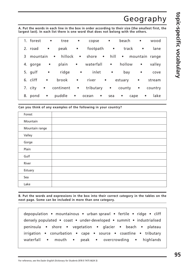# Geography

**A. Put the words in each line in the box in order according to their size (the smallest first, the largest last). In each list there is one word that does not belong with the others.**

|                 | 1. forest $\bullet$ tree $\bullet$ copse $\bullet$   |                           | beach • wood |      |
|-----------------|------------------------------------------------------|---------------------------|--------------|------|
| 2. $road \cdot$ |                                                      | peak • footpath • track • |              | lane |
|                 | 3 mountain . hillock . shore . hill . mountain range |                           |              |      |
|                 | 4. gorge • plain • waterfall • hollow • valley       |                           |              |      |
|                 | 5. gulf $\bullet$ ridge $\bullet$ inlet $\bullet$    |                           | bay •        | cove |
| 6. cliff        | • brook • river • estuary • stream                   |                           |              |      |
|                 | 7. city • continent • tributary • county • country   |                           |              |      |
|                 | 8. pond • puddle • ocean • sea • cape • lake         |                           |              |      |

**Can you think of any examples of the following in your country?**

| Forest         |  |
|----------------|--|
| Mountain       |  |
| Mountain range |  |
| Valley         |  |
| Gorge          |  |
| Plain          |  |
| Gulf           |  |
| River          |  |
| Estuary        |  |
| Sea            |  |
| Lake           |  |

**B. Put the words and expressions in the box into their correct category in the tables on the next page. Some can be included in more than one category.** 

| depopulation • mountainous • urban sprawl • fertile • ridge • cliff   |
|-----------------------------------------------------------------------|
| densely populated • coast • under-developed • summit • industrialised |
| peninsula • shore • vegetation • glacier • beach • plateau            |
| irrigation • conurbation • cape • source • coastline • tributary      |
| waterfall • mouth • peak • overcrowding • highlands                   |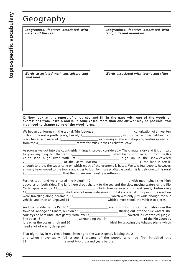| Geographical features associated with<br>water and the sea | Geographical features associated with<br>land, hills and mountains |
|------------------------------------------------------------|--------------------------------------------------------------------|
| Words associated with agriculture and<br>rural land        | Words associated with towns and cities                             |
|                                                            |                                                                    |

We began our journey in the capital, Trinifuegos, a 1\_\_\_\_\_\_\_\_\_\_\_\_\_\_\_\_\_\_\_\_\_\_\_\_\_\_\_\_ conurbation of almost ten million. It is not a pretty place; heavily 2\_\_\_\_\_\_\_\_\_\_\_\_\_\_\_\_\_\_\_\_\_\_\_\_\_\_\_\_\_, with huge factories belching out black fumes, and miles of 3\_\_\_\_\_\_\_\_\_\_\_\_\_\_\_\_\_\_\_\_\_\_\_\_\_ as housing estates and shopping centres spread out from the 4\_\_\_\_\_\_\_\_\_\_\_\_\_\_\_\_\_\_\_\_\_\_\_\_\_ centre for miles. It was a relief to leave.

|                                   | As soon as we got into the countryside, things improved considerably. The climate is dry and it is difficult |
|-----------------------------------|--------------------------------------------------------------------------------------------------------------|
| to grow anything, but thanks to 5 | , which helps bring water in from the Rio                                                                    |
| Cauto (the huge river with its 6_ | high up in the snow-covered                                                                                  |
|                                   |                                                                                                              |
|                                   | enough to grow the sugar cane on which much of the economy is based. We saw few people, however,             |
|                                   | as many have moved to the towns and cities to look for more profitable work. It is largely due to this rural |
| 9                                 | that the sugar-cane industry is suffering.                                                                   |

| Further south and we entered the Holguin 10 |                                                                                                      | with mountains rising high                       |
|---------------------------------------------|------------------------------------------------------------------------------------------------------|--------------------------------------------------|
|                                             | above us on both sides. The land here drops sharply to the sea and the slow-moving waters of the Rio |                                                  |
| Cauto give way to 11                        |                                                                                                      | which tumble over cliffs, and small, fast-moving |
| 12                                          | which are not even wide enough to take a boat. At this point, the road we                            |                                                  |
| were travelling along became a 13           |                                                                                                      | which was only just wide enough for our          |
| vehicle, and then an unpaved 14             |                                                                                                      | which almost shook the vehicle to pieces.        |

| And then suddenly, the Pacific 15              |                    | was in front of us. Our destination was the  |
|------------------------------------------------|--------------------|----------------------------------------------|
| town of Santiago de Gibara, built on a 16      |                    | sticking out into the blue waters. The       |
| countryside here undulates gently, with low 17 |                    | covered in rich tropical jungle.             |
| The open 18                                    | surrounding the 19 | of the Rio Cauto as                          |
| it reaches the ocean is rich and 20            |                    | , ideal for growing the tobacco plants which |
| need a lot of warm, damp soil.                 |                    |                                              |

That night I lay in my cheap hotel, listening to the waves gently lapping the 21 and when I eventually fell asleep, I dreamt of the people who had first inhabited this 22\_\_\_\_\_\_\_\_\_\_\_\_\_\_\_\_\_\_\_\_\_\_\_\_\_ almost two thousand years before.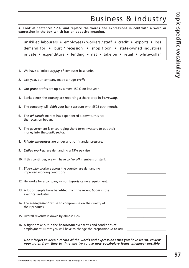# Business & industry

**A. Look at sentences 1-16, and replace the words and expressions in** *bold* **with a word or expression in the box which has an opposite meaning.**

unskilled labourers • employees / workers / staff • credit • exports • loss demand for • bust / recession • shop floor • state-owned industries private • expenditure • lending • net • take on • retail • white-collar

- 1. We have a limited *supply of* computer base units.
- 2. Last year, our company made a huge *profit*.
- 3. Our gross profits are up by almost 150% on last year.
- 4. Banks across the country are reporting a sharp drop in **borrowing**.
- 5. The company will *debit* your bank account with £528 each month.
- 6. The *wholesale* market has experienced a downturn since the recession began.
- 7. The government is encouraging short-term investors to put their money into the *public* sector.
- 8. *Private enterprises* are under a lot of financial pressure.
- 9. **Skilled workers** are demanding a 15% pay rise.
- 10. If this continues, we will have to *lay off* members of staff.
- 11. *Blue-collar* workers across the country are demanding improved working conditions.
- 12. He works for a company which *imports* camera equipment.
- 13. A lot of people have benefited from the recent *boom* in the electrical industry.
- 14. The *management* refuse to compromise on the quality of their products.
- 15. Overall *revenue* is down by almost 15%.
- 16. A fight broke out in the *boardroom* over terms and conditions of employment. (Note: you will have to change the preposition *in* to on)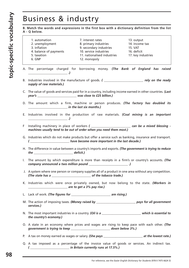## Business & industry

**B. Match the words and expressions in the first box with a dictionary definition from the list A - Q below.** 

| 1. automation          | 7. interest rates           | 13. output         |
|------------------------|-----------------------------|--------------------|
| 2. unemployment        | 8. primary industries       | 14. income tax     |
| 3. inflation           | 9. secondary industries     | <b>15. VAT</b>     |
| 4. balance of payments | 10. service industries      | 16. deficit        |
| 5. taxation            | 11. nationalised industries | 17. key industries |
| 6. GNP                 | 12. monopoly                |                    |

- A. The percentage charged for borrowing money. *(The Bank of England has raised \_\_\_\_\_\_\_\_\_\_\_\_\_\_\_\_\_\_\_\_\_\_\_\_\_\_ .)*
- B. Industries involved in the manufacture of goods. *( \_\_\_\_\_\_\_\_\_\_\_\_\_\_\_\_\_\_\_\_\_\_\_\_\_\_ rely on the ready supply of raw materials.)*
- C. The value of goods and services paid for in a country, including income earned in other countries. (*Last year's \_\_\_\_\_\_\_\_\_\_\_\_\_\_\_\_\_\_\_\_\_\_\_\_\_\_ was close to £25 billion.)*
- D. The amount which a firm, machine or person produces. *(The factory has doubled its \_\_\_\_\_\_\_\_\_\_\_\_\_\_\_\_\_\_\_\_\_\_\_\_\_\_ in the last six months.)*
- E. Industries involved in the production of raw materials. *(Coal mining is an important \_\_\_\_\_\_\_\_\_\_\_\_\_\_\_\_\_\_\_\_\_\_\_\_\_\_ .)*
- F Installing machinery in place of workers *( \_\_\_\_\_\_\_\_\_\_\_\_\_\_\_\_\_\_\_\_\_\_\_\_\_\_ can be a mixed blessing machines usually tend to be out of order when you need them most.)*
- G. Industries which do not make products but offer a service such as banking, insurance and transport. *( \_\_\_\_\_\_\_\_\_\_\_\_\_\_\_\_\_\_\_\_\_\_\_\_\_\_ have become more important in the last decade.)*
- H. The difference in value between a country's imports and exports. *(The government is trying to reduce the \_\_\_\_\_\_\_\_\_\_\_\_\_\_\_\_\_\_\_\_\_\_\_\_\_\_ deficit.)*
- I. The amount by which expenditure is more than receipts in a firm's or country's accounts. *(The company announced a two million pound \_\_\_\_\_\_\_\_\_\_\_\_\_\_\_\_\_\_\_\_\_\_\_\_\_\_ .)*
- J. A system where one person or company supplies all of a product in one area without any competition. *(The state has a \_\_\_\_\_\_\_\_\_\_\_\_\_\_\_\_\_\_\_\_\_\_\_\_\_\_ of the tobacco trade.)*
- K. Industries which were once privately owned, but now belong to the state. *(Workers in \_\_\_\_\_\_\_\_\_\_\_\_\_\_\_\_\_\_\_\_\_\_\_\_\_\_ are to get a 3% pay rise.)*
- L. Lack of work. *(The figures for \_\_\_\_\_\_\_\_\_\_\_\_\_\_\_\_\_\_\_\_\_\_\_\_\_\_ are rising.)*
- M. The action of imposing taxes. *(Money raised by \_\_\_\_\_\_\_\_\_\_\_\_\_\_\_\_\_\_\_\_\_\_\_\_\_\_ pays for all government services.)*
- N. The most important industries in a country. *(Oil is a dimergerical separation which is essential to the country's economy.)*
- O. A state in an economy where prices and wages are rising to keep pace with each other. *(The government is trying to keep \_\_\_\_\_\_\_\_\_\_\_\_\_\_\_\_\_\_\_\_\_\_\_\_\_\_ down below 3%.)*
- P. A tax on money earned as wages or salary. (She pays \_\_\_\_\_\_\_\_\_\_\_\_\_\_\_\_\_\_\_\_\_\_\_\_\_\_\_\_\_\_\_ at the lowest rate.)
- Q. A tax imposed as a percentage of the invoice value of goods or services. An indirect tax. *( \_\_\_\_\_\_\_\_\_\_\_\_\_\_\_\_\_\_\_\_\_\_\_\_\_\_ in Britain currently runs at 17.5%.)*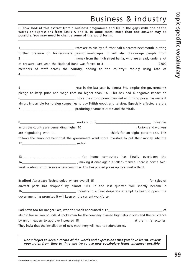# Business & industry

**C. Now look at this extract from a business programme and fill in the gaps with one of the words or expressions from Tasks A and B. In some cases, more than one answer may be possible. You may need to change some of the word forms.**

1\_\_\_\_\_\_\_\_\_\_\_\_\_\_\_\_\_\_\_\_\_\_\_\_\_\_\_\_\_\_\_\_\_\_\_\_ rates are to rise by a further half a percent next month, putting further pressure on homeowners paying mortgages. It will also discourage people from 2\_\_\_\_\_\_\_\_\_\_\_\_\_\_\_\_\_\_\_\_\_\_\_\_\_\_\_\_\_\_\_\_\_\_\_\_ money from the high street banks, who are already under a lot of pressure. Last year, the National Bank was forced to 3\_\_\_\_\_\_\_\_\_\_\_\_\_\_\_\_\_\_\_\_\_\_\_\_\_\_\_\_\_\_\_\_\_\_\_\_ 2,000 members of staff across the country, adding to the country's rapidly rising rate of 4\_\_\_\_\_\_\_\_\_\_\_\_\_\_\_\_\_\_\_\_\_\_\_\_\_\_\_\_\_\_\_\_\_\_\_\_ .

5\_\_\_\_\_\_\_\_\_\_\_\_\_\_\_\_\_\_\_\_\_\_\_\_\_\_\_\_\_\_\_\_\_\_\_\_ rose in the last year by almost 6%, despite the government's pledge to keep price and wage rises no higher than 3%. This has had a negative impact on 6\_\_\_\_\_\_\_\_\_\_\_\_\_\_\_\_\_\_\_\_\_\_\_\_\_\_\_\_\_\_\_\_\_\_\_\_ , since the strong pound coupled with rising prices has made it almost impossible for foreign companies to buy British goods and services. Especially affected are the 7\_\_\_\_\_\_\_\_\_\_\_\_\_\_\_\_\_\_\_\_\_\_\_\_\_\_\_\_\_\_\_\_\_\_\_\_ producing pharmaceuticals and chemicals.

| 8                                                                                            | workers in 9 |                                        | industries |  |
|----------------------------------------------------------------------------------------------|--------------|----------------------------------------|------------|--|
| across the country are demanding higher 10                                                   |              | . Unions and workers                   |            |  |
|                                                                                              |              | chiefs for an eight percent rise. This |            |  |
| follows the announcement that the government want more investors to put their money into the |              |                                        |            |  |
| 12                                                                                           | sector.      |                                        |            |  |

13 and the same of the set of the computers has finally overtaken the 13 14\_\_\_\_\_\_\_\_\_\_\_\_\_\_\_\_\_\_\_\_\_\_\_\_\_\_\_\_\_\_\_\_\_\_\_\_ , making it once again a seller's market. There is now a twoweek waiting list to receive a new computer. This has pushed prices up by almost a third.

Bradford Aerospace Technologies, where overall 15\_\_\_\_\_\_\_\_\_\_\_\_\_\_\_\_\_\_\_\_\_\_\_\_\_\_\_\_\_\_\_\_\_\_\_\_ for sales of aircraft parts has dropped by almost 10% in the last quarter, will shortly become a 16\_\_\_\_\_\_\_\_\_\_\_\_\_\_\_\_\_\_\_\_\_\_\_\_\_\_\_\_\_\_\_\_\_\_\_\_ industry in a final desperate attempt to keep it open. The government has promised it will keep on the current workforce.

Bad news too for Ranger Cars, who this week announced a 17\_\_\_\_\_\_\_\_\_\_\_\_\_\_\_\_\_\_\_\_\_\_\_\_\_\_\_\_\_\_\_\_\_\_\_\_ of almost five million pounds. A spokesman for the company blamed high labour costs and the reluctance by union leaders to approve increased 18\_\_\_\_\_\_\_\_\_\_\_\_\_\_\_\_\_\_\_\_\_\_\_\_\_\_\_\_\_\_\_\_\_\_\_\_ at the firm's factories. They insist that the installation of new machinery will lead to redundancies.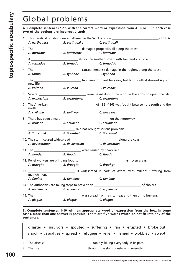# Global problems

**A. Complete sentences 1-15 with the correct word or expression from A, B or C. In each case two of the options are incorrectly spelt.**

|  | A. earthquack B. earthquake C. earthquaik                 |                                                                                                       |                  |                            |                                                                |
|--|-----------------------------------------------------------|-------------------------------------------------------------------------------------------------------|------------------|----------------------------|----------------------------------------------------------------|
|  |                                                           |                                                                                                       |                  |                            |                                                                |
|  | A. hurricane                                              |                                                                                                       |                  | B. hurriccane C. huriccane |                                                                |
|  |                                                           |                                                                                                       |                  |                            |                                                                |
|  | A. tornadoe                                               | B. tornado C. tornaddo                                                                                |                  |                            |                                                                |
|  |                                                           |                                                                                                       |                  |                            |                                                                |
|  | A. taifun                                                 | B. typhone C. typhoon                                                                                 |                  |                            |                                                                |
|  |                                                           | 5. The ________________________________ has been dormant for years, but last month it showed signs of |                  |                            |                                                                |
|  | new life.                                                 |                                                                                                       |                  |                            |                                                                |
|  | A. volcano B. vulcano B. C. volcanoe                      |                                                                                                       |                  |                            |                                                                |
|  |                                                           |                                                                                                       |                  |                            |                                                                |
|  | A. explossions B. explosiones C. explosions               |                                                                                                       |                  |                            |                                                                |
|  |                                                           |                                                                                                       |                  |                            |                                                                |
|  | north.                                                    |                                                                                                       |                  |                            |                                                                |
|  | A. civil war B. sivil war                                 |                                                                                                       |                  | <b>C.</b> civvil war       |                                                                |
|  |                                                           |                                                                                                       |                  |                            |                                                                |
|  | A. acident B. accident                                    |                                                                                                       |                  | C. acciddent               |                                                                |
|  |                                                           |                                                                                                       |                  |                            |                                                                |
|  | A. Torrential B. Torential C. Torrantial                  |                                                                                                       |                  |                            |                                                                |
|  |                                                           |                                                                                                       |                  |                            |                                                                |
|  | A. devvastation B. devustation C. devastation             |                                                                                                       |                  |                            |                                                                |
|  |                                                           |                                                                                                       |                  |                            |                                                                |
|  | A. floodes B. floods                                      |                                                                                                       | <b>C. flouds</b> |                            |                                                                |
|  |                                                           |                                                                                                       |                  |                            |                                                                |
|  | A. draught B. drought C. drouhgt                          |                                                                                                       |                  |                            |                                                                |
|  |                                                           |                                                                                                       |                  |                            | is widespread in parts of Africa, with millions suffering from |
|  | malnutrition.                                             |                                                                                                       |                  |                            |                                                                |
|  | A. famine                                                 |                                                                                                       |                  | B. fammine C. faminne      |                                                                |
|  | 14. The authorities are taking steps to prevent an ______ |                                                                                                       |                  |                            | of cholera.                                                    |
|  | A. epidemmic                                              | <b>B.</b> epidemic                                                                                    |                  | C. eppidemic               |                                                                |
|  |                                                           |                                                                                                       |                  |                            | was spread from rats to fleas and then on to humans.           |
|  | A. plague                                                 | <b>B.</b> plaque                                                                                      |                  | C. plaigue                 |                                                                |
|  |                                                           |                                                                                                       |                  |                            |                                                                |

**B. Complete sentences 1-10 with an appropriate word or expression from the box. In some cases, more than one answer is possible. There are five words which do not fit into any of the sentences.** 

disaster • survivors • spouted • suffering • ran • erupted • broke out shook • casualties • spread • refugees • relief • flamed • wobbled • swept 1. The disease the contract of the contract of the rapidly, killing everybody in its path.

2. The fire \_\_\_\_\_\_\_\_\_\_\_\_\_\_\_\_\_\_\_\_\_\_\_\_\_\_\_\_\_\_\_\_\_\_through the slums, destroying everything.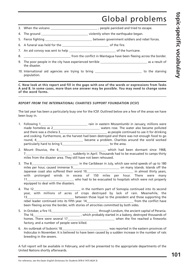# Global problems

- 3. When the volcano **Exercise 2.1** when the volcano **Exercise 2.1** is a people panicked and tried to escape.
- 4. The ground \_\_\_\_\_\_\_\_\_\_\_\_\_\_\_\_\_\_\_\_\_\_\_\_\_\_\_\_\_\_\_\_\_\_\_violently when the earthquake began.
- 5. Fierce fighting \_\_\_\_\_\_\_\_\_\_\_\_\_\_\_\_\_\_\_\_\_\_\_\_\_\_\_\_\_\_\_\_\_\_between government soldiers and rebel forces.
- 6. A funeral was held for the the state of the fire.

7. An aid convoy was sent to help \_\_\_\_\_\_\_\_\_\_\_\_\_\_\_\_\_\_\_\_\_\_\_\_\_\_\_\_\_\_\_ of the hurricane.

- 8. **Example 2. The Settima** of the conflict in Mantagua have been fleeing across the border.
- 9. The poor people in the city have experienced terrible \_\_\_\_\_\_\_\_\_\_\_\_\_\_\_\_\_\_\_\_\_\_\_\_\_\_\_\_\_\_\_ as a result of the disaster.
- 10. International aid agencies are trying to bring \_\_\_\_\_\_\_\_\_\_\_\_\_\_\_\_\_\_\_\_\_\_\_\_\_\_\_\_\_\_\_ to the starving population.

**C. Now look at this report and fill in the gaps with one of the words or expressions from Tasks A and B. In some cases, more than one answer may be possible. You may need to change some of the word forms.**

### *REPORT FROM THE INTERNATIONAL CHARITIES SUPPORT FOUNDATION (ICSF)*

The last year has been a particularly busy one for the ICSF. Outlined below are a few of the areas we have been busy in.

- 1. Following 1\_\_\_\_\_\_\_\_\_\_\_\_\_\_\_\_\_\_\_\_\_\_\_\_\_\_\_\_\_\_\_ rain in eastern Mozamlumbi in January, millions were made homeless as 2\_\_\_\_\_\_\_\_\_\_\_\_\_\_\_\_\_\_\_\_\_\_\_\_\_\_\_\_\_\_\_ waters rose. The water also became polluted and there was a cholera 3 and there was a cholera 3 and cooking. Furthermore, as the harvest had been destroyed and there was not enough food to go round, 4\_\_\_\_\_\_\_\_\_\_\_\_\_\_\_\_\_\_\_\_\_\_\_\_\_\_\_\_\_\_\_ became a problem. Charities around the world worked particularly hard to bring 5\_\_\_\_\_\_\_\_\_\_\_\_\_\_\_\_\_\_\_\_\_\_\_\_\_\_\_\_\_\_\_ to the area.
- 2. Mount Etsuvius, the 6\_\_\_\_\_\_\_\_\_\_\_\_\_\_\_\_\_\_\_\_\_\_\_\_\_\_\_\_\_\_\_\_ which had been dormant since 1968, 7\_\_\_\_\_\_\_\_\_\_\_\_\_\_\_\_\_\_\_\_\_\_\_\_\_\_\_\_\_\_\_ suddenly in April. Thousands had to be evacuated to camps thirty miles from the disaster area. They still have not been rehoused.
- 3. The 8\_\_\_\_\_\_\_\_\_\_\_\_\_\_\_\_\_\_\_\_\_\_\_\_\_\_\_\_\_\_\_ in the Caribbean in July, which saw wind speeds of up to 180 miles per hour, caused immense 9\_\_\_\_\_\_\_\_\_\_\_\_\_\_\_\_\_\_\_\_\_\_\_\_\_\_\_\_\_\_\_ on many islands. Islands off the Japanese coast also suffered their worst 10\_\_\_\_\_\_\_\_\_\_\_\_\_\_\_\_\_\_\_\_\_\_\_\_\_\_\_\_\_\_\_ in almost thirty years, with prolonged winds in excess of 150 miles per hour. There were many 11 and to be evacuated to hospitals which were not properly equipped to deal with the disasters.
- 4. The 12 \_\_\_\_\_\_\_\_\_\_\_\_\_\_\_\_\_\_\_\_\_\_\_\_\_\_\_\_\_\_\_ in the northern part of Somopia continued into its second year, with millions of acres of crops destroyed by lack of rain. Meanwhile, the 13 rebel leader continued into its fifth year. 14\_\_\_\_\_\_\_\_\_\_\_\_\_\_\_\_\_\_\_\_\_\_\_\_\_\_\_\_\_\_\_\_\_\_\_ from the conflict have been fleeing across the border, with stories of atrocities committed by both sides.
- 5. In October, a fire 15\_\_\_\_\_\_\_\_\_\_\_\_\_\_\_\_\_\_\_\_\_\_\_\_\_\_\_\_\_\_\_ through Londum, the ancient capital of Perania. The 16\_\_\_\_\_\_\_\_\_\_\_\_\_\_\_\_\_\_\_\_\_\_\_\_\_\_\_\_\_\_\_ , which probably started in a bakery, destroyed thousands of homes. There were several 17\_\_\_\_\_\_\_\_\_\_\_\_\_\_\_\_\_\_\_\_\_\_\_\_\_\_\_\_\_\_\_\_\_\_ when the fire reached a fireworks factory, and a number of people were killed.
- 6. An outbreak of bubonic 18\_\_\_\_\_\_\_\_\_\_\_\_\_\_\_\_\_\_\_\_\_\_\_\_\_\_\_\_\_\_\_ was reported in the eastern provinces of Indocuba in November. It is believed to have been caused by a sudden increase in the number of rats breeding in the sewers.

A full report will be available in February, and will be presented to the appropriate departments of the United Nations shortly afterwards.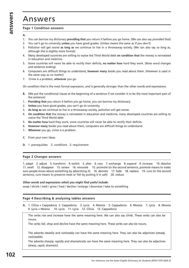## Answers

#### **Page 1 Condition answers**

- **A.**
- 1. You can borrow my dictionary **providing that** you return it before you go home. (We can also say *provided that*)
- 2. You can't go to university **unless** you have good grades. (*Unless* means the same as *If you don't*)
- 3. Pollution will get worse **as long as** we continue to live in a throwaway society. (We can also say *so long as,* although this is slightly more formal)
- 4. Many developed countries are willing to waive the Third World debt **on condition that** the money is reinvested in education and medicine.
- 5. Some countries will never be able to rectify their deficits, **no matter how** hard they work. (Note word changes and sentence ending)
- 6. Computers are difficult things to understand, **however many** books you read about them. (*However* is used in the same way as *no matter*)
- 7. Crime is a problem, **wherever** you go.

*On condition that* is the most formal expression, and is generally stronger than the other words and expressions.

- **B.** (We put the conditional clause at the beginning of a sentence if we consider it to be the most important part of the sentence)
- 1. **Providing that** you return it before you go home, you can borrow my dictionary.
- 2. **Unless** you have good grades, you can't go to university.
- 3. **As long as** we continue to live in a throwaway society, pollution will get worse.
- 4. **On condition that** the money is reinvested in education and medicine, many developed countries are willing to waive the Third World debt.
- 5. **No matter how** hard they work, some countries will never be able to rectify their deficits.
- 6. **However many** books you read about them, computers are difficult things to understand.
- 7. **Wherever** you go, crime is a problem.
- **C.** From your own ideas.
- **D**. 1. prerequisites 2. conditions 3. requirement

### **Page 2 Changes answers**

1. adapt 2. adjust 3. transform 4. switch 5. alter 6. vary 7. exchange 8. expand 9. increase 10. dissolve 11. swell 12. disappear 13. renew 14. renovate 15. promote (in the second sentence, *promote* means to make sure people know about something by advertising it) 16. demote 17. fade 18. replace 19. cure (in the second sentence, *cure* means to preserve meat or fish by putting it in salt) 20. reduce

#### *Other words and expressions which you might find useful include:*

swap / shrink / melt / grow / heal / decline / enlarge / downsize / take to something

### **Page 4 Describing & analysing tables answers**

**A.** 1. Cilicia + Cappadocia 2. Cappadocia 3. Lycia 4. Moesia 5. Cappadocia 6. Moesia 7. Lycia 8. Moesia 9. Lycia + Moesia 10. Lycia 11. Lycia 12. Cilicia 13. Cappadocia

The verbs *rise* and *increase* have the same meaning here. We can also say *climb.* These verbs can also be nouns.

The verbs *fall, drop* and *decline* have the same meaning here. These verbs can also be nouns.

The adverbs *steadily* and *noticeably* can have the same meaning here. They can also be adjectives (*steady, noticeable*).

The adverbs *sharply, rapidly* and *dramatically* can have the same meaning here. They can also be adjectives (*sharp, rapid, dramatic*).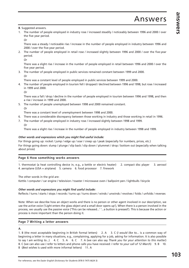**B**. Suggested answers.

1. The number of people employed in industry rose / increased steadily / noticeably between 1996 and 2000 / over the five year period.

*Or*

There was a steady / noticeable rise / increase in the number of people employed in industry between 1996 and 2000 / over the five-year period.

2. The number of people employed in retail rose / increased slightly between 1996 and 2000 / over the five-year period.

*Or*

There was a slight rise / increase in the number of people employed in retail between 1996 and 2000 / over the five year period.

3. The number of people employed in public services remained constant between 1999 and 2000. *Or*

There was a constant level of people employed in public services between 1999 and 2000.

4. The number of people employed in tourism fell / dropped / declined between 1996 and 1998, but rose / increased in 1999 and 2000.

*Or*

There was a fall / drop / decline in the number of people employed in tourism between 1996 and 1998, and then a rise / increase in 1999 and 2000.

5. The number of people unemployed between 1998 and 2000 remained constant. *Or*

There was a constant level of unemployment between 1998 and 2000.

- 6. There was a considerable discrepancy between those working in industry and those working in retail in 1996.
- 7. The number of people employed in industry rose / increased slightly between 1998 and 1999. *Or*

There was a slight rise / increase in the number of people employed in industry between 1998 and 1999.

#### *Other words and expressions which you might find useful include:*

For things going up: rocket / jump / edge up / soar / creep up / peak (especially for numbers, prices, etc.) For things going down: slump / plunge / slip back / slip down / plummet / drop / bottom out (especially when talking about prices)

#### **Page 6 How something works answers**

1. thermostat (a heat controlling device in, e.g., a kettle or electric heater) 2. compact disc player 3. aerosol 4. aeroplane (USA = airplane) 5. camera 6. food processor 7. firework

The other words in the grid are:

Kettle / computer / car engine / television / toaster / microwave oven / ballpoint pen / lightbulb / bicycle

#### *Other words and expressions you might find useful include:*

Reflects / turns / starts / stops / records / turns up / turns down / winds / unwinds / revolves / folds / unfolds / reverses

Note: When we describe how an object works and there is no person or other agent involved in our description, we use the *active voice* ('Light enters the glass object and a small door opens up'), When there is a person involved in the process, we usually use the *passive voice* ('This can be released...' '...a button is pressed'). This is because the action or process is more important than the person doing it.

#### **Page 7 Writing a letter answers**

#### **A.**

1. B (the most acceptable beginning in British formal letters) 2. A 3. C (*I would like to...* is a common way of beginning a letter in many situations, e.g., complaining, applying for a job, asking for information. It is also possible to say *I am writing to...*) 4. C 5. A 6. C 7. A (we can also say *Thank you for your attention to this matter*) 8. C (we can also use *I refer* to letters and phone calls you have received: *I refer to your call of 12 March*) 9. B 10. B (*Best wishes* is used with more informal letters) 11. A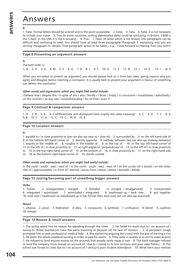**B.**

1. False. Formal letters should be as brief and to the point as possible. 2. False. 3. False 4. False. It is not necessary to include your name 5. True (In some countries, writing abbreviated dates could be confusing. In Britain, 1/4/00 is the 1 April. In the USA it is the 4 January). 6. True 7. False. (A letter which is not broken into paragraphs can be difficult and confusing to read. You should have at least three paragraphs: Paragraph 1: explaining why you are writing. Paragraph 2+: details. Final paragraph: action to be taken - e.g., 'I look forward to hearing from you soon')

#### **Page 8 Presenting an argument answers**

| А. |                    |  |  |  |  |  |                                                                                        |  |
|----|--------------------|--|--|--|--|--|----------------------------------------------------------------------------------------|--|
|    | The best order is: |  |  |  |  |  |                                                                                        |  |
|    |                    |  |  |  |  |  | 1. A 2. H 3. K 4. M 5. E 6. G 7. B 8. J 9. F 10. O 11. C 12. N 13. L 14. D 15. I 16. P |  |

When you are asked to present an argument, you should always look at it from two sides, giving reasons why you agree and disagree before reaching a conclusion. It is usually best to present your argument in favour of something just before the conclusion.

#### *Other words and expressions which you might find useful include:*

I believe that / despite this / in spite of this / also / thirdly / I think / finally / in conclusion / nonetheless / admittedly / on the contrary / at any rate / notwithstanding / for all that / even if

#### **Page 9 Contrast & comparison answers**

1. A 2. B 3. B 4. C (*differentiate* and *distinguish* have exactly the same meaning) 5. C 6. A 7. C 8. A 9. B 10. C 11. A 12. C 13. C 14. B 15. B

#### **Page 10 Location answers**

#### **A.**

1. parallel to / in close proximity to (we can also say *near to* / *close to*) 2. surrounded by 3. on the left-hand side of 4. in the bottom left-hand corner of 5. directly opposite 6. halfway between (we can also say *midway between*) 7. exactly in the middle of 8. roughly in the middle of 9. at the top of 10. in the top left-hand corner of 11. to the left of / in close proximity to 12. at right angles to / perpendicular to 13. to the left of / in close proximity to 14. in the top right-hand corner of 15. at the bottom of 16. in close proximity to 17. on the right-hand side of 18. in the bottom right-hand corner of 19. stands outside

#### *Other words and expressions which you might find useful include:*

in the north - south - east - west of / to the north - south - east - west of / on the corner (of a street) / on the other side of / approximately / in front of / behind / across from / above / below / beneath / beside

#### **Page 12 Joining/becoming part of something bigger answers**

#### **Verbs**

1. linked 2. amalgamated / merged 3. blended 4. merged / amalgamated 5. incorporated 6. integrated / assimilated 7. assimilated / integrated 8. swallowed up / took over 9. got together 10. took over / swallowed up (*swallowed up* is less formal than *took over,* we can also say *acquired*)

#### **Nouns**

1. alliance 2. union 3. federation 4. alloy 5. compound 6. synthesis 7. unification 8. blend 9. coalition 10. merger

#### **Page 13 Reason & result answers**

1. The police asked him his reason for speeding through the town. 2. He failed his exam due to / on account of / owing to (these expressions have the same meaning as *because of*) his lack of revision 3. A persistent cough prompted him to seek professional medical help 4. She started haranguing the crowd with the aim of starting a riot 5. He spent the whole weekend revising in order to pass his exams 6. They came in quietly so as not to wake anyone 7. He refused to lend anyone money on the grounds that people rarely repay a loan 8. The bank manager refused to lend the company more money on account of / due to / owing to its low turnover and poor sales history 9. The school was forced to close due to / on account of / owing to poor student attendance 10. What were your motives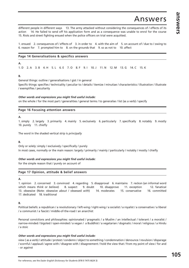different people in different ways 13. The army attacked without considering the consequences of / effects of its action 14. He failed to send off his application form and as a consequence was unable to enrol for the course 15. Riots and street fighting ensued when the police officers on trial were acquitted.

1. ensued 2. consequences of / effects of 3. in order to 4. with the aim of 5. on account of / due to / owing to 6. reason for 7. prompted him to 8. on the grounds that 9. so as not to 10. affect

#### **Page 14 Generalisations & specifics answers**

**A.**

1. D 2. A 3. B 4. H 5. L 6. E 7. O 8. F 9. I 10. J 11. N 12. M 13. G 14. C 15. K

**B.** 

General things: outline / generalisations / gist / in general

Specific things: specifies / technicality / peculiar to / details / itemize / minutiae / characteristics / illustration / illustrate / exemplifies / peculiarity

#### *Other words and expressions you might find useful include:*

on the whole / for the most part / generalities / general terms / to generalise / list (as a verb) / specify

#### **Page 16 Focusing attention answers**

**A.**

1. simply 2. largely 3. primarily 4. mainly 5. exclusively 6. particularly 7. specifically 8. notably 9. mostly 10. purely 11. chiefly

The word in the shaded vertical strip is *principally*

#### **B.**

Only or solely: simply / exclusively / specifically / purely In most cases, normally or the main reason: largely / primarily / mainly / particularly / notably / mostly / chiefly

#### *Other words and expressions you might find useful include:*

for the simple reason that / purely on account of

#### **Page 17 Opinion, attitude & belief answers**

**A.**

1. opinion 2. concerned 3. convinced 4. regarding 5. disapproval 6. maintains 7. reckon (an informal word which means *think* or *believe*) 8. suspect 9. doubt 10. disapprove 11. exception 12. fanatical 13. obsessive (Note: obsessive *about* / obsessed *with*) 14. moderates 15. conservative 16. committed 17. dedicated 18. traditional

#### **B.**

Political beliefs: a republican / a revolutionary / left-wing / right-wing / a socialist / a royalist / a conservative / a liberal / a communist / a fascist / middle-of-the-road / an anarchist

Personal convictions and philosophies: opinionated / pragmatic / a Muslim / an intellectual / tolerant / a moralist / narrow-minded / bigoted / open-minded / a vegan / a Buddhist / a vegetarian / dogmatic / moral / religious / a Hindu / a stoic

#### *Other words and expressions you might find useful include:*

view ( as a verb) / attitude / protest / condemn / object to something / condemnation / denounce / revulsion / disparage / scornful / applaud / agree with / disagree with / disagreement / hold the view that / from my point of view / for and - or against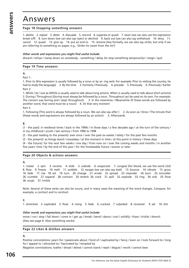#### **Page 18 Stopping something answers**

1. delete 2. repeal 3. deter 4. dissuade 5. rescind 6. suppress or quash 7. sever (we can also use the expression *break off*) 8. turn down (we can also say *reject or decline*) 9. back out (we can also say *withdraw*) 10. deny 11. cancel 12. quash 13. give up 14. put an end to 15. remove (less formally, we can also say *strike*, but only if we are referring to something on paper, e.g., *'Strike his name from the list'*)

#### *Other words and expressions you might find useful include:*

discard / refuse / clamp down on somebody - something / delay (to stop something temporarily) / resign / quit

#### **Page 19 Time answers**

#### **A.**

Part 1:

1. Prior to (this expression is usually followed by a noun or by an -ing verb: For example: Prior to visiting the country, he had to study the language) 2. By the time 3. Formerly / Previously 4. precede 5. Previously 6. Previously / Earlier Part 2:

1. While / As / Just as (*While* is usually used to talk about long actions. *When* is usually used to talk about short actions) 2. During / Throughout (*During* must always be followed by a noun. *Throughout* can be used on its own. For example: The concert was boring and I slept throughout) 3. In the meantime / Meanwhile (If these words are followed by another word, that word must be a noun) 4. At that very moment

#### Part 3.

1. Following (This word is always followed by a noun. We can also say *after* ) 2. As soon as / Once / The minute that (these words and expressions are always followed by an action) 3. Afterwards

#### **B.**

(1 - the past): in medieval times / back in the 1990s / in those days / a few decades ago / at the turn of the century / in my childhood / youth / last century / from 1996 to 1998

(2 - the past leading to the present): ever since / over the past six weeks / lately / for the past few months

(3 - the present): as things stand / nowadays / at this moment in time / at this point in history / these days

(4 - the future): for the next few weeks / one day / from now on / over the coming weeks and months / in another five years' time / by the end of this year / for the foreseeable future / sooner or later

#### **Page 20 Objects & actions answers**

#### **A.**

1. rotate 2. spin 3. revolve 4. slide 5. subside 6. evaporate 7. congeal (for blood, we use the word *clot*) 8. flow 9. freeze 10. melt 11. wobble 12. escape (we can also say *leak*) 13. bounce 14. vibrate 15. grow 16. fade 17. rise 18. set 19. turn 20. change 21. erode 22. spread 23. meander 24. burn 25. smoulder 26. crumble 27. expand 28. contract 29. stretch 30. crack 31. spill 32. explode 33. ring 34. sink 35. float 36. erupt 37. trickle

Note: Several of these verbs can also be nouns, and in many cases the meaning of the word changes. Compare, for example, *a contract* and to *contract*.

#### B.

1. stretched 2. exploded 3. float 4. rising 5. fade 6. cracked 7. subsided 8. revolved 9. set 10. slid

#### *Other words and expressions you might find useful include:*

move / run / stop / fall down / come in / get up / break / bend / dance / cool / solidify / thaw / trickle / drench. (Also see [page 6:](#page-11-0) *How something works*)

#### **Page 22 Likes & dislikes answers**

#### **A.**

Positive connotations: yearn for / passionate about / fond of / captivated by / fancy / keen on / look forward to / long for / appeal to / attracted to / fascinated by / tempted by

Negative connotations: loathe / dread / detest / cannot stand / repel / disgust / revolt / cannot bear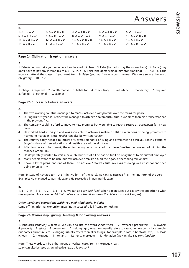|  |  | Answers |
|--|--|---------|
|--|--|---------|

| В.                                                                         |                                     |                                    |                                     |
|----------------------------------------------------------------------------|-------------------------------------|------------------------------------|-------------------------------------|
| 2. $A = \vee B = X$<br>$1. A + B = \checkmark$                             | 3. $A = X B = V$                    | 4. $A = \mathbf{X} B = \mathbf{V}$ | 5. $A + B = \nu$                    |
| 6. $A = \mathbf{X} B = \mathbf{V}$<br>7. $A = \mathbf{X} B = \mathbf{V}$   | 8. $A = \vee B = X$                 | 9. $A + B = \nu$                   | 10. $A = \mathbf{V} B = \mathbf{X}$ |
| 11. $A = \mathbf{X} B = \mathbf{V}$<br>12. $A = \mathbf{X} B = \mathbf{V}$ | 13. $A = \mathbf{V} B = \mathbf{X}$ | 14. $A + B = \nu$                  | 15. A + B = $\checkmark$            |
| 16. $A + B = \nu$<br>17. $A + B = \nu$                                     | 18. A + B = $\angle$                | 19. $A + B = V$                    | 20. $A = \mathbf{X} B = \mathbf{V}$ |

#### **Page 24 Obligation & option answers**

#### **A.**

1. False (you must take your own pencil and eraser) 2. True 3. False (he had to pay the money back) 4. False (they don't have to pay any income tax at all) 5. True 6. False (the doctors made him *stop* smoking) 7. True 8. False (you can attend the classes if you want to) 9. False (you *must* wear a crash helmet. We can also use the word obligatory) 10. True

#### **B.**

1. obliged / required 2. no alternative 3. liable for 4. compulsory 5. voluntary 6. mandatory 7. required 8. forced 9. optional 10. exempt

#### **Page 25 Success & failure answers**

#### **A.**

- 1. The two warring countries managed to **reach / achieve** a *compromise* over the terms for peace.
- 2. During his first year as President he managed to **achieve / accomplish / fulfil** *a lot more* than his predecessor had in the previous five.
- 3. The company couldn't aford to move to new premises but were able to **reach / secure** *an agreement* for a new lease.
- 4. He worked hard at his job and was soon able to **achieve / realize / fulfil** his *ambitions* of being promoted to marketing manager. (Note: *realize* can also be written *realise*)
- 5. The country badly needed to increase its overall standard of living and attempted to **achieve / reach / attain** its *targets* - those of free education and healthcare - within eight years.
- 6. After four years of hard work, the motor racing team managed to **achieve / realise** their *dreams* of winning the Monaco Grand Prix.
- 7. He desperately wanted to start a new job, but first of all he had to **fulfil** his *obligations* to his current employer.
- 8. Many people want to be rich, but few **achieve / realize / fulfil** their *goal* of becoming millionaires.
- 9. I have a lot of plans, and one of them is to **achieve / realize / fulfil** my *aims* of doing well at school and then going to university.

Note: Instead of *manage to* (+ the infinitive form of the verb), we can say *succeed in* (+ the -ing form of the verb. Example: He managed to pass his exam / He succeeded in passing his exam)

#### **B.**

1. B 2. A 3. B 4. C 5. B 6. C (we can also say *backfired*, when a plan turns out exactly the opposite to what was expected. For example: *All their holiday plans backfired when the children got chicken pox*)

#### *Other words and expressions which you might find useful include:*

come off (an informal expression meaning *to succeed*) / fail / come to nothing

#### **Page 26 Ownership, giving, lending & borrowing answers**

#### **A.**

1. landlords (*landlady* = female. We can also use the word *landowner*) 2. owners / proprietors 3. owners 4. property 5. estate 6. possessions 7. belongings (*possessions* usually refers to everything we own - for example, our homes, furniture, etc. *Belongings* usually refers to smaller things - for example, a coat, a briefcase, etc.) 8. lease 9. loan 10. mortgage 11. tenants 12. rent / mortgage 13. donation (we can also say *contribution*)

Note: These words can be either nouns or verbs:: lease / rent / mortgage / loan. *Loan* can also be used as an adjective, e.g., *a loan shark*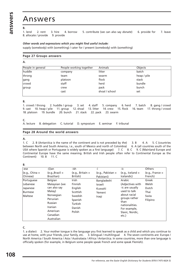**B.**

**answers**

1. lend 2. rent 3. hire 4. borrow 5. contribute (we can also say *donate*) 6. provide for 7. leave 8. allocate / provide 9. provide

#### *Other words and expressions which you might find useful include:*

supply (somebody) with (something) / cater for / present (somebody) with (something)

#### **Page 27 Groups answers**

**A.**

| People in general | People working together | Animals        | <b>Objects</b> |
|-------------------|-------------------------|----------------|----------------|
| huddle            | company                 | litter         | batch          |
| throng            | team                    | swarm          | heap / pile    |
| gang              | platoon                 | flock          | stack          |
| crowd             | staff                   | herd           | bundle         |
| group             | crew                    | pack           | bunch          |
|                   | cast                    | shoal / school | set            |
|                   |                         |                |                |

#### **B.**

1. crowd / throng 2. huddle / group 3. set 4. staff 5. company 6. herd 7. batch 8. gang / crowd 9. cast 10. heap / pile 11. group 12. shoal 13. litter 14. crew 15. flock 16. team 17. throng / crowd 18. platoon 19. bundle 20. bunch 21. stack 22. pack 23. swarm

**C.**<br>A. lecture B. delegation C. tutorial D. symposium E. seminar F. tribunal

#### **Page 28 Around the world answers**

#### **A.**

1. C 2. B (Antarctica is the name of the continent and is not preceded by *the*) 3. B 4. A 5. C (countries between North and South America, i.e., south of Mexico and north of Colombia) 6. A (all countries south of the USA where Spanish or Portuguese is widely spoken as a first language) 7. C 8. C 9. C (Mainland Europe and Continental Europe have the same meaning. British and Irish people often refer to Continental Europe as the Continent) 10. B 11. C

|  | ۰. |
|--|----|

| -ese                                                     | -(i)an                                                                                                                                  | -ish                                                                                                | -1                                                   | -ic                                                                                                                                                                  | Others                                                      |
|----------------------------------------------------------|-----------------------------------------------------------------------------------------------------------------------------------------|-----------------------------------------------------------------------------------------------------|------------------------------------------------------|----------------------------------------------------------------------------------------------------------------------------------------------------------------------|-------------------------------------------------------------|
| $(e.g., China =$<br>Chinese)                             | $(e.g., Brazil =$<br>Brazilian)                                                                                                         | $(e.g., Britain =$<br>British)                                                                      | $(e.g., Pakistan =$<br>Pakistani)                    | $(e.g.,$ Iceland $=$<br>Icelandic)                                                                                                                                   | $(e.q.,$ France $=$<br>French)                              |
| Portuguese<br>Lebanese<br>Japanese<br>Burmese<br>Maltese | Belgian<br>Malaysian (we<br>can also say<br>Malay)<br>Norwegian<br>Peruvian<br>Russian<br>Iranian<br>American<br>Canadian<br>Australian | <b>Irish</b><br>Finnish<br>English<br>Scottish<br>Swedish<br>Spanish<br>Turkish<br>Danish<br>Polish | Bangladeshi<br>Israeli<br>Kuwaiti<br>Yemeni<br>Iraqi | Arabic<br>(Adjectives with<br>-ic are usually<br>used to talk<br>about racial<br>groups rather<br>than<br>nationalities.<br>For example,<br>Slavic, Nordic,<br>etc.) | Greek<br>Welsh<br>Dutch<br>Thai<br><b>Swiss</b><br>Filipino |

**C.**

1. a dialect 2. Your mother tongue is the language you first learned to speak as a child and which you continue to use at home, with your friends, your family, etc. 3. bilingual / multilingual 4. The seven continents are: Europe / North America / South America / Asia / Australasia / Africa / Antarctica. In some countries, more than one language is officially spoken (for example, in Belgium some people speak French and some speak Flemish).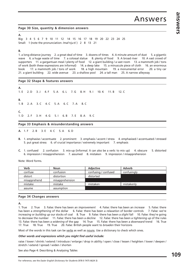**answers**

**answers** 

#### **Page 30 Size, quantity & dimension answers**

#### **A.**

Big: 3 4 5 6 7 9 10 11 12 14 15 16 17 18 19 20 22 23 24 25 Small: 1 (note the pronunciation: /mal'nju:t/ ) 2 8 13 21

#### **B.**

1. a long-distance journey 2. a great deal of time 3. dozens of times 4. A minute amount of dust 5. a gigantic wave 6. a huge waste of time 7. a colossal statue 8. plenty of food 9. A broad river 10. A vast crowd of supporters 11. a gargantuan meal / plenty of food 12. a giant building / a vast room 13. a mammoth job / tons of work (both these expressions are informal) 14. a deep lake 15. a minuscule piece of cloth 16. an enormous book 17. a mammoth job / tons of work 18. a high mountain 19. a monumental error 20. a tiny car 21. a giant building 22. wide avenue 23. a shallow pool 24. a tall man 25. A narrow alleyway

#### **Page 32 Shape & features answers**

**A.** 1. E 2. D 3. J 4. F 5. A 6. L 7. G 8. H 9. I 10. K 11. B 12. C **B.** 1. B 2. A 3. C 4. C 5. A 6. C 7. A 8. C **C.** 1. D 2. F 3. H 4. G 5. I 6. B 7. E 8. A 9. C

#### **Page 33 Emphasis & misunderstanding answers**

**A.** 1. F 2. B 3. E 4. C 5. A 6. D

- **B.** 1. emphasise / accentuate 2. prominent 3. emphasis / accent / stress 4. emphasised / accentuated / stressed 5. put great stress 6. of crucial importance / extremely important 7. emphasis
- **C.** 1. confused 2. confusion 3. mix-up (informal. It can also be a verb: to mix up) 4. obscure 5. distorted 6. impression / misapprehension 7. assumed 8. mistaken 9. impression / misapprehension

Note: Word forms.

| Verb         | <b>Noun</b>     | <b>Adjective</b>     | Adverb      |
|--------------|-----------------|----------------------|-------------|
| confuse      | confusion       | confusing / confused | confusingly |
| distort      | distortion      | distorted            |             |
| misapprehend | misapprehension |                      |             |
| mistake      | mistake         | mistaken             | mistakenly  |
| assume       | assumption      |                      |             |
|              |                 |                      |             |

#### **Page 34 Changes answers**

#### **A.**

1. True 2. True 3. False: there has been an *improvement* 4. False: there has been an *increase* 5. False: there has been a *strengthening* of the dollar 6. False: there has been a *relaxation* of border controls 7. False: we're *increasing* or *building up* our stocks of coal 8. True 9. False: there has been a *slight* fall 10. False: they're going to decrease the number 11. False: there has been a *decline* 12. False: there has been a *tightening up* of the rules 13. False: there has been a *widening* of the gap 14. True 15. False: there has been a *downward* trend 16. True 17. True 18. True 19. True 20. False: British people want to *broaden* their horizons

Most of the words in this task can be verbs as well as nouns. Use a dictionary to check which ones.

#### *Other words and expressions which you might find useful include:*

raise / lower / shrink / extend / introduce / enlarge / drop in ability / open / close / lessen / heighten / lower / deepen / stretch / extend / spread / widen / shorten

See als[o Page 4:](#page-9-0) Describing & Analysing Tables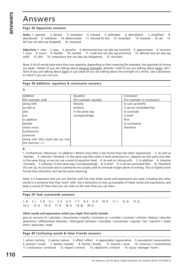#### **Page 36 Opposites answers**

**Verbs:** 1. rejected 2. denied 3. retreated 4. refused 5. defended 6. demolished 7. simplified 8. abandoned 9. withdrew 10. deteriorated 11. refused (to let) 12. rewarded 13. lowered 14. set 15. fell (we can also say *dropped*) 16. loosened

**Adjectives:** 1. clear 2. easy 3. graceful 4. detrimental (we can also say *harmful*) 5. approximate 6. innocent 7. even 8. scarce 9. flexible 10. marked 11. crude (we can also say *primitive*) 12. delicate (we can also say *mild*) 13. dim 14. compulsory (we can also say *obligatory*) 15. reluctant

Note: A lot of words have more than one opposite, depending on their meaning (for example, the opposites of *strong* are *weak / feeble* (if you are talking about physical strength), *delicate / mild* (if you are talking about taste), *dim / faint* (if you are talking about light) or just *weak* (if you are talking about the strength of a drink). Use a dictionary to check if you are not sure.

#### **Page 38 Addition, equation & conclusion answers**

#### **A.**

| Addition                                                            | Equation               | Conclusion                   |
|---------------------------------------------------------------------|------------------------|------------------------------|
| (For example: and)                                                  | (For example: equally) | (For example: in conclusion) |
| along with                                                          | likewise               | to sum up briefly            |
| as well as                                                          | similarly              | it can be concluded that     |
| also                                                                | in the same way        | to conclude                  |
| ltoo                                                                | correspondingly        | in brief                     |
| lin addition                                                        |                        | thus                         |
| besides                                                             |                        | to summarise                 |
| what's more                                                         |                        | therefore                    |
| <i>lfurthermore</i>                                                 |                        |                              |
| Imoreover                                                           |                        |                              |
| along with (this could also go into<br>the next box $\rightarrow$ ) |                        |                              |

#### **B.**

1. Furthermore / Moreover / In addition / What's more (this is less formal than the other expressions) 2. As well as / Besides 3. Likewise / Similarly / In the same way (the verbs in both sentences (i.e., respect) are the same and refer to the same thing, so we can use a word of equation here) 4. As well as / Along with 5. In addition 6. Likewise / Similarly 7. Likewise / In the same way / Correspondingly 8. In brief 9. It can be concluded that 10. Therefore (*To sum up*, *to conclude* and *to summarise* are usually used to conclude longer pieces of writing. *Thus* is slightly more formal than *therefore*, but has the same meaning)

Note: It is important that you are familiar with the way these words and expressions are used, including the other words in a sentence that they 'work' with. Use a dictionary to look up examples of these words and expressions, and keep a record of them that you can refer to the next time you use them.

#### **Page 39 Task commands answers**

1. N 2. I 3. R 4. L 5. E 6. P 7. F 8. K 9. G 10. R 11. J 12. N 13. Q 14. C 15. O 16. H 17. B 18. A 19. M 20. D

#### *Other words and expressions which you might find useful include:*

give an account of / calculate / characterise / classify / comment on / consider / contrast / criticize / deduce / describe determine / differentiate between / distinguish between / elucidate / enumerate / express / list / mention / relate show / speculate / state

#### **Page 40 Confusing words & false friends answers**

1. action / activity 2. advise / advice 3. effect / affect 4. appreciable / appreciative 5. assumption / presumption 6. prevent / avoid 7. beside / besides 8. shortly / briefly 9. channel / canal 10. conscious / conscientious 11. continuous / continual 12. inspect / control 13. objections / criticism 14. injury / damage / harm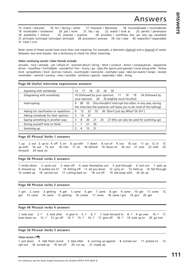15. invent / discover 16. for / during / while 17. However / Moreover 18. inconsiderable / inconsiderate<br>19. intolerable / intolerant 20. job / work 21. lies / lay 22. watch / look at 23. permit / permission 19. intolerable / intolerant 20. job / work 21. lies / lay 22. watch / look at 23. permit / permission 24. possibility / chance 25. practise / practice 26. priceless / worthless (we can also say *valueless*) 27. principle / principal / principal / principle 28. procession / process 29. rise / raise 30. respectful / respectable 31. treat / cure

Note: some of these words have more than one meaning. For example, a *television* channel and a channel of *water between two land masses*. Use a dictionary to check for other meanings.

#### *Other confusing words / false friends include:*

actually - now / already - yet / afraid of - worried about / bring - fetch / conduct - direct / consequences - sequences driver - chauffeur / formidable - wonderful / fun - funny / go - play (for sports and games) / come along with - follow kind - sympathetic / lend - borrow / nature - countryside / overcome - overtake / pass - take (an exam) / recipe - receipt remember - remind / scenery - view / sensible - sensitive / special - especially / take - bring

|  |  | Page 44 Useful interview expressions answers |  |
|--|--|----------------------------------------------|--|
|  |  |                                              |  |

| Agreeing with somebody:                 | IЗ |    | 18            | 23 |    | 26 30 |  |                             |                                        |                                                                      |
|-----------------------------------------|----|----|---------------|----|----|-------|--|-----------------------------|----------------------------------------|----------------------------------------------------------------------|
| Disagreeing with somebody:              |    |    |               |    |    |       |  |                             | 10 (followed by your opinion) 11 16 19 | 24 (followed by                                                      |
|                                         |    |    | your opinion) | 29 |    |       |  | 33 (slightly more forceful) |                                        |                                                                      |
| Interrupting:                           | 9  | 28 | 35            |    |    |       |  |                             |                                        | (You shouldn't interrupt too often. In any case, during              |
|                                         |    |    |               |    |    |       |  |                             |                                        | the interview the examiner will leave you to do most of the talking) |
| Asking for clarification or repetition: | 6  |    | 12 22         | 32 |    |       |  |                             |                                        | 36 (Don't just say What? Or Eh?)                                     |
| Asking somebody for their opinion:      | 5. | 14 | 37            |    |    |       |  |                             |                                        |                                                                      |
| Saying something in another way:        | 3  | 8  | 20            | 21 | 25 |       |  |                             |                                        | 27 (this can also be used for summing up)                            |
| Giving yourself time to think:          |    |    | 21            | 34 |    |       |  |                             |                                        |                                                                      |
| Summing up:                             |    | 4  |               | 31 |    |       |  |                             |                                        |                                                                      |

#### **Page 45 Phrasal Verbs 1 answers**

1. up 2. out 3. up to 4. off 5. on 6. up with 7. down 8. out of 9. out 10. out 11. up 12. in 13. up with 14. out 15. out 16. into 17. on 18. behind 19. down on 20. out 21. over 22. with 23. forward 24. back on

#### **Page 46 Phrasal verbs 2 answers**

1. broke down 2. work out 3. wear off 4. wear themselves out 5. pull through 6. sort out 7. split up 8. showed up 9. pulled out of 10. letting off 11. let you down 12. carry on 13. held up 14. fell through 15. ended up 16. carried out 17. cutting back on 18. cut off 19. did away with 20. do up

#### **Page 48 Phrasal verbs 3 answers**

1. get 2. came 3. getting 4. get 5. came 6. get 7. came 8. get 9. came 10. get 11. come 12. get 13. came 14. came 15. getting 16. comes 17. come 18. came / got 19. got 20. get

#### **Page 49 Phrasal verbs 4 answers**

1. look over 2.  $\checkmark$  3. look after 4. give in 5.  $\checkmark$  6.  $\checkmark$  7. look forward to 8.  $\checkmark$  9. go over 10.  $\checkmark$  11. look down on 12.  $\checkmark$  13. go off 14.  $\checkmark$  15.  $\checkmark$  16.  $\checkmark$  17. give off 18.  $\checkmark$  19. look up to 20. go into

#### **Page 50 Phrasal Verbs 5 answers**

#### *Clues across ( )*

1. put down 4. talk them round 5. take after 6. running up against 8. turned out 11. picked on 12. opt out 16. turned up 19. set off 20. run up 21. made up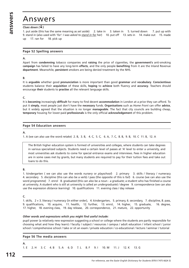#### $C$ *lues down*  $(\downarrow)$

1. put aside (this has the same meaning as *set aside*) 2. take in 3. taken in 5. turned down 7. put up with 9. stand in (also used with '*for': I was asked to stand in for her*) 10. put off 13. sets in 14. make out 15. made up 17. ran for 18. pick up

#### **Page 52 Spelling answers**

#### **A.**

Apart from **condemning** tobacco companies and **raising** the price of cigarettes, the **government's** anti-smoking **campaign** has failed to have any long-term **effects**, and the only people **benefiting** from it are the Inland Revenue **department**. Meanwhile, **persistent** smokers are being denied treatment by the NHS.

#### **B**.

It is **arguable** whether good **pronunciation** is more important than good **grammar** and **vocabulary**. **Conscientious** students balance their **acquisition** of these skills, **hoping** to **achieve** both fluency and **accuracy**. Teachers should encourage **their** students to **practise** all the relevant language skills.

#### **C.**

It is **becoming** increasingly **difficult** for many to find decent **accommodation** in London at a price they can afford. To put it **simply**, most people just don't have the **necessary** funds. **Organisations** such as *Home Front* can offer **advice**, but it widely agreed that the situation is no longer **manageable**. The fact that city councils are building cheap, **temporary** housing for lower-paid **professionals** is the only official **acknowledgement** of this problem.

#### **Page 54 Education answers**

#### **A.**

1. A (we can also use the word *retake*) 2. B, 3. B, 4. C, 5. C, 6. A, 7. C, 8. B, 9. B, 10. C 11. B, 12. A

The British higher education system is formed of universities and colleges, where students can take degrees in various specialized subjects. Students need a certain level of passes at 'A' level to enter a university, and most universities ask students to come for special entrance exams and interviews. Fees in higher education are in some cases met by grants, but many students are required to pay for their tuition fees and take out loans to do this.

#### **B.**

1. kindergarten ( we can also use the words *nursery* or *playschool*) 2. primary 3. skills / literacy / numeracy 4. secondary 5. discipline (this can also be a verb) / pass (the opposite of this is *fail*) 6. course (we can also use the word *programme*) 7. enrol 8. graduated (this can also be a noun - *a graduate*; a student who has finished a course at university. A student who is still at university is called *an undergraduate*) / degree 9. correspondence (we can also use the expression *distance learning*) 10. qualifications 11. evening class / day release

#### **C.**

1. skills, 2 + 3. literacy / numeracy (in either order), 4. kindergarten, 5. primary, 6. secondary, 7. discipline, 8. pass, 9. qualifications, 10. acquire, 11. health, 12. further, 13. enrol, 14. higher, 15. graduate, 16. degree, 17. higher, 18. evening class, 19. day release, 20. correspondence, 21. mature, 22. opportunity

#### *Other words and expressions which you might find useful include:*

pupil power (a relatively new expression suggesting a school or college where the students are partly responsible for choosing what and how they learn) / faculty / subject / resources / campus / adult education / infant school / junior school / comprehensive school / take or sit an exam / private education / co-educational / lecture / seminar / tutorial

#### **Page 56 The media answers**

**A.** 1. E 2. H 3. C 4. B 5. A 6. D 7. L 8. F 9. I 10. M 11. J 12. K 13. G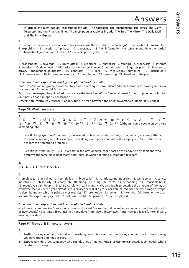In Britain, the most popular broadsheets include : The Guardian, The Independent, The Times, The Daily Telegraph and the Financial Times. The most popular tabloids include: The Sun, The Mirror, The Daily Mail and The Daily Express

#### **B.**

1. freedom of the press 2. media tycoon (we can also use the expression *media mogul*) 3. censorship 4. unscrupulous 5. exploiting 6. invasion of privacy 7. paparazzi, 8 / 9. information / entertainment (in either order) 10. chequebook journalism 11. libel 12. readership 13. gutter press

#### **C.**

1. broadsheets 2. coverage 3. current affairs 4. reporters 5. journalists 6. tabloids 7. broadcasts 8. Internet 9. websites 10. download 11/12. information / entertainment (in either order) 13. gutter press 14. invasion of privacy / chequebook journalism 15. paparazzi 16. libel 17. chequebook journalism 18. unscrupulous 19. Internet / web 20. information overload 21. logging on 22. censorship 23. freedom of the press

#### *Other words and expressions which you might find useful include:*

*Types of television programme*: documentary / soap opera / quiz show / sitcom / drama / weather forecast / game show / variety show / commercial / chat show

*Parts of a newspaper:* headline / editorial / advertisement / what's on / entertainment / colour supplement / fashion / business / financial / sport / horoscope /

*Others:* state-controlled / journal / slander / tune in / read between the lines/ downmarket / upmarket / upbeat

#### **Page 58 Work answers**

**A.**

 $1.$   $\bullet$   $2.$   $\circledcirc$   $3.$   $\circledcirc$   $4.$   $\circledcirc$   $5.$   $\circledcirc$   $6.$   $\circledcirc$   $7.$   $\circledcirc$   $8.$   $\circledcirc$   $9.$   $\circledcirc$   $10.$   $\circledcirc$   $11.$   $\circledcirc$   $12.$   $\circledcirc$   $13.$   $\circledcirc$   $14.$   $\circledcirc$ 15. <sup>3</sup> 16. <sup>3</sup> 17. <sup>3</sup> 18. <sup>3</sup> 19. <sup>3</sup> 20. <sup>3</sup> 21. <sup>3</sup> 22. <sup>3</sup> 23. <sup>3</sup> (although some people enjoy a very demanding job)

'Sick Building Syndrome' is a recently discovered problem in which the design of a building adversely affects the people working in it. For example, in buildings with poor ventilation the employees often suffer from headaches or breathing problems.

'Repetitive strain injury' (R.S.I.) is a pain in the arm or some other part of the body felt by someone who performs the same movement many times, such as when operating a computer keyboard.

#### **B.**

1. E 2. A 3. B 4. F 5. C 6. D

#### **C.**

1. employees 2. unskilled 3. semi-skilled 4. blue-collar 5. manufacturing industries 6. white-collar 7. service industries 8. job security 9. steady job 10. hiring 11. firing 12. stress 13. demanding 14. unsociable hours 15. repetitive strain injury 16. salary (a salary is paid monthly. We also use it to describe the amount of money an employee receives over a year: 'What is your salary?' '£24,000 a year / per annum.' We use the word *wage* or *wages* to describe money which is paid daily or weekly) 17. promotion 18. perks 19. incentive 20. increment (we can also use the expression *pay rise*) 21. sickness benefit 22. pension 23. self-employed

#### *Other words and expressions which you might find useful include:*

employer / manual worker / profession / dismiss / dismissal / recruitment drive (when a company tries to employ a lot of new people) / overtime / fixed income / candidate / interview / interviewer / interviewee / leave (a formal word meaning holiday)

#### **Page 61 Money & finance answers**

**A.**

- 1. **Profit** is money you gain from selling something, which is more than the money you paid for it. **Loss** is money you have spent and not got back.
- 2. **Extravagant** describes somebody who spends a lot of money. **Frugal** or **economical** describes somebody who is careful with money.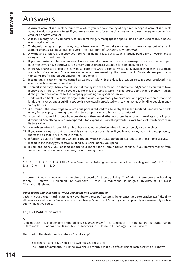- 3. A **current account** is a bank account from which you can take money at any time. A **deposit account** is a bank account which pays you interest if you leave money in it for some time (we can also use the expression *savings account or notice account).*
- 4. A **loan** is money which you borrow to buy something. A **mortgage** is a special kind of loan used to buy a house over a period of time.
- 5. To **deposit** money is to put money into a bank account. To **withdraw** money is to take money out of a bank account (*deposit* can be a noun or a verb. The noun form of *withdraw* is *withdrawal).*
- 6. A **wage** and a **salary** are money you receive for doing a job, but a wage is usually paid daily or weekly and a salary is usually paid monthly.
- 7. If you are **broke,** you have no money. It is an informal expression. If you are **bankrupt,** you are not able to pay back money you have borrowed. It is a very serious financial situation for somebody to be in.
- 8. In the UK, **shares** are one of the many equal parts into which a company's capital is divided. People who buy them are called *shareholders.* **Stocks** are shares which are issued by the government. **Dividends** are parts of a company's profits shared out among the shareholders.
- 9. **Income tax** is a tax on money earned as wages or salary. **Excise duty** is a tax on certain goods produced in a country, such as cigarettes or alcohol.
- 10. To **credit** somebody's bank account is to put money into the account. To **debit** somebody's bank account is to take money out. In the UK, many people pay for bills etc. using a system called *direct debit,* where money is taken directly from their account by the company providing the goods or service.
- 11. Traditionally a **bank** is a business organization which keeps money for customers and pays it out on demand or lends them money, and a **building society** is more usually associated with saving money or lending people money to buy houses.
- 12. A **discount** is the percentage by which a full price is reduced to a buyer by the seller. A **refund** is money paid back when, for example, returning something to a shop (It can also be a verb: to *refund)*
- 13. A **bargain** is something bought more cheaply than usual (the word can have other meanings check your dictionary). Something which is **overpriced** is too expensive. Something which is **exorbitant** costs much more than its true value.
- 14. A **worthless** object is something which has no value. A **priceless** object is an extremely valuable object.
- 15. If you **save** money, you put it to one side so that you can use it later. If you **invest** money, you put it into property, shares etc. so that it will increase in value.
- 16. **Inflation** is a state of economy where prices and wages increase. **Deflation** is a reduction of economic activity.
- 17. **Income** is the money you receive. **Expenditure** is the money you spend.
- 18. If you **lend** money, you let someone use your money for a certain period of time. If you **borrow** money from someone, you take money for a time, usually paying interest.

#### **B.**

1. F 2. I 3. L 4. E 5. J 6. K (the *Inland Revenue* is a British government department dealing with tax) 7. C 8. H 9. G 10. A 11. B 12. D

#### **C.**

1. borrow 2. loan 3. income 4. expenditure 5. overdraft 6. cost of living 7. Inflation 8. economise 9. building society 10. Interest 11. on credit 12. exorbitant 13. save 14. reductions 15. bargain 16. discount 17. invest 18. stocks 19. shares

#### *Other words and expressions which you might find useful include:*

Cash / cheque / credit card / statement / overdrawn / receipt / customs / inheritance tax / corporation tax / disability allowance / social security / currency / rate of exchange / investment / wealthy / debt / upwardly or downwardly mobile equity / negative equity

#### **Page 63 Politics answers**

#### **A.**

1. democracy 2. independence (the adjective is *independent*) 3. candidate 4. totalitarian 5. authoritarian 6. technocrats 7. opposition 8. republic 9. sanctions 10. House 11. ideology 12. Parliament

The word in the shaded vertical strip is 'dictatorship'

The British Parliament is divided into two houses. These are:

1. The House of Commons. This is the lower house, which is made up of 659 elected members who are known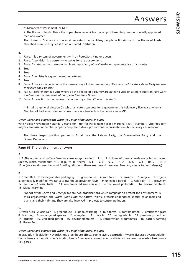as Members of Parliament, or MPs.

2. The House of Lords. This is the upper chamber, which is made up of hereditary peers or specially appointed men and women.

The House of Commons is the most important house. Many people in Britain want the House of Lords abolished because they see it as an outdated institution.

**B.**

- 1. False. It is a system of government with an *hereditary* king or queen.
- 2. False. A politician is a person who works for the *government.*
- 3. False. A statesman or stateswoman is an important *political* leader or representative of a country.
- 4. True
- 5. True.
- 6. False. A ministry is a government department.
- 7. True.
- 8. False. A policy is a decision on the general way of doing something. *'People voted for the Labour Party because they liked their policies'*
- 9. False. A referendum is a vote where all the people of a country are asked to vote on a single question. *'We want a referendum on the issue of European Monetary Union'*
- 10. False. An election is the process of choosing by voting (The verb is *elect*)

In Britain, a general election (in which all voters can vote for a government) is held every five years. when a Member of Parliament dies or retires, there is a by-election to choose a new MP.

#### *Other words and expressions which you might find useful include:*

vote / elect / revolution / scandal / stand for - run for Parliament / seat / marginal seat / chamber / Vice-President mayor / ambassador / embassy / party / representative / proportional representation / bureaucracy / bureaucrat

The three largest political parties in Britain are the Labour Party, the Conservative Party and the Liberal Democrats.

#### **Page 65 The environment answers**

#### **A.**

1. F (The opposite of *battery farming* is *free range* farming) 2. L 3. J (Some of these animals are called *protected species*, which means that it is illegal to kill them) 4. E 5. B 6. C 7. D 8. K 9. I 10. G 11. H 12. A (we can also use the word *hunting*, although there are some differences. *Poaching* means to *hunt illegally*)

**B.**

1. Green Belt 2. biodegradable packaging 3. greenhouse 4. rain forest 5. erosion 6. recycle 7. organic 8. genetically modified (we can also use the abbreviation GM) 9. unleaded petrol 10. Acid rain 11. ecosystem 12. emissions / fossil fuels 13. contaminated (we can also use the word polluted) 14. environmentalists 15. Global warming

*Friends of the Earth* and *Greenpeace* are two organizations which campaign to protect the environment. A third organization, the *World Wide Fund for Nature (WWF),* protects endangered species of animals and plants and their habitats. They are also involved in projects to control pollution.

**C.**

1. fossil fuels 2. acid rain 3. greenhouse 4. global warming 5. rain forest 6. contaminated 7. emissions / gases 8. Poaching 9. endangered species 10. ecosystem 11. recycle 12. biodegradable 13. genetically modified 14. organic 15. unleaded petrol 16. environmentalists 17. conservation programmes 18. battery farming 19. Green Belts

#### *Other words and expressions which you might find useful include:*

degradation / legislation / overfishing / greenhouse effect / ozone layer / destruction / waste disposal / overpopulation bottle bank / carbon dioxide / climatic change / sea level / re-use / energy efficiency / radioactive waste / toxic waste CFC gases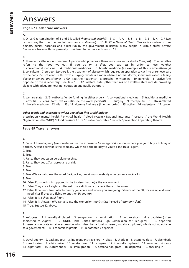#### **Page 67 Healthcare answers**

#### **A.**

1. D 2. G (a combination of 1 and 2 is called *rheumatoid arthritis*) 3. C 4. A 5. J 6. B 7. E 8. K 9. F (we can also say that their bodies lack *resistance to illnesses*) 10. H (*The National Health Service* is a system of free doctors, nurses, hospitals and clinics run by the government in Britain. Many people in Britain prefer *private healthcare* because this is generally considered to be more efficient) 11. I

#### **B.**

1. therapeutic (the noun is *therapy*. A person who provides a therapeutic service is called a *therapist*) 2. a diet (this refers to the food we eat. If you go *on a diet*, you eat less in order to lose weight) 3. conventional medicine 4. traditional medicines 5. holistic medicine (an example of this is *aromatherapy*) 6. consultant 7. surgeon (*surgery* is the treatment of disease which requires an operation to cut into or remove part of the body. Do not confuse this with *a surgery*, which is a room where a normal doctor, sometimes called a *family doctor* or g*eneral practitioner* - a *GP* - sees their patients) 8. protein 9. vitamins 10. minerals 11. active (the opposite of this is *sedentary* - see Task 1) 12. welfare state (other features of a welfare state include providing citizens with adequate housing, education and public transport)

#### **C.**

1. welfare state 2 / 3. cutbacks / underfunding (in either order) 4. conventional medicine 5. traditional medicine 6. arthritis 7. consultant ( we can also use the word *specialist*) 8. surgery 9. therapeutic 10. stress-related 11. holistic medicine 12. diet 13 / 14. vitamins / minerals (in either order) 15. active 16. sedentary 17. cancer

#### *Other words and expressions which you might find useful include:*

prescription / mental health / physical health / blood system / National Insurance / research / the World Health Organization (the WHO) / blood pressure / cure / curable / incurable / remedy / prevention / operating theatre

#### **Page 69 Travel answers**

#### **A.**

1. False. A travel agency (we sometimes use the expression *travel agent's*) is a shop where you go to buy a holiday or a ticket. A tour operator is the company which sells the holiday to you via the travel agent.

2. True.

- 3. True.
- 4. False. They get *on* an aeroplane or ship.
- 5. False. They get *off* an aeroplane or ship.
- 6. True.
- 7. True

8. True (We can also use the word *backpacker*, describing somebody who carries a rucksack)

9. True.

- 10. False. Eco-tourism is supposed to be tourism that *helps* the environment.
- 11. False. They are all slightly different. Use a dictionary to check these differences.
- 12. False. It depends from which country you come and where you are going. Citizens of the EU, for example, do not need visas if they are flying to another EU country.
- 13. False. It is a *short-haul* flight.
- 14. False. It is *cheaper*. (We can also use the expression *tourist class* instead of *economy class*)
- 15. True. But see 12 above.

#### **B.**

1. refugees 2. internally displaced 3. emigration 4. immigration 5. culture shock 6. expatriates (often shortened to *expats*) 7. UNHCR (the United Nations High Commission for Refugees) 8. deported 9. persona non grata (a Latin expression which describes a foreign person, usually a diplomat, who is not acceptable to a government) 10. economic migrants 11. repatriated / deported

**C.**

1. travel agency 2. package tour 3. independent travellers 4. visas 5. check in 6. economy class 7. disembark 8. mass tourism 9. all-inclusive 10. eco-tourism 11. refugees 12. internally displaced 13. economic migrants 14. expatriates 15. culture shock 16. immigration 17. persona non grata 18. deported 19. checking in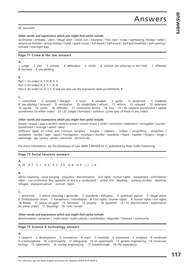#### 20. excursion

#### *Other words and expressions which you might find useful include:*

acclimatise / embassy / alien / illegal alien / check out / insurance / first class / cruise / sightseeing holiday / safari / adventure holiday / skiing holiday / hotel / guest house / full-board / half-board / bed and breakfast / self-catering / suitcase / overnight bag

#### **Page 71 Crime & the law answers**

#### **A.**

1. judge 2. jury 3. witness 4. defendant 5. victim 6. solicitor (an *attorney* in the USA) 7. offender 8. barrister 9. law-abiding

#### **B.**

Part 1: (In order) A, F, D, B, C, E Part 2: (In order) A, E, F, C, B, D Part 3: (In order) A, D, F, C, E (we can also use the expression *state punishment*), B

#### **C.**

1. committed 2. arrested / charged 3. court 4. pleaded 5. guilty 6. sentenced 7. misdeeds 8. law-abiding / innocent 9. retribution 10. rehabilitate / reform 11. reform 12. released 13. deterrent 14. parole 15. victim 16. offender 17. community service 18. fine 19 / 20. corporal punishment / capital punishment (in either order) 21 / 22. judges / barristers / solicitors / juries (any of these in any order)

#### *Other words and expressions which you might find useful include:*

lawyer / accuse / pass a verdict / send to prison / convict (noun + verb) / conviction / statement / wrongdoer / punish / punishment / revenge / admit / deny

*Different types of crime and criminal:* burglary - burglar / robbery - robber / shoplifting - shoplifter / vandalism - vandal / rape - rapist / hooliganism - hooligan / murder - murderer / hijack - hijacker / forgery - forger / espionage - spy / piracy - pirate / terrorism - terrorist etc...

For more information, see the *Dictionary of Law* (ISBN 1-901659-43-7), published by Peter Collin Publishing.

#### **Page 73 Social tensions answers**

**A.**

A. 10 B. 7 C. 1 D. 5 E. 3 F. 6 G. 8 H. 9 I. 2 J. 4

#### **B.**

ethnic cleansing - racial purging prejudice - discrimination civil rights - human rights harassment - intimidation rebel - non-conformist (the opposite of this is *a conformist*) picket line - blackleg poverty-stricken - destitute refugee - displaced person outcast - reject

**C.**

1. extremists 2. ethnic cleansing / genocide 3. Dissidents / Refugees 4. (political) asylum 5. illegal aliens 6. (institutional) racism 7. harassment / intimidation 8. Civil rights / Human rights 9. human rights / civil rights 10. Rebels 11. power struggle 12. homeless 13. poverty 14. squatters 15 / 16. discrimination / exploitation (in either order) 17. blacklegs 18. riots / unrest

*Other words and expressions which you might find useful include:* discrimination / sectarian / multi-racial / multi-cultural / unorthodox / disparate / itinerant / community

#### **Page 75 Science & technology answers**

**A.**

1. research 2. development 3. innovations 4. react 5. invented 6. discovered 7. analysed 8. combined 9. a technophobe 10. a technophile 11. safeguards 12. an experiment 13. genetic engineering 14. molecular biology 15. cybernetics 16. nuclear engineering 17. breakthrough 18. life expectancy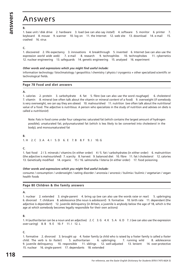# **answers**

### Answers

#### 1. base unit / disk drive 2. hardware 3. load (we can also say *install*) 4. software 5. monitor 6. printer 7. keyboard 8. mouse 9. scanner 10. log on 11. the Internet 12. web site 13. download 14. e-mail 15. crashed 16. virus

#### **C.**

**B.**

1. discovered 2. life expectancy 3. innovations 4. breakthrough 5. invented 6. Internet (we can also use the expression *world wide web*) 7. e-mail 8. research 9. technophiles 10. technophobes 11. cybernetics 12. nuclear engineering 13. safeguards 14. genetic engineering 15. analysed 16. experiment

#### *Other words and expressions which you might find useful include:*

information technology / bioclimatology / geopolitics / chemistry / physics / cryogenics + other specialized scientific or technological fields.

#### **Page 78 Food and diet answers**

#### **A.**

1. calories 2. protein 3. carbohydrate 4. fat 5. fibre (we can also use the word *roughage*) 6. cholesterol 7. vitamin 8. mineral (we often talk about the vitamin or mineral *content* of a food) 9. overweight (if somebody is very overweight, we can say they are *obese*) 10. malnourished 11. nutrition (we often talk about the *nutritional value* of a food. The adjective is *nutritious.* A person who specializes in the study of nutrition and advises on diets is called a *nutritionist*)

Note: Fats in food come under four categories: saturated fat (which contains the largest amount of hydrogen possible); unsaturated fat; polyunsaturated fat (which is less likely to be converted into cholesterol in the body); and monounsaturated fat

#### **B.**

1. H 2. C 3. A 4. I 5. D 6. E 7. B 8. F 9. J 10. G

#### **C.**

1. fast food 2 / 3. minerals / vitamins (in either order) 4 / 5. fat / carbohydrates (in either order) 6. malnutrition (the adjective is *malnourished*) 7. scarcity 8. harvest 9. balanced diet 10. fibre 11. fat / cholesterol 12. calories 13. Genetically modified 14. organic 15 / 16. salmonella / listeria (in either order) 17. food poisoning

#### *Other words and expressions which you might find useful include:*

consume / consumption / underweight / eating disorder / anorexia / anorexic / bulimia / bulimic / vegetarian / vegan health foods

#### **Page 80 Children & the family answers**

#### **A.**

1. nuclear 2. extended 3. single-parent 4. bring up (we can also use the words *raise* or *rear*) 5. upbringing 6. divorced 7. childcare 8. adolescence (the noun is *adolescent*) 9. formative 10. birth rate 11. dependant (the adjective is *dependant*) 12. juvenile delinquency (in Britain, a juvenile is anybody below the age of 18, which is the age at which somebody becomes legally responsible for their own actions)

#### **B.**

1. H (*authoritarian* can be a noun and an adjective) 2. C 3. G 4. K 5. A 6. D 7. J (we can also use the expression *over-caring*) 8. B 9. E 10. F 11. I 12. L

#### **C.**

1. formative 2. divorced 3. brought up 4. foster family (a child who is raised by a foster family is called a *foster child*. The verb is *to foster*) 5. authoritarian 6. upbringing 7. running wild 8. adolescence 9. juvenile delinquency 10. responsible 11. siblings 12. well-adjusted 13. lenient 14. over-protective 15. nuclear 16. single-parent 17. dependants 18. extended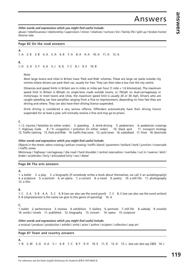#### *Other words and expressions which you might find useful include:*

abuse / rebelliousness / relationship / supervision / minor / relatives / nurture / kin / family life / split up / broken home/ divorce rate

#### **Page 82 On the road answers**

**A.**

**B.**

1. A 2. B 3. B 4. A 5. A 6. B 7. A 8. A 9. A 10. A 11. A 12. A 1. D 2. H 3. F 4. A 5. J 6. G 7. C 8. I 9. E 10. B

Note:

Most large towns and cities in Britain have 'Park and Ride' schemes. These are large car parks outside city centres where drivers can park their car, usually for free. They can then take a bus into the city centre.

Distances and speed limits in Britain are in miles or miles per hour (1 mile = 1.6 kilometres). The maximum speed limit in Britain is 60mph on single-lane roads outside towns, or 70mph on dual-carriageways or motorways. In most towns and cities, the maximum speed limit is usually 20 or 30 mph. Drivers who are caught speeding can face penalties ranging from a fine to imprisonment, depending on how fast they are driving and where. They can also have their driving licence suspended.

Drink driving is considered a very serious offence. Offenders automatically have their driving licence suspended for at least a year, will normally receive a fine and may go to prison.

#### **C.**

1 / 2. injuries / fatalities (in either order) 3. speeding 4. drink-driving 5. pedestrians 6. pedestrian crossings 7. Highway Code 8 / 9. congestion / pollution (in either order) 10. black spot 11. transport strategy 12. Traffic calming 13. Park and Ride 14. traffic-free zone 15. cycle lanes 16. subsidised 17. fines 18. dominate

#### *Other words and expressions which you might find useful include:*

Objects in the street: zebra crossing / pelican crossing / traffic island / pavement / bollard / kerb / junction / crossroads / traffic cones

Motorway / highway / carriageway / slip road / hard shoulder / central reservation / overtake / cut in / swerve / skid / brake / accelerate / lorry / articulated lorry / van / diesel

#### **Page 84 The arts answers**

#### **A.**

1. a ballet 2. a play 3. a biography (if somebody writes a book about themselves, we call it an *autobiography*) 4. a sculpture 5. a portrait 6. an opera 7. a concert 8. a novel 9. poetry 10. a still life 11. photography 12. a film

**B.**

1. C 2. A 3. B 4. A 5. C 6. B (we can also use the word *grant*) 7. C 8. C (we can also use the word *writers*) 9. B (*impressionism* is the name we give to this genre of painting) 10. A

#### **C.**

1. ballet 2. performance 3. reviews 4. exhibition 5. Gallery 6. portraits 7. still life 8. subsidy 9. novelist 10. works / novels 11. published 12. biography 13. concert 14. opera 15. sculpture

#### *Other words and expressions which you might find useful include:*

a musical / produce / production / exhibit / artist / actor / author / sculptor / collection / pop art

#### **Page 87 Town and country answers**

**A.**

1. N 2. M 3. G 4. A 5. I 6. B 7. C 8. F 9. H 10. E 11. K 12. D 13. L (we can also say *CBD*) 14. J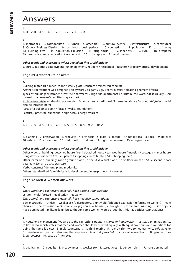1. H 2. B 3. G 4. F 5. A 6. C 7. E 8. D

**C.**

**B.**

1. metropolis 2. cosmopolitan 3. urban 4. amenities 5. cultural events 6. infrastructure 7. commuters 8. Central Business District 9. rush hour / peak periods 10. congestion 11. pollution 12. cost of living 13. building sites 14. population explosion 15. drug abuse 16. inner-city 17. rural 18. prospects 19. productive land / cultivation / arable land 20. urban sprawl 21. environment

#### *Other words and expressions which you might find useful include:*

suburbs / facilities / employment / unemployment / resident / residential / outskirts / property prices / development

#### **Page 89 Architecture answers**

**A.**

Building materials: timber / stone / steel / glass / concrete / reinforced concrete

Aesthetic perception: well-designed / an eyesore / elegant / ugly / controversial / pleasing geometric forms

Types of building: skyscraper / low-rise apartments / high-rise apartments (in Britain, the word *flat* is usually used instead of *apartment*) / multi-storey car park

Architectural style: modernist / post-modern / standardised / traditional / international style / art deco (*high-tech* could also be included here)

Parts of a building: porch / façade / walls / foundations

Features: practical / functional / high-tech / energy-efficient

**B.** 1. B 2. A 3. C 4. C 5. A 6. A 7. C 8. C 9. A 10. A

**C.**

1. planning 2. preservation 3. renovate 4. architects 5. glass 6. façade 7. foundations 8. social 9. derelict 10. estate 11. an eyesore 12. traditional 13. slums 14. high-rise /low-rise 15. energy-efficient

#### *Other words and expressions which you might find useful include:*

Other types of building: detached house / semi-detached house / terraced house / mansion / cottage / manor house bungalow / maisonette / castle / palace / shopping centre (in the USA - shopping *mall*)

Other parts of a building: roof / ground floor (in the USA = first floor) / first floor (in the USA = second floor) basement (cellar) / attic / staircase

Verbs: construct / design / plan / modernise

Others: standardised / prefabricated / development / mass-produced / low-cost

#### **Page 92 Men & women answers**

#### **A.**

*These words and expressions generally have positive connotations:*

astute multi-faceted egalitarian equality

*These words and expressions generally have negative connotations:*

power struggle ruthless weaker sex (a derogatory, slightly old-fashioned expression referring to women) male chauvinist (the expression *male chauvinist pig* can also be used, although it is considered insulting) sex objects male-dominated militant feminists (although some women would argue that this has positive connotations)

#### **B.**

1. household management (we also use the expressions *domestic chores or housework*) 2. Sex Discrimination Act (a British law which states that men and women should be treated equally, with equal pay, terms and conditions for doing the same job etc) 3. male counterparts 4. child rearing 5. role division (we sometimes write *role* as *rôle*) 6. breadwinner (we can also use the expression *financial provider*) 7. social convention 8. gender roles 9. stereotypes 10. battle of the sexes

**C.**

1. egalitarian 2. equality 3. breadwinner 4. weaker sex 5. stereotypes 6. gender roles 7. male-dominated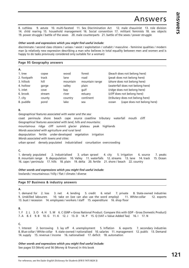8. ruthless 9. astute 10. multi-faceted 11. Sex Discrimination Act 12. male chauvinist 13. role division 14. child rearing 15. household management 16. Social convention 17. militant feminists 18. sex objects 19. power struggle / battle of the sexes 20. male counterparts 21. battle of the sexes / power struggle

#### *Other words and expressions which you might find useful include:*

discriminate / second class citizens / unisex / sexist / exploitation / cohabit / masculine - feminine qualities / modern man (a relatively new expression describing a man who believes in total equality between men and women and is happy to do tasks previously considered only suitable for a woman)

#### **Page 95 Geography answers**

| Α.          |        |          |                |                                      |
|-------------|--------|----------|----------------|--------------------------------------|
| 1. tree     | copse  | wood     | forest         | (beach does not belong here)         |
| 2. footpath | track  | lane     | road           | (peak does not belong here)          |
| 3. hillock  | hill   | mountain | mountain range | (shore does not belong here)         |
| 4. hollow   | gorge  | valley   | plain          | (waterfall does not belong here)     |
| 5. inlet    | cove   | bay      | qulf           | (ridge does not belong here)         |
| 6. brook    | stream | river    | estuary        | (cliff does not belong here)         |
| 7. city     | county | country  | continent      | (tributary does not belong here)     |
| 8. puddle   | pond   | lake     | sea            | (cape does not belong here)<br>ocean |

#### **B.**

*Geographical features associated with water and the sea:*  coast peninsula shore beach cape source coastline tributary waterfall mouth cliff *Geographical features associated with land, hills and mountains:* mountainous ridge cliff summit glacier plateau peak highlands *Words associated with agriculture and rural land:*  depopulation fertile under-developed vegetation irrigation *Words associated with towns and cities:*  urban sprawl densely populated industrialised conurbation overcrowding

#### **C.**

1. densely populated 2. industrialised 3. urban sprawl 4. city 5. irrigation 6. source 7. peaks 8. mountain range 9. depopulation 10. Valley 11. waterfalls 12. streams 13. lane 14. track 15. Ocean 16. cape / peninsula 17. hills 18. plain 19. delta 20. fertile 21. shore / beach 22. country

*Other words and expressions which you might find useful include:* lowlands / mountainous / hilly / flat / climate / diverse

#### **Page 97 Business & industry answers**

**A.**

1. demand for 2. loss 3. net 4. lending 5. credit 6. retail 7. private 8. State-owned industries 9. Unskilled labourers 10. take on (we can also use the word *employ*) 11. White-collar 12. exports 13. bust / recession 14. employees / workers / staff 15. expenditure 16. shop floor

#### **B.**

1. F 2. L 3. O 4. H 5. M 6. C (GNP = Gross National Product. Compare this with GDP - Gross Domestic Product) 7. A 8. E 9. B 10. G 11. K 12. J 13. D 14. P 15. Q (VAT = Value Added Tax) 16. I 17. N

**C.**

1. Interest 2. borrowing 3. lay off 4. unemployment 5. Inflation 6. exports 7. secondary industries 8. Blue-collar / White-collar 9. state-owned / nationalised 10. salaries 11. management 12. public 13. Demand 14. supply 15. revenue / income 16. nationalised 17. deficit 18. automation

#### *Other words and expressions which you might find useful include:*

See [pages 53](#page-58-0) (Work) and 56 (Money & finance) in this book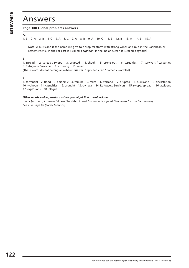#### **Page 100 Global problems answers**

#### **A.**

1. B 2. A 3. B 4. C 5. A 6. C 7. A 8. B 9. A 10. C 11. B 12. B 13. A 14. B 15. A

Note: A hurricane is the name we give to a tropical storm with strong winds and rain in the Caribbean or Eastern Pacific. In the Far East it is called a *typhoon*. In the Indian Ocean it is called a *cyclone*)

#### **B.**

1. spread 2. spread / swept 3. erupted 4. shook 5. broke out 6. casualties 7. survivors / casualties 8. Refugees / Survivors 9. suffering 10. relief

(These words do not belong anywhere: disaster / spouted / ran / flamed / wobbled)

**C.**

1. torrential 2. flood 3. epidemic 4. famine 5. relief 6. volcano 7. erupted 8. hurricane 9. devastation 10. typhoon 11. casualties 12. drought 13. civil war 14. Refugees / Survivors 15. swept / spread 16. accident 17. explosions 18. plague

#### *Other words and expressions which you might find useful include:*

major (accident) / disease / illness / hardship / dead / wounded / injured / homeless / victim / aid convoy *See also [page 68](#page-73-0) (Social tensions)*